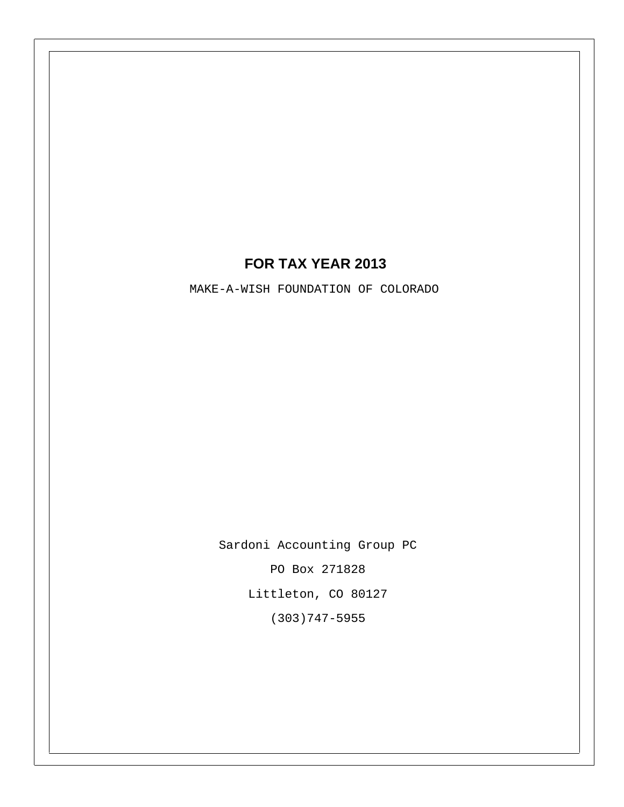# **FOR TAX YEAR 2013**

MAKE-A-WISH FOUNDATION OF COLORADO

Sardoni Accounting Group PC

PO Box 271828

Littleton, CO 80127

(303)747-5955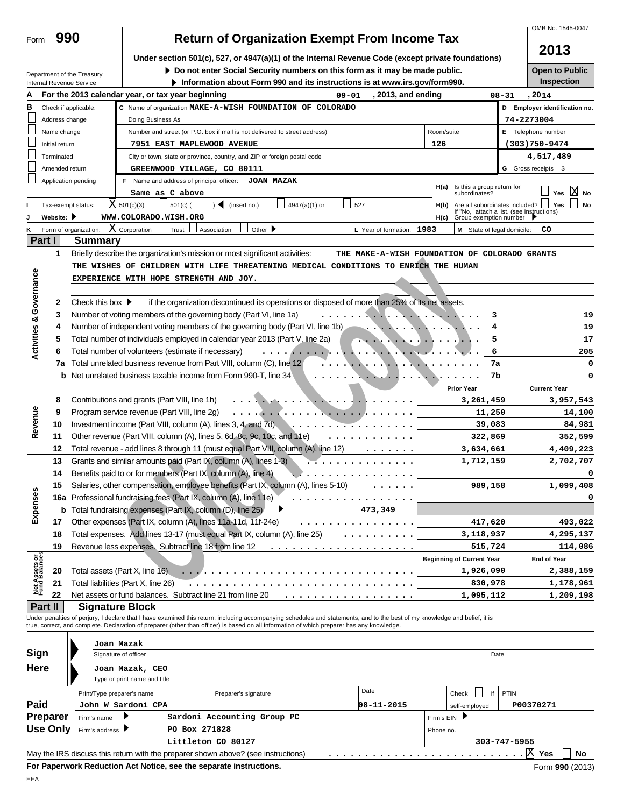| Form | 990 |
|------|-----|
|      |     |

Department of the Treasury

# **Return of Organization Exempt From Income Tax**

OMB No. 1545-0047

| Under section 501(c), 527, or 4947(a)(1) of the Internal Revenue Code (except private foundations) |  |  |  |
|----------------------------------------------------------------------------------------------------|--|--|--|
|                                                                                                    |  |  |  |

**Do not enter Social Security numbers on this form as it may be made public. Open to Public**<br>**Inspection** about Form 990 and its instructions is at www.irs.gov/form990.

**Information about Form 990 and its instructions is at www.irs.gov/form990.** 

**2013**

|                                    |                 | $\blacktriangleright$ Information about Form 990 and its instructions is at www.irs.gov/form990.<br>Internal Revenue Service                                               |                                               |                                             | mspection                     |
|------------------------------------|-----------------|----------------------------------------------------------------------------------------------------------------------------------------------------------------------------|-----------------------------------------------|---------------------------------------------|-------------------------------|
| Α                                  |                 | For the 2013 calendar year, or tax year beginning<br>$09 - 01$                                                                                                             | , 2013, and ending                            | $08 - 31$                                   | , 2014                        |
| в                                  |                 | C Name of organization MAKE-A-WISH FOUNDATION OF COLORADO<br>Check if applicable:                                                                                          |                                               |                                             | D Employer identification no. |
|                                    | Address change  | Doing Business As                                                                                                                                                          |                                               | 74-2273004                                  |                               |
|                                    | Name change     | Number and street (or P.O. box if mail is not delivered to street address)                                                                                                 | Room/suite                                    |                                             | E Telephone number            |
|                                    | Initial return  | 7951 EAST MAPLEWOOD AVENUE                                                                                                                                                 | 126                                           |                                             | $(303)750 - 9474$             |
|                                    | Terminated      | City or town, state or province, country, and ZIP or foreign postal code                                                                                                   |                                               |                                             | 4,517,489                     |
|                                    | Amended return  | GREENWOOD VILLAGE, CO 80111                                                                                                                                                |                                               |                                             | G Gross receipts \$           |
|                                    |                 | Application pending<br>F Name and address of principal officer: JOAN MAZAK                                                                                                 |                                               |                                             |                               |
|                                    |                 |                                                                                                                                                                            | H(a)                                          | Is this a group return for<br>subordinates? | IХI                           |
|                                    |                 | Same as C above                                                                                                                                                            |                                               |                                             | Yes<br><b>No</b>              |
|                                    |                 | $X_{501(c)(3)}$<br>$501(c)$ (<br>$\triangleleft$ (insert no.)<br>4947(a)(1) or<br>527<br>Tax-exempt status:                                                                | H(b)                                          | Are all subordinates included? $\Box$ Ye    | Yes<br>No                     |
|                                    | Website:        | WWW.COLORADO.WISH.ORG                                                                                                                                                      | H(c)                                          | Group exemption number                      |                               |
|                                    |                 | X Corporation<br>Form of organization:<br>Trust<br>Association<br>Other $\blacktriangleright$<br>L Year of formation: 1983                                                 |                                               | M State of legal domicile:                  | co                            |
| Part I                             |                 | <b>Summary</b>                                                                                                                                                             |                                               |                                             |                               |
|                                    | 1               | Briefly describe the organization's mission or most significant activities:                                                                                                | THE MAKE-A-WISH FOUNDATION OF COLORADO GRANTS |                                             |                               |
|                                    |                 | THE WISHES OF CHILDREN WITH LIFE THREATENING MEDICAL CONDITIONS TO ENRICH THE HUMAN                                                                                        |                                               |                                             |                               |
| <b>Activities &amp; Governance</b> |                 | EXPERIENCE WITH HOPE STRENGTH AND JOY.                                                                                                                                     |                                               |                                             |                               |
|                                    |                 |                                                                                                                                                                            |                                               |                                             |                               |
|                                    | 2               | Check this box $\blacktriangleright$ $\Box$ if the organization discontinued its operations or disposed of more than 25% of its net assets.                                |                                               |                                             |                               |
|                                    | 3               | Number of voting members of the governing body (Part VI, line 1a)<br>. <b>.</b>                                                                                            |                                               | 3                                           | 19                            |
|                                    | 4               | Number of independent voting members of the governing body (Part VI, line 1b)                                                                                              |                                               | 4                                           | 19                            |
|                                    | 5               | Total number of individuals employed in calendar year 2013 (Part V, line 2a)                                                                                               |                                               | 5                                           | 17                            |
|                                    | 6               | Total number of volunteers (estimate if necessary)<br>.                                                                                                                    |                                               | 6                                           | 205                           |
|                                    | 7a              | Total unrelated business revenue from Part VIII, column (C), line 12                                                                                                       |                                               | 7a                                          | 0                             |
|                                    | b               | Net unrelated business taxable income from Form 990-T, line 34                                                                                                             |                                               | 7b                                          |                               |
|                                    |                 |                                                                                                                                                                            |                                               |                                             |                               |
|                                    |                 |                                                                                                                                                                            | <b>Prior Year</b>                             |                                             | <b>Current Year</b>           |
|                                    | 8               | Contributions and grants (Part VIII, line 1h)                                                                                                                              |                                               | 3,261,459                                   | 3,957,543                     |
| Revenue                            | 9               | Program service revenue (Part VIII, line 2g)<br>.                                                                                                                          |                                               | 11,250                                      | 14,100                        |
|                                    | 10              | Investment income (Part VIII, column (A), lines 3, 4, and 7d).<br>. <del>.</del>                                                                                           |                                               | 39,083                                      | 84,981                        |
|                                    | 11              | Other revenue (Part VIII, column (A), lines 5, 6d, 8c, 9c, 10c, and 11e)<br>.                                                                                              |                                               | 322,869                                     | 352,599                       |
|                                    | 12              | Total revenue - add lines 8 through 11 (must equal Part VIII, column (A), line 12)                                                                                         |                                               | 3,634,661                                   | 4,409,223                     |
|                                    | 13              | Grants and similar amounts paid (Part IX, column (A), lines 1-3)                                                                                                           |                                               | 1,712,159                                   | 2,702,707                     |
|                                    | 14              | Benefits paid to or for members (Part IX, column (A), line 4)                                                                                                              |                                               |                                             |                               |
|                                    | 15              | Salaries, other compensation, employee benefits (Part IX, column (A), lines 5-10)                                                                                          |                                               | 989,158                                     | 1,099,408                     |
| Expenses                           |                 | 16a Professional fundraising fees (Part IX, column (A), line 11e)                                                                                                          |                                               |                                             |                               |
|                                    | b               | Total fundraising expenses (Part IX, column (D), line 25)<br>473,349                                                                                                       |                                               |                                             |                               |
|                                    | 17              | Other expenses (Part IX, column (A), lines 11a-11d, 11f-24e)                                                                                                               |                                               | 417,620                                     | 493,022                       |
|                                    | 18              | Total expenses. Add lines 13-17 (must equal Part IX, column (A), line 25)                                                                                                  |                                               | 3,118,937                                   | 4,295,137                     |
|                                    | 19              | Revenue less expenses. Subtract line 18 from line 12                                                                                                                       |                                               | 515,724                                     | 114,086                       |
|                                    |                 |                                                                                                                                                                            | <b>Beginning of Current Year</b>              |                                             | End of Year                   |
| Net Assets or<br>Fund Balances     | 20              | Total assets (Part X, line 16).                                                                                                                                            |                                               | 1,926,090                                   | 2,388,159                     |
|                                    | 21              | Total liabilities (Part X, line 26)                                                                                                                                        |                                               | 830,978                                     | 1,178,961                     |
|                                    | 22              | Net assets or fund balances. Subtract line 21 from line 20                                                                                                                 |                                               | 1,095,112                                   | 1,209,198                     |
| Part II                            |                 | <b>Signature Block</b>                                                                                                                                                     |                                               |                                             |                               |
|                                    |                 | Under penalties of perjury, I declare that I have examined this return, including accompanying schedules and statements, and to the best of my knowledge and belief, it is |                                               |                                             |                               |
|                                    |                 | true, correct, and complete. Declaration of preparer (other than officer) is based on all information of which preparer has any knowledge.                                 |                                               |                                             |                               |
|                                    |                 | Joan Mazak                                                                                                                                                                 |                                               |                                             |                               |
| Sign                               |                 | Signature of officer                                                                                                                                                       |                                               | Date                                        |                               |
|                                    |                 |                                                                                                                                                                            |                                               |                                             |                               |
| Here                               |                 | Joan Mazak, CEO<br>Type or print name and title                                                                                                                            |                                               |                                             |                               |
|                                    |                 |                                                                                                                                                                            |                                               |                                             |                               |
|                                    |                 | Date<br>Print/Type preparer's name<br>Preparer's signature                                                                                                                 | Check                                         | PTIN<br>if                                  |                               |
| Paid                               |                 | John W Sardoni CPA<br>$08 - 11 - 2015$                                                                                                                                     | self-employed                                 |                                             | P00370271                     |
|                                    | Preparer        | Sardoni Accounting Group PC<br>Firm's name                                                                                                                                 | Firm's EIN                                    |                                             |                               |
|                                    | <b>Use Only</b> | PO Box 271828<br>Firm's address ▶                                                                                                                                          | Phone no.                                     |                                             |                               |
|                                    |                 | Littleton CO 80127                                                                                                                                                         |                                               | 303-747-5955                                |                               |
|                                    |                 | May the IRS discuss this return with the preparer shown above? (see instructions)                                                                                          |                                               | 区                                           | Yes<br>No                     |
|                                    |                 | For Paperwork Reduction Act Notice, see the separate instructions.                                                                                                         |                                               |                                             | Form 990 (2013)               |
| EEA                                |                 |                                                                                                                                                                            |                                               |                                             |                               |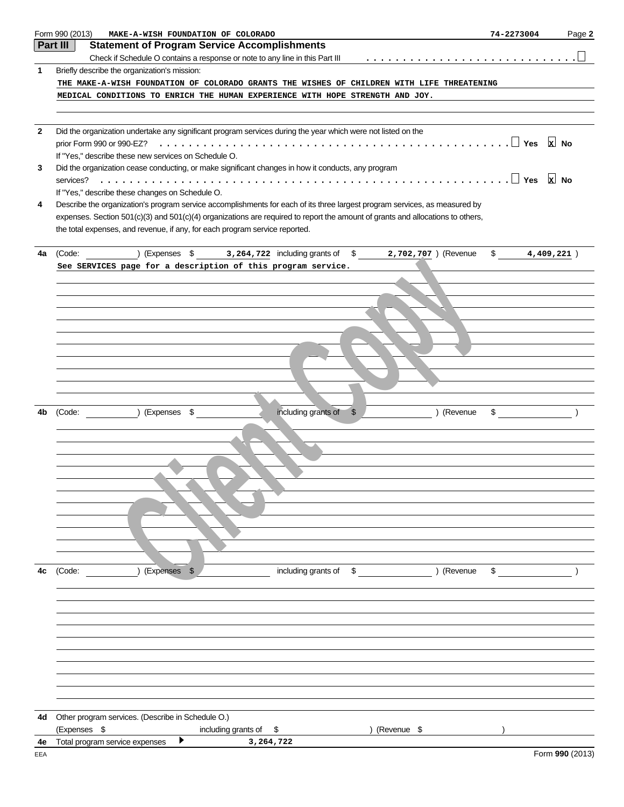|              | Form 990 (2013)<br>MAKE-A-WISH FOUNDATION OF COLORADO                                                                                                                         | 74-2273004     | Page 2          |
|--------------|-------------------------------------------------------------------------------------------------------------------------------------------------------------------------------|----------------|-----------------|
|              | Part III<br><b>Statement of Program Service Accomplishments</b>                                                                                                               |                |                 |
|              | Check if Schedule O contains a response or note to any line in this Part III                                                                                                  |                |                 |
| 1            | Briefly describe the organization's mission:                                                                                                                                  |                |                 |
|              | THE MAKE-A-WISH FOUNDATION OF COLORADO GRANTS THE WISHES OF CHILDREN WITH LIFE THREATENING                                                                                    |                |                 |
|              | MEDICAL CONDITIONS TO ENRICH THE HUMAN EXPERIENCE WITH HOPE STRENGTH AND JOY.                                                                                                 |                |                 |
|              |                                                                                                                                                                               |                |                 |
| $\mathbf{2}$ | Did the organization undertake any significant program services during the year which were not listed on the                                                                  |                |                 |
|              | prior Form 990 or 990-EZ?                                                                                                                                                     |                | $x$ No          |
|              | If "Yes," describe these new services on Schedule O.                                                                                                                          |                |                 |
| 3            | Did the organization cease conducting, or make significant changes in how it conducts, any program                                                                            |                |                 |
|              | services?                                                                                                                                                                     |                |                 |
| 4            | If "Yes," describe these changes on Schedule O.<br>Describe the organization's program service accomplishments for each of its three largest program services, as measured by |                |                 |
|              | expenses. Section 501(c)(3) and 501(c)(4) organizations are required to report the amount of grants and allocations to others,                                                |                |                 |
|              | the total expenses, and revenue, if any, for each program service reported.                                                                                                   |                |                 |
|              |                                                                                                                                                                               |                |                 |
| 4a           | ) (Expenses \$3,264,722 including grants of \$2,702,707) (Revenue<br>(Code:                                                                                                   | \$ 4,409,221 ] |                 |
|              | See SERVICES page for a description of this program service.                                                                                                                  |                |                 |
|              |                                                                                                                                                                               |                |                 |
|              |                                                                                                                                                                               |                |                 |
|              |                                                                                                                                                                               |                |                 |
|              |                                                                                                                                                                               |                |                 |
|              |                                                                                                                                                                               |                |                 |
|              |                                                                                                                                                                               |                |                 |
|              |                                                                                                                                                                               |                |                 |
|              |                                                                                                                                                                               |                |                 |
|              |                                                                                                                                                                               |                |                 |
|              |                                                                                                                                                                               |                |                 |
| 4b           | including grants of<br>) (Expenses \$<br>) (Revenue<br>$\mathfrak{S}$<br>(Code:                                                                                               | $\frac{1}{2}$  |                 |
|              |                                                                                                                                                                               |                |                 |
|              |                                                                                                                                                                               |                |                 |
|              |                                                                                                                                                                               |                |                 |
|              |                                                                                                                                                                               |                |                 |
|              |                                                                                                                                                                               |                |                 |
|              |                                                                                                                                                                               |                |                 |
|              |                                                                                                                                                                               |                |                 |
|              |                                                                                                                                                                               |                |                 |
|              |                                                                                                                                                                               |                |                 |
|              |                                                                                                                                                                               |                |                 |
| 4c           | (Expenses \$<br>including grants of \$<br>) (Revenue<br>(Code:                                                                                                                | \$             |                 |
|              |                                                                                                                                                                               |                |                 |
|              |                                                                                                                                                                               |                |                 |
|              |                                                                                                                                                                               |                |                 |
|              |                                                                                                                                                                               |                |                 |
|              |                                                                                                                                                                               |                |                 |
|              |                                                                                                                                                                               |                |                 |
|              |                                                                                                                                                                               |                |                 |
|              |                                                                                                                                                                               |                |                 |
|              |                                                                                                                                                                               |                |                 |
|              |                                                                                                                                                                               |                |                 |
| 4d           | Other program services. (Describe in Schedule O.)                                                                                                                             |                |                 |
|              | (Expenses \$<br>including grants of \$<br>) (Revenue \$                                                                                                                       |                |                 |
| 4e           | ▶<br>Total program service expenses<br>3,264,722                                                                                                                              |                |                 |
| EEA          |                                                                                                                                                                               |                | Form 990 (2013) |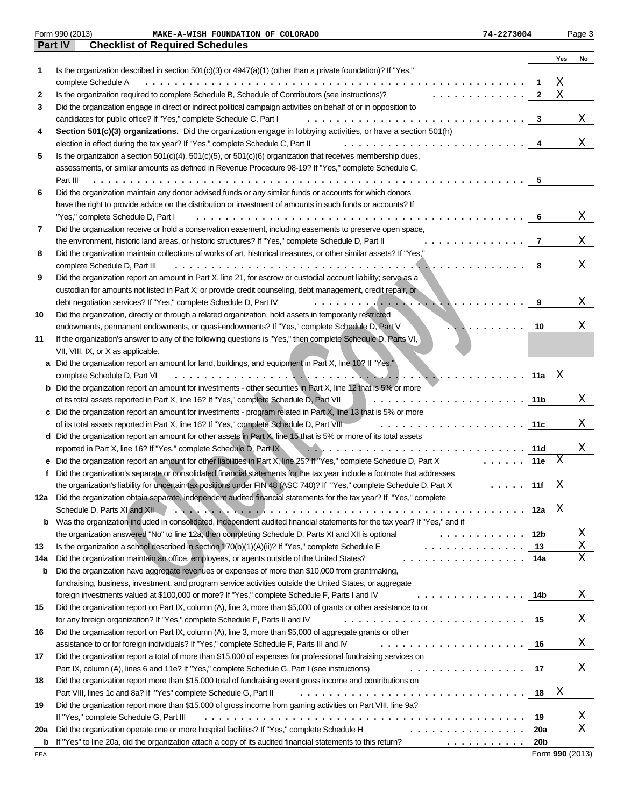|     | Form 990 (2013)<br>74-2273004<br>MAKE-A-WISH FOUNDATION OF COLORADO                                                        |                 |     | Page 3          |
|-----|----------------------------------------------------------------------------------------------------------------------------|-----------------|-----|-----------------|
|     | Part IV<br><b>Checklist of Required Schedules</b>                                                                          |                 |     |                 |
|     |                                                                                                                            |                 | Yes | No              |
| 1   | Is the organization described in section 501(c)(3) or 4947(a)(1) (other than a private foundation)? If "Yes,"              |                 |     |                 |
|     | complete Schedule A                                                                                                        | 1               | Χ   |                 |
| 2   | Is the organization required to complete Schedule B, Schedule of Contributors (see instructions)?                          | $\mathbf{2}$    | Χ   |                 |
| 3   | Did the organization engage in direct or indirect political campaign activities on behalf of or in opposition to           |                 |     |                 |
|     | candidates for public office? If "Yes," complete Schedule C, Part I                                                        | 3               |     | Χ               |
| 4   | Section 501(c)(3) organizations. Did the organization engage in lobbying activities, or have a section 501(h)              |                 |     |                 |
|     | election in effect during the tax year? If "Yes," complete Schedule C, Part II                                             | 4               |     | Χ               |
| 5   | Is the organization a section 501(c)(4), 501(c)(5), or 501(c)(6) organization that receives membership dues,               |                 |     |                 |
|     |                                                                                                                            |                 |     |                 |
|     | assessments, or similar amounts as defined in Revenue Procedure 98-19? If "Yes," complete Schedule C,                      |                 |     |                 |
|     | Part III                                                                                                                   | 5               |     |                 |
| 6   | Did the organization maintain any donor advised funds or any similar funds or accounts for which donors                    |                 |     |                 |
|     | have the right to provide advice on the distribution or investment of amounts in such funds or accounts? If                |                 |     |                 |
|     | "Yes," complete Schedule D, Part I                                                                                         | 6               |     | Χ               |
| 7   | Did the organization receive or hold a conservation easement, including easements to preserve open space,                  |                 |     |                 |
|     | the environment, historic land areas, or historic structures? If "Yes," complete Schedule D, Part II                       | 7               |     | Χ               |
| 8   | Did the organization maintain collections of works of art, historical treasures, or other similar assets? If "Yes,"        |                 |     |                 |
|     | complete Schedule D, Part III                                                                                              | 8               |     | Χ               |
| 9   | Did the organization report an amount in Part X, line 21, for escrow or custodial account liability; serve as a            |                 |     |                 |
|     | custodian for amounts not listed in Part X; or provide credit counseling, debt management, credit repair, or               |                 |     |                 |
|     | debt negotiation services? If "Yes," complete Schedule D, Part IV                                                          | 9               |     | Χ               |
| 10  | Did the organization, directly or through a related organization, hold assets in temporarily restricted                    |                 |     |                 |
|     | endowments, permanent endowments, or quasi-endowments? If "Yes," complete Schedule D, Part V                               | 10              |     | Χ               |
| 11  | If the organization's answer to any of the following questions is "Yes," then complete Schedule D, Parts VI,               |                 |     |                 |
|     | VII, VIII, IX, or X as applicable.                                                                                         |                 |     |                 |
|     | a Did the organization report an amount for land, buildings, and equipment in Part X, line 10? If "Yes,"                   |                 |     |                 |
|     | complete Schedule D, Part VI<br>.                                                                                          | 11a             | Χ   |                 |
|     | <b>b</b> Did the organization report an amount for investments - other securities in Part X, line 12 that is 5% or more    |                 |     |                 |
|     | of its total assets reported in Part X, line 16? If "Yes," complete Schedule D, Part VII                                   | 11b             |     | Χ               |
|     |                                                                                                                            |                 |     |                 |
|     | c Did the organization report an amount for investments - program related in Part X, line 13 that is 5% or more            |                 |     |                 |
|     | of its total assets reported in Part X, line 16? If "Yes," complete Schedule D, Part VIII                                  | 11c             |     | Χ               |
|     | d Did the organization report an amount for other assets in Part X, line 15 that is 5% or more of its total assets         |                 |     |                 |
|     | reported in Part X, line 16? If "Yes," complete Schedule D, Part IX                                                        | 11d             |     | Χ               |
|     | e Did the organization report an amount for other liabilities in Part X, line 25? If "Yes," complete Schedule D, Part X    | 11e             | Χ   |                 |
|     | Did the organization's separate or consolidated financial statements for the tax year include a footnote that addresses    |                 |     |                 |
|     | the organization's liability for uncertain tax positions under FIN 48 (ASC 740)? If "Yes," complete Schedule D, Part X     | 11f             | Χ   |                 |
|     | 12a Did the organization obtain separate, independent audited financial statements for the tax year? If "Yes," complete    |                 |     |                 |
|     | Schedule D, Parts XI and XII                                                                                               | 12a             | Χ   |                 |
| b   | Was the organization included in consolidated, independent audited financial statements for the tax year? If "Yes," and if |                 |     |                 |
|     | the organization answered "No" to line 12a, then completing Schedule D, Parts XI and XII is optional<br>.                  | 12b             |     | Χ               |
| 13  | Is the organization a school described in section 170(b)(1)(A)(ii)? If "Yes," complete Schedule E<br>.                     | 13              |     | Χ               |
| 14a | Did the organization maintain an office, employees, or agents outside of the United States?<br>.                           | 14a             |     | X               |
| b   | Did the organization have aggregate revenues or expenses of more than \$10,000 from grantmaking,                           |                 |     |                 |
|     | fundraising, business, investment, and program service activities outside the United States, or aggregate                  |                 |     |                 |
|     | foreign investments valued at \$100,000 or more? If "Yes," complete Schedule F, Parts I and IV                             | 14b             |     | Χ               |
| 15  | Did the organization report on Part IX, column (A), line 3, more than \$5,000 of grants or other assistance to or          |                 |     |                 |
|     | for any foreign organization? If "Yes," complete Schedule F, Parts II and IV                                               | 15              |     | Χ               |
| 16  |                                                                                                                            |                 |     |                 |
|     | Did the organization report on Part IX, column (A), line 3, more than \$5,000 of aggregate grants or other                 |                 |     | Χ               |
|     | assistance to or for foreign individuals? If "Yes," complete Schedule F, Parts III and IV<br>.                             | 16              |     |                 |
| 17  | Did the organization report a total of more than \$15,000 of expenses for professional fundraising services on             |                 |     |                 |
|     | Part IX, column (A), lines 6 and 11e? If "Yes," complete Schedule G, Part I (see instructions)<br>.                        | 17              |     | Χ               |
| 18  | Did the organization report more than \$15,000 total of fundraising event gross income and contributions on                |                 |     |                 |
|     | Part VIII, lines 1c and 8a? If "Yes" complete Schedule G, Part II                                                          | 18              | Χ   |                 |
| 19  | Did the organization report more than \$15,000 of gross income from gaming activities on Part VIII, line 9a?               |                 |     |                 |
|     | If "Yes," complete Schedule G, Part III                                                                                    | 19              |     | Χ               |
| 20a | Did the organization operate one or more hospital facilities? If "Yes," complete Schedule H<br>.                           | 20a             |     | X               |
| b   | If "Yes" to line 20a, did the organization attach a copy of its audited financial statements to this return?               | 20 <sub>b</sub> |     |                 |
| EEA |                                                                                                                            |                 |     | Form 990 (2013) |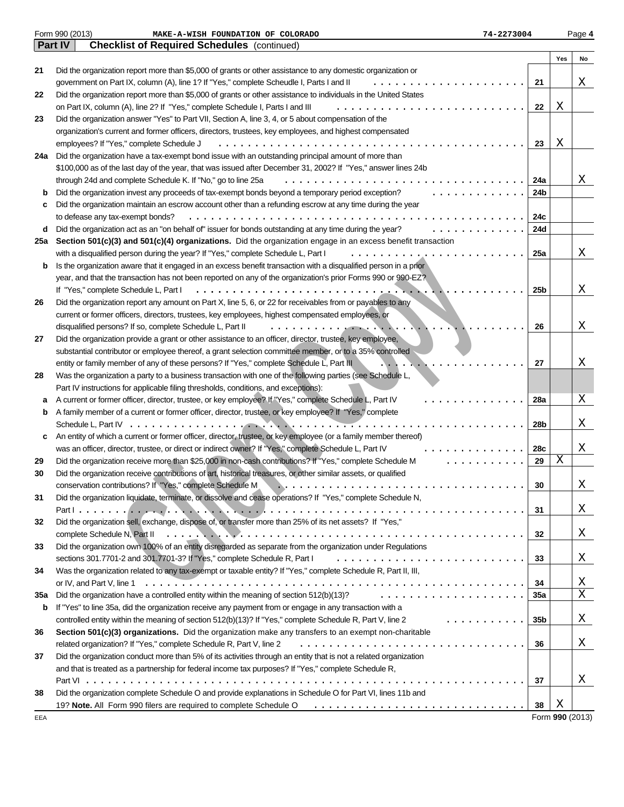|     | Form 990 (2013)<br>74-2273004<br>MAKE-A-WISH FOUNDATION OF COLORADO                                              |                 |     | Page 4          |
|-----|------------------------------------------------------------------------------------------------------------------|-----------------|-----|-----------------|
|     | Part IV<br><b>Checklist of Required Schedules</b> (continued)                                                    |                 |     |                 |
|     |                                                                                                                  |                 | Yes | No              |
| 21  | Did the organization report more than \$5,000 of grants or other assistance to any domestic organization or      |                 |     |                 |
|     | government on Part IX, column (A), line 1? If "Yes," complete Scheudle I, Parts I and II                         | 21              |     | Χ               |
| 22  | Did the organization report more than \$5,000 of grants or other assistance to individuals in the United States  |                 |     |                 |
|     | on Part IX, column (A), line 2? If "Yes," complete Schedule I, Parts I and III                                   | 22              | Χ   |                 |
| 23  | Did the organization answer "Yes" to Part VII, Section A, line 3, 4, or 5 about compensation of the              |                 |     |                 |
|     | organization's current and former officers, directors, trustees, key employees, and highest compensated          |                 |     |                 |
|     | employees? If "Yes," complete Schedule J<br>.                                                                    | 23              | Χ   |                 |
| 24a | Did the organization have a tax-exempt bond issue with an outstanding principal amount of more than              |                 |     |                 |
|     | \$100,000 as of the last day of the year, that was issued after December 31, 2002? If "Yes," answer lines 24b    |                 |     |                 |
|     | through 24d and complete Schedule K. If "No," go to line 25a                                                     | 24a             |     | Χ               |
| b   | Did the organization invest any proceeds of tax-exempt bonds beyond a temporary period exception?                | 24b             |     |                 |
| c   | Did the organization maintain an escrow account other than a refunding escrow at any time during the year        |                 |     |                 |
|     | to defease any tax-exempt bonds?                                                                                 | 24c             |     |                 |
| d   | Did the organization act as an "on behalf of" issuer for bonds outstanding at any time during the year?          | 24d             |     |                 |
| 25a | Section 501(c)(3) and 501(c)(4) organizations. Did the organization engage in an excess benefit transaction      |                 |     |                 |
|     | with a disqualified person during the year? If "Yes," complete Schedule L, Part I                                | 25a             |     | Χ               |
| b   | Is the organization aware that it engaged in an excess benefit transaction with a disqualified person in a prior |                 |     |                 |
|     | year, and that the transaction has not been reported on any of the organization's prior Forms 990 or 990-EZ?     |                 |     |                 |
|     | If "Yes," complete Schedule L, Part I                                                                            | 25 <sub>b</sub> |     | Χ               |
| 26  | Did the organization report any amount on Part X, line 5, 6, or 22 for receivables from or payables to any       |                 |     |                 |
|     | current or former officers, directors, trustees, key employees, highest compensated employees, or                |                 |     |                 |
|     | disqualified persons? If so, complete Schedule L, Part II<br>$\cdot \cdot \cdot \cdot \cdot$                     | 26              |     | Χ               |
| 27  | Did the organization provide a grant or other assistance to an officer, director, trustee, key employee,         |                 |     |                 |
|     | substantial contributor or employee thereof, a grant selection committee member, or to a 35% controlled          |                 |     |                 |
|     | entity or family member of any of these persons? If "Yes," complete Schedule L, Part III                         | 27              |     | Χ               |
| 28  | Was the organization a party to a business transaction with one of the following parties (see Schedule L,        |                 |     |                 |
|     | Part IV instructions for applicable filing thresholds, conditions, and exceptions):                              |                 |     |                 |
| а   | A current or former officer, director, trustee, or key employee? If "Yes," complete Schedule L, Part IV          | 28a             |     | Χ               |
| b   | A family member of a current or former officer, director, trustee, or key employee? If "Yes," complete           |                 |     |                 |
|     | Schedule L, Part IV<br>. <b>.</b>                                                                                | 28 <sub>b</sub> |     | Χ               |
| c   | An entity of which a current or former officer, director, trustee, or key employee (or a family member thereof)  |                 |     |                 |
|     | was an officer, director, trustee, or direct or indirect owner? If "Yes," complete Schedule L, Part IV           | 28c             |     | X               |
| 29  | Did the organization receive more than \$25,000 in non-cash contributions? If "Yes," complete Schedule M<br>.    | 29              | Χ   |                 |
| 30  | Did the organization receive contributions of art, historical treasures, or other similar assets, or qualified   |                 |     |                 |
|     | conservation contributions? If "Yes," complete Schedule M.                                                       | 30              |     | Χ               |
| 31  | Did the organization liquidate, terminate, or dissolve and cease operations? If "Yes," complete Schedule N,      |                 |     |                 |
|     |                                                                                                                  | 31              |     | Χ               |
| 32  | Did the organization sell, exchange, dispose of, or transfer more than 25% of its net assets? If "Yes,"          |                 |     |                 |
|     | complete Schedule N, Part II                                                                                     | 32              |     | Χ               |
| 33  | Did the organization own 100% of an entity disregarded as separate from the organization under Regulations       |                 |     |                 |
|     | sections 301.7701-2 and 301.7701-3? If "Yes," complete Schedule R, Part I                                        | 33              |     | Χ               |
| 34  | Was the organization related to any tax-exempt or taxable entity? If "Yes," complete Schedule R, Part II, III,   |                 |     |                 |
|     | or IV, and Part V, line 1                                                                                        | 34              |     | Χ               |
| 35a | Did the organization have a controlled entity within the meaning of section 512(b)(13)?                          | 35a             |     | X               |
| b   | If "Yes" to line 35a, did the organization receive any payment from or engage in any transaction with a          |                 |     |                 |
|     | controlled entity within the meaning of section 512(b)(13)? If "Yes," complete Schedule R, Part V, line 2<br>.   | 35 <sub>b</sub> |     | Χ               |
| 36  | Section 501(c)(3) organizations. Did the organization make any transfers to an exempt non-charitable             |                 |     |                 |
|     | related organization? If "Yes," complete Schedule R, Part V, line 2                                              | 36              |     | Χ               |
| 37  | Did the organization conduct more than 5% of its activities through an entity that is not a related organization |                 |     |                 |
|     | and that is treated as a partnership for federal income tax purposes? If "Yes," complete Schedule R,             |                 |     |                 |
|     | .                                                                                                                | 37              |     | Χ               |
| 38  | Did the organization complete Schedule O and provide explanations in Schedule O for Part VI, lines 11b and       |                 |     |                 |
|     | 19? Note. All Form 990 filers are required to complete Schedule O                                                | 38              | Χ   |                 |
| EEA |                                                                                                                  |                 |     | Form 990 (2013) |
|     |                                                                                                                  |                 |     |                 |

Form **990** (2013)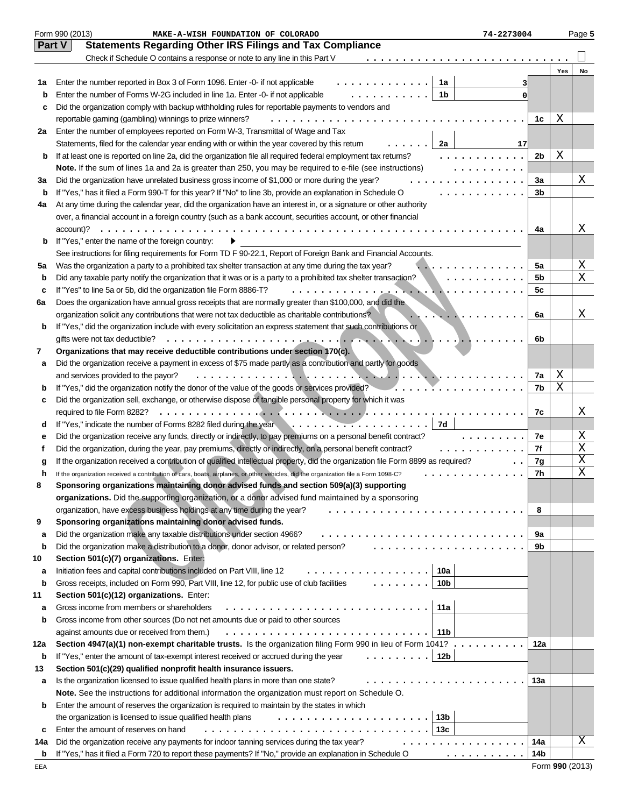|             | Form 990 (2013)<br>MAKE-A-WISH FOUNDATION OF COLORADO                                                                                                                                                                                                                       | 74-2273004     |     | Page 5 |
|-------------|-----------------------------------------------------------------------------------------------------------------------------------------------------------------------------------------------------------------------------------------------------------------------------|----------------|-----|--------|
|             | Part V<br><b>Statements Regarding Other IRS Filings and Tax Compliance</b>                                                                                                                                                                                                  |                |     |        |
|             | Check if Schedule O contains a response or note to any line in this Part V<br>.                                                                                                                                                                                             |                |     |        |
|             |                                                                                                                                                                                                                                                                             |                | Yes | No     |
| 1a          | Enter the number reported in Box 3 of Form 1096. Enter -0- if not applicable<br>1a                                                                                                                                                                                          |                |     |        |
| $\mathbf b$ | 1 <sub>b</sub><br>Enter the number of Forms W-2G included in line 1a. Enter -0- if not applicable<br>.                                                                                                                                                                      | 0              |     |        |
| c           | Did the organization comply with backup withholding rules for reportable payments to vendors and                                                                                                                                                                            |                |     |        |
|             | reportable gaming (gambling) winnings to prize winners?<br>.                                                                                                                                                                                                                | 1c             | Χ   |        |
| 2a          | Enter the number of employees reported on Form W-3, Transmittal of Wage and Tax                                                                                                                                                                                             |                |     |        |
|             | Statements, filed for the calendar year ending with or within the year covered by this return<br>2a                                                                                                                                                                         | 17             |     |        |
| b           | If at least one is reported on line 2a, did the organization file all required federal employment tax returns?<br>.                                                                                                                                                         | 2b             | Χ   |        |
|             | Note. If the sum of lines 1a and 2a is greater than 250, you may be required to e-file (see instructions)<br>.                                                                                                                                                              |                |     |        |
| За          | Did the organization have unrelated business gross income of \$1,000 or more during the year?<br>.                                                                                                                                                                          | 3a             |     | Χ      |
| b           | If "Yes," has it filed a Form 990-T for this year? If "No" to line 3b, provide an explanation in Schedule O<br>.                                                                                                                                                            | 3 <sub>b</sub> |     |        |
| 4a          | At any time during the calendar year, did the organization have an interest in, or a signature or other authority                                                                                                                                                           |                |     |        |
|             | over, a financial account in a foreign country (such as a bank account, securities account, or other financial                                                                                                                                                              |                |     |        |
|             | account)?                                                                                                                                                                                                                                                                   | 4a             |     | Χ      |
| b           | If "Yes," enter the name of the foreign country:                                                                                                                                                                                                                            |                |     |        |
|             | See instructions for filing requirements for Form TD F 90-22.1, Report of Foreign Bank and Financial Accounts.                                                                                                                                                              |                |     |        |
| 5a          | Was the organization a party to a prohibited tax shelter transaction at any time during the tax year?<br>.                                                                                                                                                                  | 5a             |     | Χ      |
| b           | Did any taxable party notify the organization that it was or is a party to a prohibited tax shelter transaction?<br>.                                                                                                                                                       | 5 <sub>b</sub> |     | Χ      |
| c           | If "Yes" to line 5a or 5b, did the organization file Form 8886-T?                                                                                                                                                                                                           | 5c             |     |        |
| 6a          | Does the organization have annual gross receipts that are normally greater than \$100,000, and did the                                                                                                                                                                      |                |     |        |
|             | organization solicit any contributions that were not tax deductible as charitable contributions?<br>. . <b>.</b>                                                                                                                                                            | 6a             |     | Χ      |
| b           | If "Yes," did the organization include with every solicitation an express statement that such contributions or                                                                                                                                                              |                |     |        |
|             | . <u>.</u><br>gifts were not tax deductible?                                                                                                                                                                                                                                | 6b             |     |        |
| 7           | Organizations that may receive deductible contributions under section 170(c).                                                                                                                                                                                               |                |     |        |
| а           | Did the organization receive a payment in excess of \$75 made partly as a contribution and partly for goods                                                                                                                                                                 |                |     |        |
|             | and services provided to the payor?                                                                                                                                                                                                                                         | 7a             | Χ   |        |
| b           | If "Yes," did the organization notify the donor of the value of the goods or services provided?                                                                                                                                                                             | 7b             | Χ   |        |
| c           | Did the organization sell, exchange, or otherwise dispose of tangible personal property for which it was                                                                                                                                                                    |                |     |        |
|             | required to file Form 8282?                                                                                                                                                                                                                                                 | 7c             |     | X      |
| d           | 7d                                                                                                                                                                                                                                                                          |                |     |        |
| е           | Did the organization receive any funds, directly or indirectly, to pay premiums on a personal benefit contract?                                                                                                                                                             | 7e<br>.        |     | X      |
| f           | Did the organization, during the year, pay premiums, directly or indirectly, on a personal benefit contract?<br>.                                                                                                                                                           | 7f             |     | Χ      |
| g           | If the organization received a contribution of qualified intellectual property, did the organization file Form 8899 as required?                                                                                                                                            | 7g             |     | X      |
| h           | If the organization received a contribution of cars, boats, airplanes, or other vehicles, did the organization file a Form 1098-C?<br>.                                                                                                                                     | 7h             |     | Χ      |
|             | Sponsoring organizations maintaining donor advised funds and section 509(a)(3) supporting                                                                                                                                                                                   |                |     |        |
|             | organizations. Did the supporting organization, or a donor advised fund maintained by a sponsoring                                                                                                                                                                          |                |     |        |
|             | organization, have excess business holdings at any time during the year?<br>.                                                                                                                                                                                               | 8              |     |        |
| 9           | Sponsoring organizations maintaining donor advised funds.                                                                                                                                                                                                                   |                |     |        |
| а           | Did the organization make any taxable distributions under section 4966?                                                                                                                                                                                                     | 9a             |     |        |
| b           | .<br>Did the organization make a distribution to a donor, donor advisor, or related person?                                                                                                                                                                                 | 9b             |     |        |
| 10          | Section 501(c)(7) organizations. Enter:                                                                                                                                                                                                                                     |                |     |        |
| а           | 10a<br>Initiation fees and capital contributions included on Part VIII, line 12<br>.                                                                                                                                                                                        |                |     |        |
| b           | $\frac{1}{2}$ $\frac{1}{2}$ $\frac{1}{2}$ $\frac{1}{2}$ $\frac{1}{2}$ $\frac{1}{2}$ $\frac{1}{2}$ $\frac{1}{2}$ $\frac{1}{2}$ $\frac{1}{2}$ $\frac{1}{2}$<br>Gross receipts, included on Form 990, Part VIII, line 12, for public use of club facilities<br>10 <sub>b</sub> |                |     |        |
| 11          | Section 501(c)(12) organizations. Enter:                                                                                                                                                                                                                                    |                |     |        |
| а           | Gross income from members or shareholders<br>11a                                                                                                                                                                                                                            |                |     |        |
| b           | Gross income from other sources (Do not net amounts due or paid to other sources                                                                                                                                                                                            |                |     |        |
|             | against amounts due or received from them.)<br>11b                                                                                                                                                                                                                          |                |     |        |
| 12a         | Section 4947(a)(1) non-exempt charitable trusts. Is the organization filing Form 990 in lieu of Form 1041? .                                                                                                                                                                | 12a            |     |        |
| b           | 12b<br>If "Yes," enter the amount of tax-exempt interest received or accrued during the year                                                                                                                                                                                |                |     |        |
| 13          | Section 501(c)(29) qualified nonprofit health insurance issuers.                                                                                                                                                                                                            |                |     |        |
| а           | Is the organization licensed to issue qualified health plans in more than one state?                                                                                                                                                                                        | 13а            |     |        |
|             | <b>Note.</b> See the instructions for additional information the organization must report on Schedule O.                                                                                                                                                                    |                |     |        |
| b           | Enter the amount of reserves the organization is required to maintain by the states in which                                                                                                                                                                                |                |     |        |
|             | 13 <sub>b</sub><br>the organization is licensed to issue qualified health plans                                                                                                                                                                                             |                |     |        |
| c           | 13c<br>Enter the amount of reserves on hand                                                                                                                                                                                                                                 |                |     |        |
| 14a         | Did the organization receive any payments for indoor tanning services during the tax year?<br>.                                                                                                                                                                             | 14a            |     | Χ      |
| b           | If "Yes," has it filed a Form 720 to report these payments? If "No," provide an explanation in Schedule O<br>.                                                                                                                                                              | 14b            |     |        |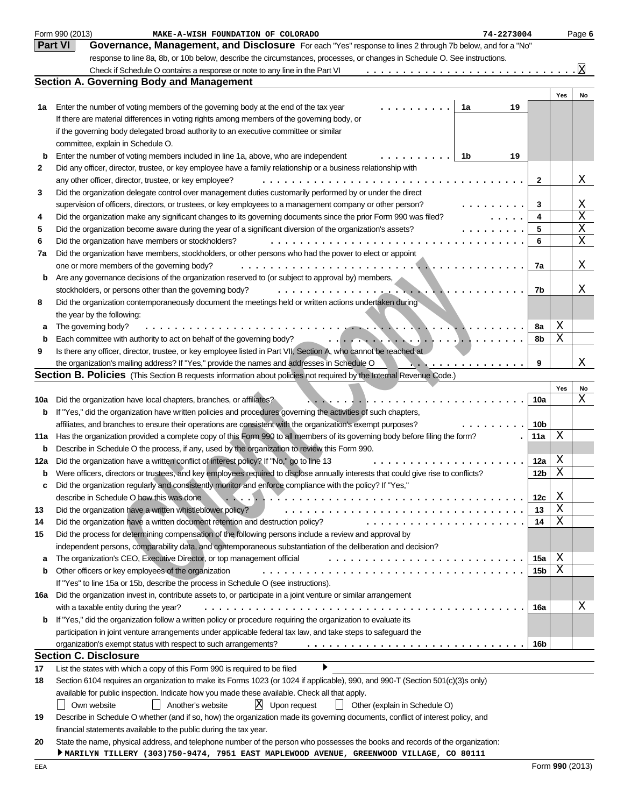|     | Form 990 (2013)<br>MAKE-A-WISH FOUNDATION OF COLORADO<br>74-2273004                                                                                                                                   |                 |        | Page 6  |
|-----|-------------------------------------------------------------------------------------------------------------------------------------------------------------------------------------------------------|-----------------|--------|---------|
|     | <b>Part VI</b><br>Governance, Management, and Disclosure For each "Yes" response to lines 2 through 7b below, and for a "No"                                                                          |                 |        |         |
|     | response to line 8a, 8b, or 10b below, describe the circumstances, processes, or changes in Schedule O. See instructions.                                                                             |                 |        |         |
|     | Check if Schedule O contains a response or note to any line in the Part VI                                                                                                                            |                 |        | k       |
|     | <b>Section A. Governing Body and Management</b>                                                                                                                                                       |                 |        |         |
|     |                                                                                                                                                                                                       |                 | Yes    | No      |
| 1a  | Enter the number of voting members of the governing body at the end of the tax year<br>19<br>1a                                                                                                       |                 |        |         |
|     | If there are material differences in voting rights among members of the governing body, or                                                                                                            |                 |        |         |
|     | if the governing body delegated broad authority to an executive committee or similar                                                                                                                  |                 |        |         |
|     | committee, explain in Schedule O.                                                                                                                                                                     |                 |        |         |
| b   | Enter the number of voting members included in line 1a, above, who are independent<br>1b<br>19                                                                                                        |                 |        |         |
| 2   | Did any officer, director, trustee, or key employee have a family relationship or a business relationship with                                                                                        |                 |        |         |
|     | any other officer, director, trustee, or key employee?                                                                                                                                                | 2               |        | Χ       |
| 3   | Did the organization delegate control over management duties customarily performed by or under the direct                                                                                             |                 |        |         |
|     | supervision of officers, directors, or trustees, or key employees to a management company or other person?<br>.                                                                                       | 3               |        | Χ       |
| 4   | Did the organization make any significant changes to its governing documents since the prior Form 990 was filed?<br>$\cdot$                                                                           | 4               |        | Χ       |
| 5   | Did the organization become aware during the year of a significant diversion of the organization's assets?<br>.                                                                                       | 5               |        | Χ       |
| 6   | Did the organization have members or stockholders?<br>.                                                                                                                                               | 6               |        | Χ       |
| 7a  | Did the organization have members, stockholders, or other persons who had the power to elect or appoint                                                                                               |                 |        |         |
|     | one or more members of the governing body?<br>.                                                                                                                                                       | 7a              |        | Χ       |
| b   | Are any governance decisions of the organization reserved to (or subject to approval by) members,                                                                                                     |                 |        |         |
|     | stockholders, or persons other than the governing body?<br>. <u>.</u><br>$\mathbf{L}$ , $\mathbf{L}$<br>.                                                                                             | 7b              |        | Χ       |
| 8   | Did the organization contemporaneously document the meetings held or written actions undertaken during                                                                                                |                 |        |         |
|     | the year by the following:                                                                                                                                                                            |                 |        |         |
| а   | The governing body?<br>.                                                                                                                                                                              | 8a              | Χ      |         |
| b   | Each committee with authority to act on behalf of the governing body?                                                                                                                                 | 8b              | Χ      |         |
| 9   | Is there any officer, director, trustee, or key employee listed in Part VII, Section A, who cannot be reached at                                                                                      |                 |        |         |
|     | the organization's mailing address? If "Yes," provide the names and addresses in Schedule O<br>.                                                                                                      | 9               |        | Χ       |
|     | Section B. Policies (This Section B requests information about policies not required by the Internal Revenue Code.)                                                                                   |                 |        |         |
|     |                                                                                                                                                                                                       |                 | Yes    | No<br>Χ |
| 10a | Did the organization have local chapters, branches, or affiliates?                                                                                                                                    | 10a             |        |         |
| b   | If "Yes," did the organization have written policies and procedures governing the activities of such chapters,                                                                                        |                 |        |         |
|     | affiliates, and branches to ensure their operations are consistent with the organization's exempt purposes?                                                                                           | 10 <sub>b</sub> |        |         |
| 11a | Has the organization provided a complete copy of this Form 990 to all members of its governing body before filing the form?                                                                           | 11a             | Χ      |         |
| b   | Describe in Schedule O the process, if any, used by the organization to review this Form 990.                                                                                                         |                 |        |         |
| 12a | Did the organization have a written conflict of interest policy? If "No," go to line 13                                                                                                               | 12a             | Χ      |         |
| b   | Were officers, directors or trustees, and key employees required to disclose annually interests that could give rise to conflicts?                                                                    | 12 <sub>b</sub> | Χ      |         |
|     | Did the organization regularly and consistently monitor and enforce compliance with the policy? If "Yes,"                                                                                             |                 |        |         |
|     | describe in Schedule O how this was done                                                                                                                                                              | 12c             | Χ<br>Χ |         |
| 13  | Did the organization have a written whistleblower policy?                                                                                                                                             | 13              | Χ      |         |
| 14  | Did the organization have a written document retention and destruction policy?                                                                                                                        | 14              |        |         |
| 15  | Did the process for determining compensation of the following persons include a review and approval by                                                                                                |                 |        |         |
|     | independent persons, comparability data, and contemporaneous substantiation of the deliberation and decision?                                                                                         |                 |        |         |
| a   | The organization's CEO, Executive Director, or top management official                                                                                                                                | 15a<br>15b      | Χ<br>Χ |         |
| b   | Other officers or key employees of the organization                                                                                                                                                   |                 |        |         |
|     | If "Yes" to line 15a or 15b, describe the process in Schedule O (see instructions).<br>Did the organization invest in, contribute assets to, or participate in a joint venture or similar arrangement |                 |        |         |
| 16а |                                                                                                                                                                                                       | 16a             |        | Χ       |
|     | with a taxable entity during the year?<br>If "Yes," did the organization follow a written policy or procedure requiring the organization to evaluate its                                              |                 |        |         |
| b   | participation in joint venture arrangements under applicable federal tax law, and take steps to safeguard the                                                                                         |                 |        |         |
|     | organization's exempt status with respect to such arrangements?                                                                                                                                       | 16b             |        |         |
|     | <b>Section C. Disclosure</b>                                                                                                                                                                          |                 |        |         |
| 17  | List the states with which a copy of this Form 990 is required to be filed                                                                                                                            |                 |        |         |
| 18  | Section 6104 requires an organization to make its Forms 1023 (or 1024 if applicable), 990, and 990-T (Section 501(c)(3)s only)                                                                        |                 |        |         |
|     | available for public inspection. Indicate how you made these available. Check all that apply.                                                                                                         |                 |        |         |
|     | $X$ Upon request<br>Another's website<br>Own website<br>$\Box$ Other (explain in Schedule O)<br>$\perp$                                                                                               |                 |        |         |
| 19  | Describe in Schedule O whether (and if so, how) the organization made its governing documents, conflict of interest policy, and                                                                       |                 |        |         |
|     | financial statements available to the public during the tax year.                                                                                                                                     |                 |        |         |
| 20  | State the name, physical address, and telephone number of the person who possesses the books and records of the organization:                                                                         |                 |        |         |
|     | MARILYN TILLERY (303)750-9474, 7951 EAST MAPLEWOOD AVENUE, GREENWOOD VILLAGE, CO 80111                                                                                                                |                 |        |         |
|     |                                                                                                                                                                                                       |                 |        |         |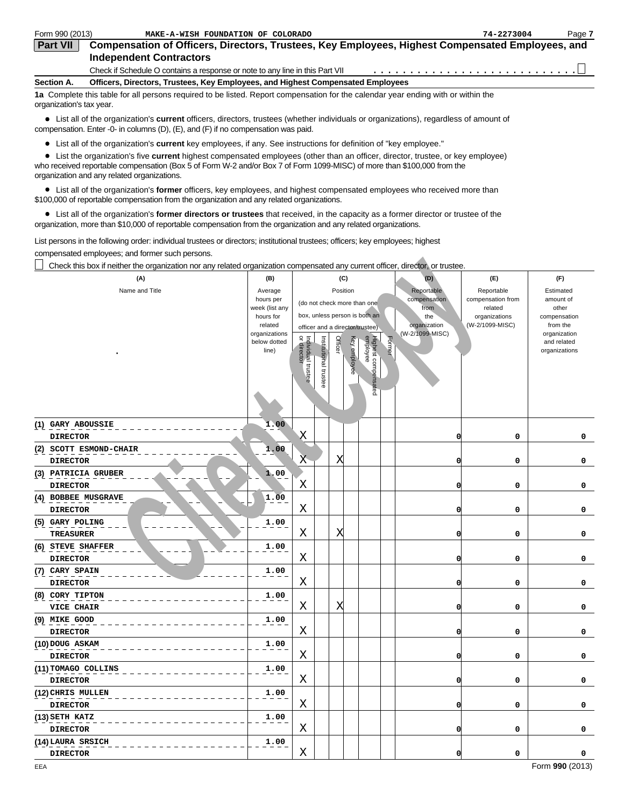| Form 990 (2013)          | MAKE-A-WISH FOUNDATION OF COLORADO                                                                                                | 74-2273004 | Page 7 |
|--------------------------|-----------------------------------------------------------------------------------------------------------------------------------|------------|--------|
| <b>Part VII</b>          | Compensation of Officers, Directors, Trustees, Key Employees, Highest Compensated Employees, and                                  |            |        |
|                          | <b>Independent Contractors</b>                                                                                                    |            |        |
|                          | Check if Schedule O contains a response or note to any line in this Part VII                                                      |            |        |
| Section A.               | Officers, Directors, Trustees, Key Employees, and Highest Compensated Employees                                                   |            |        |
| organization's tax year. | 1a Complete this table for all persons required to be listed. Report compensation for the calendar year ending with or within the |            |        |

List all of the organization's **current** officers, directors, trustees (whether individuals or organizations), regardless of amount of compensation. Enter -0- in columns (D), (E), and (F) if no compensation was paid.

List all of the organization's **current** key employees, if any. See instructions for definition of "key employee."

List the organization's five **current** highest compensated employees (other than an officer, director, trustee, or key employee)

who received reportable compensation (Box 5 of Form W-2 and/or Box 7 of Form 1099-MISC) of more than \$100,000 from the organization and any related organizations.

List all of the organization's **former** officers, key employees, and highest compensated employees who received more than \$100,000 of reportable compensation from the organization and any related organizations.

List all of the organization's **former directors or trustees** that received, in the capacity as a former director or trustee of the organization, more than \$10,000 of reportable compensation from the organization and any related organizations.

List persons in the following order: individual trustees or directors; institutional trustees; officers; key employees; highest compensated employees; and former such persons.

| Check this box if neither the organization nor any related organization compensated any current officer, director, or trustee. |                                                                                                          |                                   |                       |                                                                                                       |                                                                  |        |                                                                              |                                                                                |                                                                                                             |
|--------------------------------------------------------------------------------------------------------------------------------|----------------------------------------------------------------------------------------------------------|-----------------------------------|-----------------------|-------------------------------------------------------------------------------------------------------|------------------------------------------------------------------|--------|------------------------------------------------------------------------------|--------------------------------------------------------------------------------|-------------------------------------------------------------------------------------------------------------|
| (A)                                                                                                                            | (B)                                                                                                      |                                   |                       | (C)                                                                                                   |                                                                  |        | (D)                                                                          | (E)                                                                            | (F)                                                                                                         |
| Name and Title                                                                                                                 | Average<br>hours per<br>week (list any<br>hours for<br>related<br>organizations<br>below dotted<br>line) | or director<br>Individual trustee | Institutional trustee | Position<br>(do not check more than one<br>officer and a director/trustee)<br>Officer<br>Key employee | box, unless person is both an<br>Highest compensated<br>employee | Former | Reportable<br>compensation<br>from<br>the<br>organization<br>(W-2/1099-MISC) | Reportable<br>compensation from<br>related<br>organizations<br>(W-2/1099-MISC) | Estimated<br>amount of<br>other<br>compensation<br>from the<br>organization<br>and related<br>organizations |
| (1) GARY ABOUSSIE<br><b>DIRECTOR</b>                                                                                           | 1.00                                                                                                     | Χ                                 |                       |                                                                                                       |                                                                  |        | O                                                                            | 0                                                                              | 0                                                                                                           |
| (2) SCOTT ESMOND-CHAIR<br><b>DIRECTOR</b>                                                                                      | 1.00                                                                                                     | X                                 |                       | Χ                                                                                                     |                                                                  |        | $\overline{0}$                                                               | 0                                                                              | 0                                                                                                           |
| (3) PATRICIA GRUBER<br><b>DIRECTOR</b>                                                                                         | 1,00                                                                                                     | X                                 |                       |                                                                                                       |                                                                  |        | 0                                                                            | $\mathbf 0$                                                                    | 0                                                                                                           |
| $(4)$ BOBBEE MUSGRAVE<br><b>DIRECTOR</b>                                                                                       | $1.\overline{0}0$                                                                                        | Χ                                 |                       |                                                                                                       |                                                                  |        | 0                                                                            | 0                                                                              | 0                                                                                                           |
| $(5)$ GARY POLING<br><b>TREASURER</b>                                                                                          | 1.00                                                                                                     | X                                 |                       | Χ                                                                                                     |                                                                  |        | 0                                                                            | $\mathbf 0$                                                                    | 0                                                                                                           |
| (6) STEVE SHAFFER<br><b>DIRECTOR</b>                                                                                           | 1.00                                                                                                     | Χ                                 |                       |                                                                                                       |                                                                  |        | 0                                                                            | 0                                                                              | 0                                                                                                           |
| (7) CARY SPAIN<br><b>DIRECTOR</b>                                                                                              | 1.00                                                                                                     | X                                 |                       |                                                                                                       |                                                                  |        | O                                                                            | $\mathbf 0$                                                                    | 0                                                                                                           |
| (8) CORY TIPTON<br>VICE CHAIR                                                                                                  | 1.00                                                                                                     | $\rm X$                           |                       | X                                                                                                     |                                                                  |        | O                                                                            | 0                                                                              | 0                                                                                                           |
| $(9)$ MIKE GOOD<br><b>DIRECTOR</b>                                                                                             | 1.00                                                                                                     | X                                 |                       |                                                                                                       |                                                                  |        | O                                                                            | 0                                                                              | 0                                                                                                           |
| (10) DOUG ASKAM<br><b>DIRECTOR</b>                                                                                             | 1.00                                                                                                     | X                                 |                       |                                                                                                       |                                                                  |        | $\overline{0}$                                                               | 0                                                                              | 0                                                                                                           |
| (11) TOMAGO COLLINS<br><b>DIRECTOR</b>                                                                                         | 1.00                                                                                                     | X                                 |                       |                                                                                                       |                                                                  |        | $\mathbf 0$                                                                  | $\mathbf 0$                                                                    | 0                                                                                                           |
| (12) CHRIS MULLEN<br><b>DIRECTOR</b>                                                                                           | 1.00                                                                                                     | Χ                                 |                       |                                                                                                       |                                                                  |        | 0                                                                            | 0                                                                              | 0                                                                                                           |
| (13) SETH KATZ<br><b>DIRECTOR</b>                                                                                              | 1.00                                                                                                     | Χ                                 |                       |                                                                                                       |                                                                  |        | O                                                                            | $\mathbf 0$                                                                    | 0                                                                                                           |
| (14)LAURA SRSICH<br><b>DIRECTOR</b>                                                                                            | 1.00                                                                                                     | X                                 |                       |                                                                                                       |                                                                  |        | O                                                                            | 0                                                                              | 0                                                                                                           |
|                                                                                                                                |                                                                                                          |                                   |                       |                                                                                                       |                                                                  |        |                                                                              |                                                                                |                                                                                                             |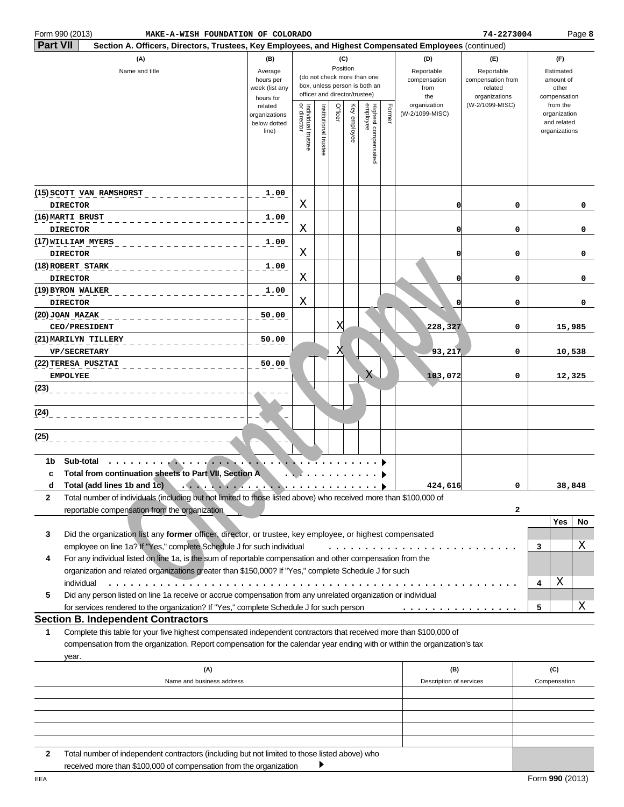|                 | Form 990 (2013)<br>MAKE-A-WISH FOUNDATION OF COLORADO                                                                         |                      |                                   |               |          |              |                                                                |        |                         | 74-2273004                       |   |                          | Page 8 |
|-----------------|-------------------------------------------------------------------------------------------------------------------------------|----------------------|-----------------------------------|---------------|----------|--------------|----------------------------------------------------------------|--------|-------------------------|----------------------------------|---|--------------------------|--------|
| <b>Part VII</b> | Section A. Officers, Directors, Trustees, Key Employees, and Highest Compensated Employees (continued)                        |                      |                                   |               |          |              |                                                                |        |                         |                                  |   |                          |        |
|                 | (A)                                                                                                                           | (B)                  |                                   |               | (C)      |              |                                                                |        | (D)                     | (E)                              |   | (F)                      |        |
|                 | Name and title                                                                                                                | Average              |                                   |               | Position |              |                                                                |        | Reportable              | Reportable                       |   | Estimated                |        |
|                 |                                                                                                                               | hours per            |                                   |               |          |              | (do not check more than one                                    |        | compensation            | compensation from                |   | amount of                |        |
|                 |                                                                                                                               | week (list any       |                                   |               |          |              | box, unless person is both an<br>officer and director/trustee) |        | from                    | related                          |   | other                    |        |
|                 |                                                                                                                               | hours for<br>related |                                   |               |          |              |                                                                |        | the<br>organization     | organizations<br>(W-2/1099-MISC) |   | compensation<br>from the |        |
|                 |                                                                                                                               | organizations        | Individual trustee<br>or director | Institutional | Officer  | Key employee | Highest compensated<br>employee                                | Former | (W-2/1099-MISC)         |                                  |   | organization             |        |
|                 |                                                                                                                               | below dotted         |                                   |               |          |              |                                                                |        |                         |                                  |   | and related              |        |
|                 |                                                                                                                               | line)                |                                   |               |          |              |                                                                |        |                         |                                  |   | organizations            |        |
|                 |                                                                                                                               |                      |                                   | trustee       |          |              |                                                                |        |                         |                                  |   |                          |        |
|                 |                                                                                                                               |                      |                                   |               |          |              |                                                                |        |                         |                                  |   |                          |        |
|                 |                                                                                                                               |                      |                                   |               |          |              |                                                                |        |                         |                                  |   |                          |        |
|                 |                                                                                                                               |                      |                                   |               |          |              |                                                                |        |                         |                                  |   |                          |        |
|                 | (15) SCOTT VAN RAMSHORST                                                                                                      | 1.00                 |                                   |               |          |              |                                                                |        |                         |                                  |   |                          |        |
|                 | <b>DIRECTOR</b>                                                                                                               |                      | Χ                                 |               |          |              |                                                                |        | 0                       | 0                                |   |                          | 0      |
|                 | (16) MARTI BRUST                                                                                                              | 1.00                 |                                   |               |          |              |                                                                |        |                         |                                  |   |                          |        |
|                 | <b>DIRECTOR</b>                                                                                                               |                      | Χ                                 |               |          |              |                                                                |        | 0                       | 0                                |   |                          | 0      |
|                 | (17) WILLIAM MYERS                                                                                                            | 1.00                 |                                   |               |          |              |                                                                |        |                         |                                  |   |                          |        |
|                 | <b>DIRECTOR</b>                                                                                                               |                      | Χ                                 |               |          |              |                                                                |        | 0                       | 0                                |   |                          | 0      |
|                 | (18) ROBERT STARK                                                                                                             | 1.00                 |                                   |               |          |              |                                                                |        |                         |                                  |   |                          |        |
|                 |                                                                                                                               |                      | Χ                                 |               |          |              |                                                                |        |                         |                                  |   |                          |        |
|                 | <b>DIRECTOR</b>                                                                                                               |                      |                                   |               |          |              |                                                                |        | 0                       | 0                                |   |                          | 0      |
|                 | (19) BYRON WALKER                                                                                                             | 1.00                 |                                   |               |          |              |                                                                |        |                         |                                  |   |                          |        |
|                 | <b>DIRECTOR</b>                                                                                                               |                      | Χ                                 |               |          |              |                                                                |        | 0                       | 0                                |   |                          | 0      |
|                 | (20) JOAN MAZAK                                                                                                               | 50.00                |                                   |               |          |              |                                                                |        |                         |                                  |   |                          |        |
|                 | CEO/PRESIDENT                                                                                                                 |                      |                                   |               | Χ        |              |                                                                |        | 228,327                 | 0                                |   | 15,985                   |        |
|                 | (21) MARILYN TILLERY                                                                                                          | 50.00                |                                   |               |          |              |                                                                |        |                         |                                  |   |                          |        |
|                 | <b>VP/SECRETARY</b>                                                                                                           |                      |                                   |               | Χ        |              |                                                                |        | 93,217                  | 0                                |   | 10,538                   |        |
|                 | (22) TERESA PUSZTAI                                                                                                           | 50.00                |                                   |               |          |              |                                                                |        |                         |                                  |   |                          |        |
|                 | <b>EMPOLYEE</b>                                                                                                               |                      |                                   |               |          |              | X                                                              |        | 103,072                 | 0                                |   | 12,325                   |        |
| (23)            |                                                                                                                               |                      |                                   |               |          |              |                                                                |        |                         |                                  |   |                          |        |
|                 |                                                                                                                               |                      |                                   |               |          |              |                                                                |        |                         |                                  |   |                          |        |
| (24)            |                                                                                                                               |                      |                                   |               |          |              |                                                                |        |                         |                                  |   |                          |        |
|                 |                                                                                                                               |                      |                                   |               |          |              |                                                                |        |                         |                                  |   |                          |        |
| (25)            |                                                                                                                               |                      |                                   |               |          |              |                                                                |        |                         |                                  |   |                          |        |
|                 |                                                                                                                               |                      |                                   |               |          |              |                                                                |        |                         |                                  |   |                          |        |
| 1b              | Sub-total<br>. <b>.</b>                                                                                                       |                      |                                   |               |          |              |                                                                |        |                         |                                  |   |                          |        |
| c               | Total from continuation sheets to Part VII, Section A                                                                         |                      |                                   |               |          |              |                                                                |        |                         |                                  |   |                          |        |
| d               | Total (add lines 1b and 1c)<br><b>Service</b>                                                                                 |                      |                                   |               |          |              |                                                                |        | 424,616                 | 0                                |   | 38,848                   |        |
|                 | $\cdots$<br>Total number of individuals (including but not limited to those listed above) who received more than \$100,000 of | .                    |                                   |               |          |              |                                                                |        |                         |                                  |   |                          |        |
| 2               |                                                                                                                               |                      |                                   |               |          |              |                                                                |        |                         |                                  |   |                          |        |
|                 | reportable compensation from the organization                                                                                 |                      |                                   |               |          |              |                                                                |        |                         | 2                                |   |                          |        |
|                 |                                                                                                                               |                      |                                   |               |          |              |                                                                |        |                         |                                  |   | Yes                      | No     |
| 3               | Did the organization list any former officer, director, or trustee, key employee, or highest compensated                      |                      |                                   |               |          |              |                                                                |        |                         |                                  |   |                          |        |
|                 | employee on line 1a? If "Yes," complete Schedule J for such individual                                                        |                      |                                   |               |          |              |                                                                |        |                         |                                  | 3 |                          | Χ      |
| 4               | For any individual listed on line 1a, is the sum of reportable compensation and other compensation from the                   |                      |                                   |               |          |              |                                                                |        |                         |                                  |   |                          |        |
|                 | organization and related organizations greater than \$150,000? If "Yes," complete Schedule J for such                         |                      |                                   |               |          |              |                                                                |        |                         |                                  |   |                          |        |
|                 | individual<br>.                                                                                                               |                      |                                   |               |          |              |                                                                |        |                         |                                  | 4 | Χ                        |        |
| 5               | Did any person listed on line 1a receive or accrue compensation from any unrelated organization or individual                 |                      |                                   |               |          |              |                                                                |        |                         |                                  |   |                          |        |
|                 | for services rendered to the organization? If "Yes," complete Schedule J for such person                                      |                      |                                   |               |          |              |                                                                |        | .                       |                                  | 5 |                          | Χ      |
|                 | <b>Section B. Independent Contractors</b>                                                                                     |                      |                                   |               |          |              |                                                                |        |                         |                                  |   |                          |        |
| 1               | Complete this table for your five highest compensated independent contractors that received more than \$100,000 of            |                      |                                   |               |          |              |                                                                |        |                         |                                  |   |                          |        |
|                 | compensation from the organization. Report compensation for the calendar year ending with or within the organization's tax    |                      |                                   |               |          |              |                                                                |        |                         |                                  |   |                          |        |
|                 | year.                                                                                                                         |                      |                                   |               |          |              |                                                                |        |                         |                                  |   |                          |        |
|                 |                                                                                                                               |                      |                                   |               |          |              |                                                                |        |                         |                                  |   |                          |        |
|                 | (A)                                                                                                                           |                      |                                   |               |          |              |                                                                |        | (B)                     |                                  |   | (C)                      |        |
|                 | Name and business address                                                                                                     |                      |                                   |               |          |              |                                                                |        | Description of services |                                  |   | Compensation             |        |
|                 |                                                                                                                               |                      |                                   |               |          |              |                                                                |        |                         |                                  |   |                          |        |
|                 |                                                                                                                               |                      |                                   |               |          |              |                                                                |        |                         |                                  |   |                          |        |
|                 |                                                                                                                               |                      |                                   |               |          |              |                                                                |        |                         |                                  |   |                          |        |
|                 |                                                                                                                               |                      |                                   |               |          |              |                                                                |        |                         |                                  |   |                          |        |
|                 |                                                                                                                               |                      |                                   |               |          |              |                                                                |        |                         |                                  |   |                          |        |

| Total number of independent contractors (including but not limited to those listed above) who |  |  |  |
|-----------------------------------------------------------------------------------------------|--|--|--|
| received more than \$100,000 of compensation from the organization                            |  |  |  |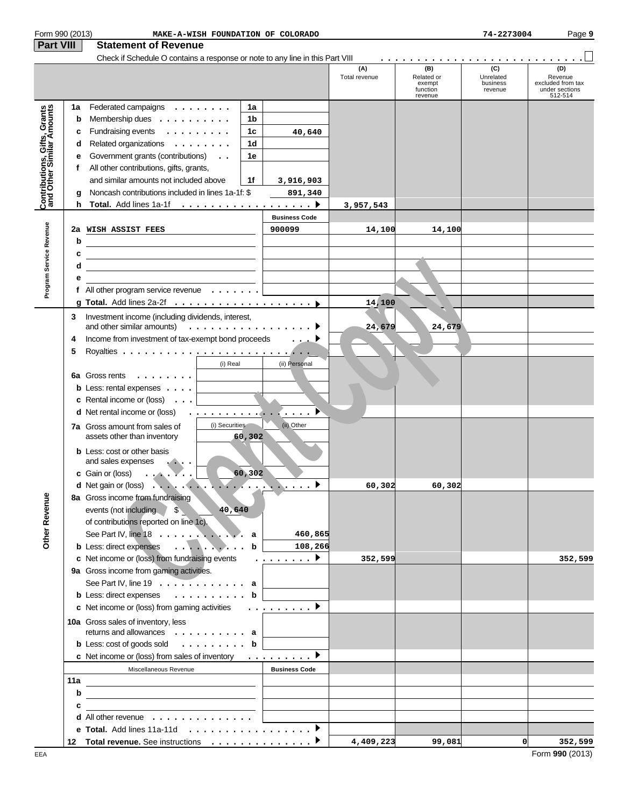| Form 990 (2013)                                           |     | MAKE-A-WISH FOUNDATION OF COLORADO                                                                                     |        |                      |                      |                                                    | 74-2273004                              | Page 9                                                           |
|-----------------------------------------------------------|-----|------------------------------------------------------------------------------------------------------------------------|--------|----------------------|----------------------|----------------------------------------------------|-----------------------------------------|------------------------------------------------------------------|
| <b>Part VIII</b>                                          |     | <b>Statement of Revenue</b>                                                                                            |        |                      |                      |                                                    |                                         |                                                                  |
|                                                           |     | Check if Schedule O contains a response or note to any line in this Part VIII                                          |        |                      |                      |                                                    |                                         |                                                                  |
|                                                           |     |                                                                                                                        |        |                      | (A)<br>Total revenue | (B)<br>Related or<br>exempt<br>function<br>revenue | (C)<br>Unrelated<br>business<br>revenue | (D)<br>Revenue<br>excluded from tax<br>under sections<br>512-514 |
|                                                           | 1a  | Federated campaigns $\dots \dots$                                                                                      | 1a     |                      |                      |                                                    |                                         |                                                                  |
|                                                           | b   | Membership dues $\dots \dots \dots$                                                                                    | 1b     |                      |                      |                                                    |                                         |                                                                  |
|                                                           | c   | Fundraising events                                                                                                     | 1c     | 40,640               |                      |                                                    |                                         |                                                                  |
|                                                           | d   | Related organizations                                                                                                  | 1d     |                      |                      |                                                    |                                         |                                                                  |
|                                                           | е   | Government grants (contributions)                                                                                      | 1е     |                      |                      |                                                    |                                         |                                                                  |
|                                                           | f   |                                                                                                                        |        |                      |                      |                                                    |                                         |                                                                  |
|                                                           |     | All other contributions, gifts, grants,<br>and similar amounts not included above                                      |        |                      |                      |                                                    |                                         |                                                                  |
| Contributions, Gifts, Grants<br>and Other Similar Amounts |     | Noncash contributions included in lines 1a-1f: \$                                                                      | 1f     | 3,916,903            |                      |                                                    |                                         |                                                                  |
|                                                           | g   |                                                                                                                        |        | 891,340              |                      |                                                    |                                         |                                                                  |
|                                                           |     | <b>h</b> Total. Add lines 1a-1f $\ldots$ , $\ldots$ , $\ldots$ , $\ldots$ , $\ldots$                                   |        |                      | 3,957,543            |                                                    |                                         |                                                                  |
|                                                           |     |                                                                                                                        |        | <b>Business Code</b> |                      |                                                    |                                         |                                                                  |
|                                                           |     | 2a WISH ASSIST FEES<br><u> 1990 - John Barn Barn, mars a</u>                                                           |        | 900099               | 14,100               | 14,100                                             |                                         |                                                                  |
|                                                           | b   | <u> 1989 - Johann Barbara, martxa alemaniar a</u>                                                                      |        |                      |                      |                                                    |                                         |                                                                  |
|                                                           | c   | <u> 1989 - Johann John Stein, markin fan de Fryske kunstner oantal fan de Fryske kunstner oantal fan de Fryske k</u> u |        |                      |                      |                                                    |                                         |                                                                  |
| Program Service Revenue                                   | d   | the contract of the contract of the contract of the contract of the contract of                                        |        |                      |                      |                                                    |                                         |                                                                  |
|                                                           | е   |                                                                                                                        |        |                      |                      |                                                    |                                         |                                                                  |
|                                                           |     | f All other program service revenue $\ldots \ldots$                                                                    |        |                      |                      |                                                    |                                         |                                                                  |
|                                                           |     |                                                                                                                        |        |                      | 14,100               |                                                    |                                         |                                                                  |
|                                                           | 3   | Investment income (including dividends, interest,                                                                      |        |                      |                      |                                                    |                                         |                                                                  |
|                                                           |     | and other similar amounts) $\ldots \ldots \ldots \ldots \ldots$                                                        |        |                      | 24,679               | 24,679                                             |                                         |                                                                  |
|                                                           | 4   | Income from investment of tax-exempt bond proceeds                                                                     |        | $\cdots$             |                      |                                                    |                                         |                                                                  |
|                                                           | 5   |                                                                                                                        |        |                      |                      |                                                    |                                         |                                                                  |
|                                                           |     | (i) Real                                                                                                               |        | (ii) Personal        |                      |                                                    |                                         |                                                                  |
|                                                           |     | 6a Gross rents                                                                                                         |        |                      |                      |                                                    |                                         |                                                                  |
|                                                           |     | <b>b</b> Less: rental expenses $\ldots$                                                                                |        |                      |                      |                                                    |                                         |                                                                  |
|                                                           |     | <b>c</b> Rental income or (loss) $\ldots$                                                                              |        |                      |                      |                                                    |                                         |                                                                  |
|                                                           |     | <b>d</b> Net rental income or (loss)<br>. <b>. .</b>                                                                   |        |                      |                      |                                                    |                                         |                                                                  |
|                                                           |     | (i) Securities<br>7a Gross amount from sales of                                                                        |        | (ii) Other           |                      |                                                    |                                         |                                                                  |
|                                                           |     | assets other than inventory                                                                                            | 60,302 |                      |                      |                                                    |                                         |                                                                  |
|                                                           |     | <b>b</b> Less: cost or other basis                                                                                     |        |                      |                      |                                                    |                                         |                                                                  |
|                                                           |     | and sales expenses                                                                                                     |        |                      |                      |                                                    |                                         |                                                                  |
|                                                           |     | c Gain or (loss)<br>$\ldots$ . $\blacksquare$ .                                                                        | 60,302 |                      |                      |                                                    |                                         |                                                                  |
|                                                           |     | <b>d</b> Net gain or (loss)<br>G.                                                                                      | ٠.     |                      | 60,302               | 60, 302                                            |                                         |                                                                  |
|                                                           |     | 8a Gross income from fundraising                                                                                       |        |                      |                      |                                                    |                                         |                                                                  |
|                                                           |     | events (not including<br>$\sim$<br>40,640                                                                              |        |                      |                      |                                                    |                                         |                                                                  |
|                                                           |     | of contributions reported on line 1c).                                                                                 |        |                      |                      |                                                    |                                         |                                                                  |
|                                                           |     | See Part IV, line 18                                                                                                   | a      | 460,865              |                      |                                                    |                                         |                                                                  |
| Other Revenue                                             |     | b Less: direct expenses                                                                                                | b      | 108,266              |                      |                                                    |                                         |                                                                  |
|                                                           |     | c Net income or (loss) from fundraising events                                                                         |        | . <b>.</b>           | 352,599              |                                                    |                                         | 352,599                                                          |
|                                                           |     | 9a Gross income from gaming activities.                                                                                |        |                      |                      |                                                    |                                         |                                                                  |
|                                                           |     | See Part IV, line 19 $\ldots$ $\ldots$ $\ldots$ .                                                                      |        |                      |                      |                                                    |                                         |                                                                  |
|                                                           |     | <b>b</b> Less: direct expenses                                                                                         | b      |                      |                      |                                                    |                                         |                                                                  |
|                                                           |     | c Net income or (loss) from gaming activities                                                                          |        | . . <u>.</u> D       |                      |                                                    |                                         |                                                                  |
|                                                           |     |                                                                                                                        |        |                      |                      |                                                    |                                         |                                                                  |
|                                                           |     | 10a Gross sales of inventory, less<br>returns and allowances a                                                         |        |                      |                      |                                                    |                                         |                                                                  |
|                                                           |     | <b>b</b> Less: cost of goods sold $\ldots$ , $\ldots$ , $\ldots$ , <b>b</b>                                            |        |                      |                      |                                                    |                                         |                                                                  |
|                                                           |     | c Net income or (loss) from sales of inventory                                                                         |        | .                    |                      |                                                    |                                         |                                                                  |
|                                                           |     | Miscellaneous Revenue                                                                                                  |        | <b>Business Code</b> |                      |                                                    |                                         |                                                                  |
|                                                           | 11a |                                                                                                                        |        |                      |                      |                                                    |                                         |                                                                  |
|                                                           | b   |                                                                                                                        |        |                      |                      |                                                    |                                         |                                                                  |
|                                                           | c   | <u> 1989 - John Stein, Amerikaansk politiker (</u>                                                                     |        |                      |                      |                                                    |                                         |                                                                  |
|                                                           |     | the control of the control of the control of the control of the control of<br>d All other revenue                      |        |                      |                      |                                                    |                                         |                                                                  |
|                                                           |     |                                                                                                                        |        |                      |                      |                                                    |                                         |                                                                  |
|                                                           |     | 12 Total revenue. See instructions ▶                                                                                   |        |                      | 4,409,223            | 99,081                                             | $\Omega$                                | 352,599                                                          |
|                                                           |     |                                                                                                                        |        |                      |                      |                                                    |                                         |                                                                  |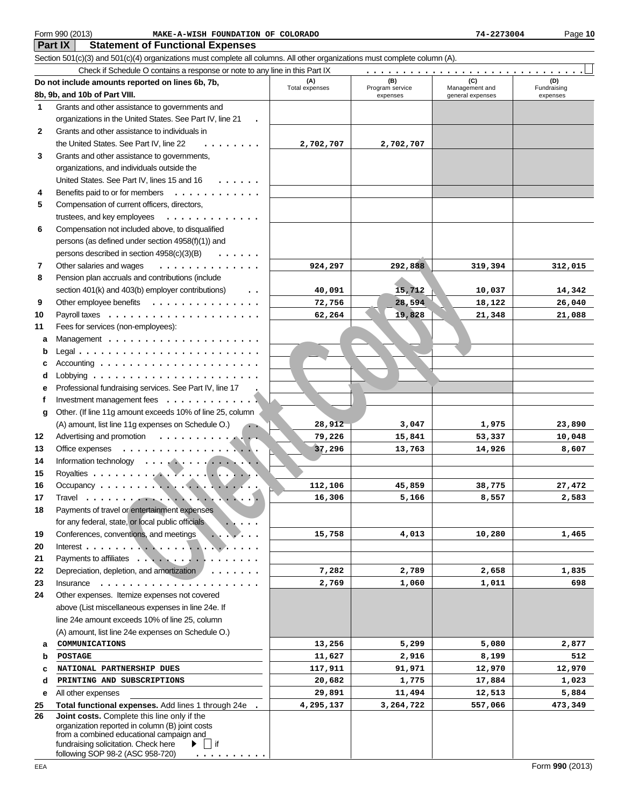# Form 990 (2013) Page **10 MAKE-A-WISH FOUNDATION OF COLORADO 74-2273004**

**Part IX Statement of Functional Expenses**

Section 501(c)(3) and 501(c)(4) organizations must complete all columns. All other organizations must complete column (A).

|              | Check if Schedule O contains a response or note to any line in this Part IX                                         |                |                             |                                    |                    |
|--------------|---------------------------------------------------------------------------------------------------------------------|----------------|-----------------------------|------------------------------------|--------------------|
|              | Do not include amounts reported on lines 6b, 7b,                                                                    | (A)            | (B)                         | (C)                                | (D)<br>Fundraising |
|              | 8b, 9b, and 10b of Part VIII.                                                                                       | Total expenses | Program service<br>expenses | Management and<br>general expenses | expenses           |
| 1            | Grants and other assistance to governments and                                                                      |                |                             |                                    |                    |
|              | organizations in the United States. See Part IV, line 21                                                            |                |                             |                                    |                    |
| $\mathbf{2}$ | Grants and other assistance to individuals in                                                                       |                |                             |                                    |                    |
|              | the United States. See Part IV, line 22<br>$\mathbf{r}$ , $\mathbf{r}$ , $\mathbf{r}$ , $\mathbf{r}$ , $\mathbf{r}$ | 2,702,707      | 2,702,707                   |                                    |                    |
| 3            | Grants and other assistance to governments,                                                                         |                |                             |                                    |                    |
|              |                                                                                                                     |                |                             |                                    |                    |
|              | organizations, and individuals outside the                                                                          |                |                             |                                    |                    |
|              | United States. See Part IV, lines 15 and 16<br>$\ldots$                                                             |                |                             |                                    |                    |
| 4            | Benefits paid to or for members<br>.                                                                                |                |                             |                                    |                    |
| 5            | Compensation of current officers, directors,                                                                        |                |                             |                                    |                    |
|              | trustees, and key employees<br>.                                                                                    |                |                             |                                    |                    |
| 6            | Compensation not included above, to disqualified                                                                    |                |                             |                                    |                    |
|              | persons (as defined under section 4958(f)(1)) and                                                                   |                |                             |                                    |                    |
|              | persons described in section 4958(c)(3)(B)<br>$\cdots$                                                              |                |                             |                                    |                    |
| 7            | Other salaries and wages<br>.                                                                                       | 924,297        | 292,888                     | 319,394                            | 312,015            |
| 8            | Pension plan accruals and contributions (include                                                                    |                |                             |                                    |                    |
|              | section 401(k) and 403(b) employer contributions)<br>$\ddotsc$                                                      | 40,091         | 15,712                      | 10,037                             | 14,342             |
| 9            | Other employee benefits                                                                                             | 72,756         | 28,594                      | 18,122                             | 26,040             |
| 10           |                                                                                                                     | 62,264         | 19,828                      | 21,348                             | 21,088             |
| 11           | Fees for services (non-employees):                                                                                  |                |                             |                                    |                    |
| a            |                                                                                                                     |                |                             |                                    |                    |
|              |                                                                                                                     |                |                             |                                    |                    |
| b            |                                                                                                                     |                |                             |                                    |                    |
| c            |                                                                                                                     |                |                             |                                    |                    |
| d            |                                                                                                                     |                |                             |                                    |                    |
| е            | Professional fundraising services. See Part IV, line 17                                                             |                |                             |                                    |                    |
| f            | Investment management fees                                                                                          |                |                             |                                    |                    |
| g            | Other. (If line 11g amount exceeds 10% of line 25, column                                                           |                |                             |                                    |                    |
|              | (A) amount, list line 11g expenses on Schedule O.)                                                                  | 28,912         | 3,047                       | 1,975                              | 23,890             |
| 12           | Advertising and promotion $\cdots$ , $\cdots$ , $\cdots$                                                            | 79,226         | 15,841                      | 53,337                             | 10,048             |
| 13           | Office expenses<br>. <b>.</b> . <b>.</b> .                                                                          | 37,296         | 13,763                      | 14,926                             | 8,607              |
| 14           |                                                                                                                     |                |                             |                                    |                    |
| 15           |                                                                                                                     |                |                             |                                    |                    |
| 16           |                                                                                                                     | 112,106        | 45,859                      | 38,775                             | 27,472             |
| 17           |                                                                                                                     | 16,306         | 5,166                       | 8,557                              | 2,583              |
| 18           | Payments of travel or entertainment expenses                                                                        |                |                             |                                    |                    |
|              | for any federal, state, or local public officials                                                                   |                |                             |                                    |                    |
| 19           | Conferences, conventions, and meetings                                                                              | 15,758         | 4,013                       | 10,280                             | 1,465              |
| 20           | Interest $\ldots$ , $\ldots$ , $\ldots$                                                                             |                |                             |                                    |                    |
| 21           | Payments to affiliates                                                                                              |                |                             |                                    |                    |
| 22           | Depreciation, depletion, and amortization                                                                           | 7,282          | 2,789                       | 2,658                              | 1,835              |
| 23           | Insurance                                                                                                           | 2,769          | 1,060                       | 1,011                              | 698                |
| 24           | Other expenses. Itemize expenses not covered                                                                        |                |                             |                                    |                    |
|              | above (List miscellaneous expenses in line 24e. If                                                                  |                |                             |                                    |                    |
|              | line 24e amount exceeds 10% of line 25, column                                                                      |                |                             |                                    |                    |
|              | (A) amount, list line 24e expenses on Schedule O.)                                                                  |                |                             |                                    |                    |
| a            | COMMUNICATIONS                                                                                                      | 13,256         | 5,299                       | 5,080                              | 2,877              |
| b            | <b>POSTAGE</b>                                                                                                      | 11,627         | 2,916                       | 8,199                              | 512                |
| c            | NATIONAL PARTNERSHIP DUES                                                                                           | 117,911        | 91,971                      | 12,970                             | 12,970             |
| d            | PRINTING AND SUBSCRIPTIONS                                                                                          | 20,682         | 1,775                       | 17,884                             | 1,023              |
| е            | All other expenses                                                                                                  | 29,891         | 11,494                      | 12,513                             | 5,884              |
| 25           | Total functional expenses. Add lines 1 through 24e                                                                  | 4,295,137      | 3,264,722                   | 557,066                            | 473,349            |
| 26           | Joint costs. Complete this line only if the                                                                         |                |                             |                                    |                    |
|              | organization reported in column (B) joint costs<br>from a combined educational campaign and                         |                |                             |                                    |                    |
|              | fundraising solicitation. Check here<br>∣if                                                                         |                |                             |                                    |                    |
|              | following SOP 98-2 (ASC 958-720)                                                                                    |                |                             |                                    |                    |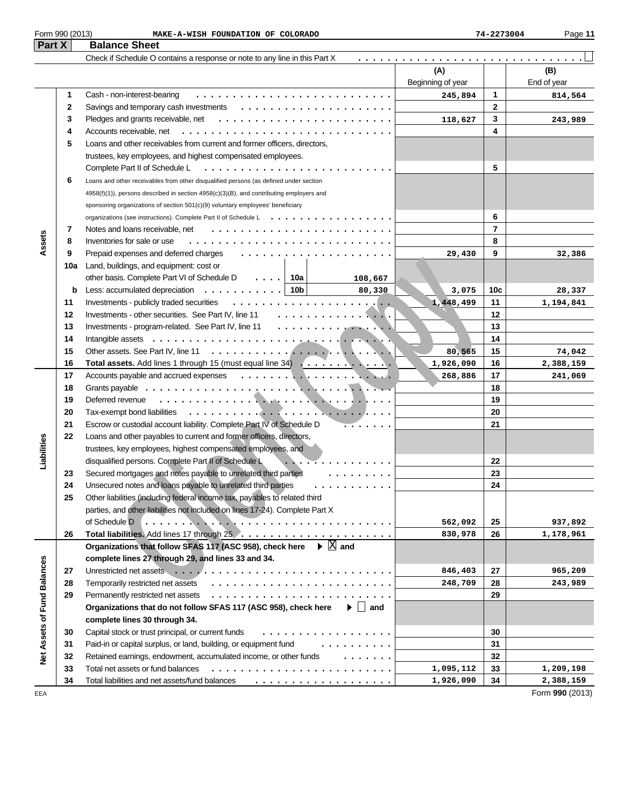# **Part X Balance Sheet**<br>**Part X Balance Sheet** Form 990 (2013) Page **11 MAKE-A-WISH FOUNDATION OF COLORADO 74-2273004**

| I GILA                      |             | הסומווטס טווסכו                                                                                                                                                                   |                   |                 |             |
|-----------------------------|-------------|-----------------------------------------------------------------------------------------------------------------------------------------------------------------------------------|-------------------|-----------------|-------------|
|                             |             | Check if Schedule O contains a response or note to any line in this Part X                                                                                                        |                   |                 |             |
|                             |             |                                                                                                                                                                                   | (A)               |                 | (B)         |
|                             |             |                                                                                                                                                                                   | Beginning of year |                 | End of year |
|                             | 1           | Cash - non-interest-bearing                                                                                                                                                       | 245,894           | 1               | 814,564     |
|                             | $\mathbf 2$ |                                                                                                                                                                                   |                   | $\mathbf 2$     |             |
|                             | 3           | Pledges and grants receivable, net $\ldots \ldots \ldots \ldots \ldots \ldots \ldots \ldots \ldots$                                                                               | 118,627           | 3               | 243,989     |
|                             | 4           | Accounts receivable, net                                                                                                                                                          |                   | 4               |             |
|                             | 5           | Loans and other receivables from current and former officers, directors,                                                                                                          |                   |                 |             |
|                             |             | trustees, key employees, and highest compensated employees.                                                                                                                       |                   |                 |             |
|                             |             | Complete Part II of Schedule L                                                                                                                                                    |                   | 5               |             |
|                             | 6           | Loans and other receivables from other disqualified persons (as defined under section                                                                                             |                   |                 |             |
|                             |             | 4958(f)(1)), persons described in section 4958(c)(3)(B), and contributing employers and                                                                                           |                   |                 |             |
|                             |             | sponsoring organizations of section 501(c)(9) voluntary employees' beneficiary                                                                                                    |                   |                 |             |
|                             |             | organizations (see instructions). Complete Part II of Schedule L                                                                                                                  |                   | 6               |             |
|                             | 7           | Notes and loans receivable, net                                                                                                                                                   |                   | $\overline{7}$  |             |
| Assets                      | 8           | Inventories for sale or use                                                                                                                                                       |                   | 8               |             |
|                             | 9           | Prepaid expenses and deferred charges                                                                                                                                             | 29,430            | 9               | 32,386      |
|                             | 10a         | Land, buildings, and equipment: cost or                                                                                                                                           |                   |                 |             |
|                             |             | other basis. Complete Part VI of Schedule D<br>$\ldots$ 10a<br>108,667                                                                                                            |                   |                 |             |
|                             | b           | Less: accumulated depreciation $\ldots \ldots \ldots$   10b<br>80,330                                                                                                             | 3,075             | 10 <sub>c</sub> | 28,337      |
|                             | 11          | Investments - publicly traded securities                                                                                                                                          | 1,448,499         | 11              | 1,194,841   |
|                             | 12          | Investments - other securities. See Part IV, line 11<br>.                                                                                                                         |                   | 12              |             |
|                             | 13          | Investments - program-related. See Part IV, line 11                                                                                                                               |                   | 13              |             |
|                             | 14          |                                                                                                                                                                                   |                   | 14              |             |
|                             | 15          |                                                                                                                                                                                   | 80,565            | 15              | 74,042      |
|                             | 16          | Total assets. Add lines 1 through 15 (must equal line 34)                                                                                                                         | 1,926,090         | 16              | 2,388,159   |
|                             | 17          |                                                                                                                                                                                   | 268,886           | 17              | 241,069     |
|                             | 18          |                                                                                                                                                                                   |                   | 18              |             |
|                             | 19          | Deferred revenue                                                                                                                                                                  |                   | 19              |             |
|                             | 20          | Tax-exempt bond liabilities                                                                                                                                                       |                   | 20              |             |
|                             | 21          | Escrow or custodial account liability. Complete Part IV of Schedule D<br><del>. .</del>                                                                                           |                   | 21              |             |
|                             | 22          | Loans and other payables to current and former officers, directors,                                                                                                               |                   |                 |             |
| Liabilities                 |             | trustees, key employees, highest compensated employees, and                                                                                                                       |                   |                 |             |
|                             |             | disqualified persons. Complete Part II of Schedule L<br>. . <del>. .</del>                                                                                                        |                   | 22              |             |
|                             | 23          | Secured mortgages and notes payable to unrelated third parties<br>.                                                                                                               |                   | 23              |             |
|                             | 24          | Unsecured notes and loans payable to unrelated third parties<br>.                                                                                                                 |                   | 24              |             |
|                             | 25          | Other liabilities (including federal income tax, payables to related third                                                                                                        |                   |                 |             |
|                             |             | parties, and other liabilities not included on lines 17-24). Complete Part X                                                                                                      |                   |                 |             |
|                             |             | of Schedule D                                                                                                                                                                     | 562,092           | 25              | 937,892     |
|                             | 26          |                                                                                                                                                                                   | 830,978           | 26              | 1,178,961   |
|                             |             | $\blacktriangleright \boxtimes$ and<br>Organizations that follow SFAS 117 (ASC 958), check here                                                                                   |                   |                 |             |
|                             |             | complete lines 27 through 29, and lines 33 and 34.                                                                                                                                |                   |                 |             |
|                             | 27          |                                                                                                                                                                                   | 846,403           | 27              | 965,209     |
|                             | 28          | Temporarily restricted net assets                                                                                                                                                 | 248,709           | 28              | 243,989     |
|                             | 29          | Permanently restricted net assets                                                                                                                                                 |                   | 29              |             |
|                             |             | Organizations that do not follow SFAS 117 (ASC 958), check here<br>$\blacktriangleright \Box$ and                                                                                 |                   |                 |             |
|                             |             | complete lines 30 through 34.                                                                                                                                                     |                   |                 |             |
|                             | 30          | Capital stock or trust principal, or current funds<br>.                                                                                                                           |                   | 30              |             |
|                             | 31          | Paid-in or capital surplus, or land, building, or equipment fund<br>$\frac{1}{2}$ . $\frac{1}{2}$ . $\frac{1}{2}$ . $\frac{1}{2}$ . $\frac{1}{2}$ . $\frac{1}{2}$ . $\frac{1}{2}$ |                   | 31              |             |
| Net Assets of Fund Balances | 32          | Retained earnings, endowment, accumulated income, or other funds<br>.                                                                                                             |                   | 32              |             |
|                             | 33          | Total net assets or fund balances                                                                                                                                                 | 1,095,112         | 33              | 1,209,198   |
|                             | 34          | Total liabilities and net assets/fund balances                                                                                                                                    | 1,926,090         | 34              | 2,388,159   |
|                             |             |                                                                                                                                                                                   |                   |                 |             |

Form **990** (2013)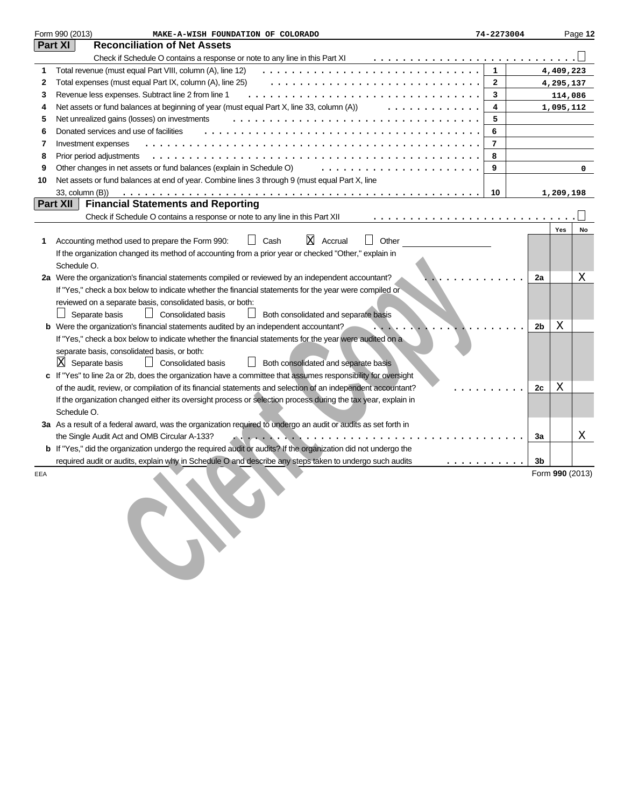|     | Form 990 (2013)<br>MAKE-A-WISH FOUNDATION OF COLORADO                                                                 | 74-2273004 |                |           | Page 12         |
|-----|-----------------------------------------------------------------------------------------------------------------------|------------|----------------|-----------|-----------------|
|     | Part XI<br><b>Reconciliation of Net Assets</b>                                                                        |            |                |           |                 |
|     | Check if Schedule O contains a response or note to any line in this Part XI                                           |            |                |           |                 |
| 1   | Total revenue (must equal Part VIII, column (A), line 12)                                                             | 1          |                | 4,409,223 |                 |
| 2   | Total expenses (must equal Part IX, column (A), line 25)                                                              | 2          |                | 4,295,137 |                 |
| 3   | Revenue less expenses. Subtract line 2 from line 1                                                                    | 3          |                | 114,086   |                 |
| 4   | Net assets or fund balances at beginning of year (must equal Part X, line 33, column (A))                             | 4          |                | 1,095,112 |                 |
| 5   | Net unrealized gains (losses) on investments                                                                          | 5          |                |           |                 |
| 6   | Donated services and use of facilities                                                                                | 6          |                |           |                 |
| 7   | Investment expenses                                                                                                   | 7          |                |           |                 |
| 8   | Prior period adjustments                                                                                              | 8          |                |           |                 |
| 9   | Other changes in net assets or fund balances (explain in Schedule O)                                                  | 9          |                |           | 0               |
| 10  | Net assets or fund balances at end of year. Combine lines 3 through 9 (must equal Part X, line                        |            |                |           |                 |
|     | 33, column (B))                                                                                                       | 10         |                | 1,209,198 |                 |
|     | <b>Financial Statements and Reporting</b><br><b>Part XII</b>                                                          |            |                |           |                 |
|     | Check if Schedule O contains a response or note to any line in this Part XII                                          |            |                |           |                 |
|     | ΙX                                                                                                                    |            |                | Yes       | No              |
| 1   | Other<br>Accounting method used to prepare the Form 990:<br>Cash<br>Accrual                                           |            |                |           |                 |
|     | If the organization changed its method of accounting from a prior year or checked "Other," explain in<br>Schedule O.  |            |                |           |                 |
|     | 2a Were the organization's financial statements compiled or reviewed by an independent accountant?                    |            | 2a             |           | Χ               |
|     | If "Yes," check a box below to indicate whether the financial statements for the year were compiled or                |            |                |           |                 |
|     | reviewed on a separate basis, consolidated basis, or both:                                                            |            |                |           |                 |
|     | <b>Consolidated basis</b><br>Separate basis<br>Both consolidated and separate basis                                   |            |                |           |                 |
|     | <b>b</b> Were the organization's financial statements audited by an independent accountant?                           |            | 2 <sub>b</sub> | Χ         |                 |
|     | If "Yes," check a box below to indicate whether the financial statements for the year were audited on a               |            |                |           |                 |
|     | separate basis, consolidated basis, or both:                                                                          |            |                |           |                 |
|     | 区<br>Separate basis<br><b>Consolidated basis</b><br>Both consolidated and separate basis                              |            |                |           |                 |
|     | c If "Yes" to line 2a or 2b, does the organization have a committee that assumes responsibility for oversight         |            |                |           |                 |
|     | of the audit, review, or compilation of its financial statements and selection of an independent accountant?          |            | 2c             | Χ         |                 |
|     | If the organization changed either its oversight process or selection process during the tax year, explain in         |            |                |           |                 |
|     | Schedule O.                                                                                                           |            |                |           |                 |
|     | 3a As a result of a federal award, was the organization required to undergo an audit or audits as set forth in        |            |                |           |                 |
|     | the Single Audit Act and OMB Circular A-133?                                                                          |            | За             |           | Χ               |
|     | <b>b</b> If "Yes," did the organization undergo the required audit or audits? If the organization did not undergo the |            |                |           |                 |
|     | required audit or audits, explain why in Schedule O and describe any steps taken to undergo such audits<br>.          |            | 3b             |           |                 |
| EEA |                                                                                                                       |            |                |           | Form 990 (2013) |
|     |                                                                                                                       |            |                |           |                 |
|     |                                                                                                                       |            |                |           |                 |
|     |                                                                                                                       |            |                |           |                 |
|     |                                                                                                                       |            |                |           |                 |
|     |                                                                                                                       |            |                |           |                 |
|     |                                                                                                                       |            |                |           |                 |
|     |                                                                                                                       |            |                |           |                 |
|     |                                                                                                                       |            |                |           |                 |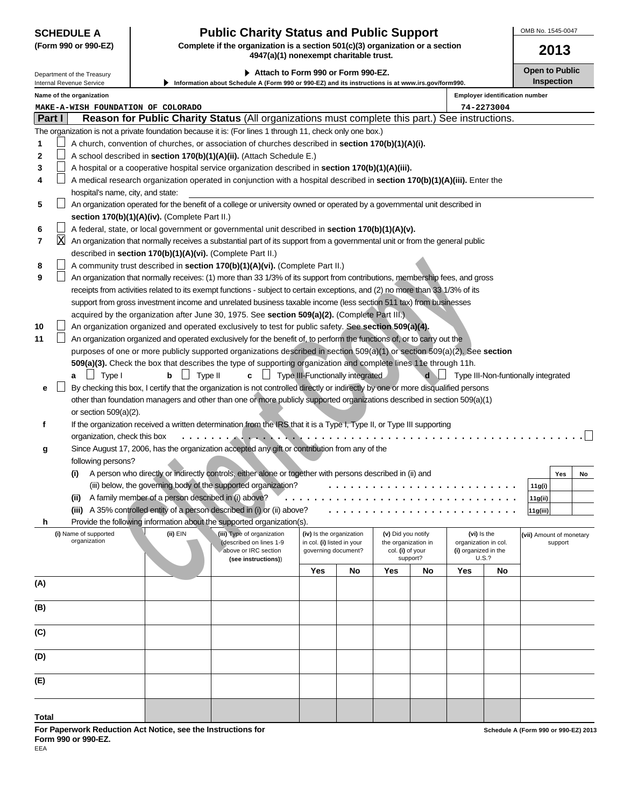# **SCHEDULE A Public Charity Status and Public Support**

**(Form 990 or 990-EZ) Complete if the organization is a section 501(c)(3) organization or a section 4947(a)(1) nonexempt charitable trust.**

▶ Attach to Form 990 or Form 990-EZ. **Depiate to Public** Open to Public Department of the Treasury **Inspection Information about Schedule A (Form 990 or 990-EZ) and its instructions is at www.irs.gov/form990.** Internal Revenue Service **Name of the organization Employer identification number MAKE-A-WISH FOUNDATION OF COLORADO 74-2273004 Part I Reason for Public Charity Status** (All organizations must complete this part.) See instructions. The organization is not a private foundation because it is: (For lines 1 through 11, check only one box.) hurch, convention of churches, or association of churches described in **section 170(b)(1)(A)(i). 1 2** A school described in **section 170(b)(1)(A)(ii).** (Attach Schedule E.) П **3** A hospital or a cooperative hospital service organization described in **section 170(b)(1)(A)(iii).** A medical research organization operated in conjunction with a hospital described in **section 170(b)(1)(A)(iii).** Enter the **4** hospital's name, city, and state:  $\perp$ **5** An organization operated for the benefit of a college or university owned or operated by a governmental unit described in **section 170(b)(1)(A)(iv).** (Complete Part II.) **6** A federal, state, or local government or governmental unit described in **section 170(b)(1)(A)(v).** XAn organization that normally receives a substantial part of its support from a governmental unit or from the general public **7** described in **section 170(b)(1)(A)(vi).** (Complete Part II.) mity trust described in section 170(b)(1)(A)(vi), Complete Part II.)<br>
carbon that normalizy readers in the contribution of the support from contributions, membership (see, and gross<br>
carbon and Strip of the support from an **8** A community trust described in **section 170(b)(1)(A)(vi).** (Complete Part II.) **9** An organization that normally receives: (1) more than 33 1/3% of its support from contributions, membership fees, and gross receipts from activities related to its exempt functions - subject to certain exceptions, and (2) no more than 33 1/3% of its support from gross investment income and unrelated business taxable income (less section 511 tax) from businesses acquired by the organization after June 30, 1975. See **section 509(a)(2).** (Complete Part III.) An organization organized and operated exclusively to test for public safety. See **section 509(a)(4). 10 11**  $\perp$ An organization organized and operated exclusively for the benefit of, to perform the functions of, or to carry out the purposes of one or more publicly supported organizations described in section 509(a)(1) or section 509(a)(2). See **section 509(a)(3).** Check the box that describes the type of supporting organization and complete lines 11e through 11h. **a b c d** d Type III-Non-funtionally integrated  $\perp$ By checking this box, I certify that the organization is not controlled directly or indirectly by one or more disqualified persons **e** other than foundation managers and other than one or more publicly supported organizations described in section 509(a)(1) or section 509(a)(2). **f** If the organization received a written determination from the IRS that it is a Type I, Type II, or Type III supporting organization, check this box ....................................................... Since August 17, 2006, has the organization accepted any gift or contribution from any of the **g** following persons? A person who directly or indirectly controls, either alone or together with persons described in (ii) and **(i) Yes No** (iii) below, the governing body of the supported organization? .......................... **11g(i)** ................................ **(ii)** A family member of a person described in (i) above? **11g(ii)** .......................... **(iii)** A 35% controlled entity of a person described in (i) or (ii) above? **11g(iii)** Provide the following information about the supported organization(s). **h (i)** Name of supported **(ii)** EIN **(iii)** Type of organization **(iv)** Is the organization **(v)** Did you notify **(vi)** Is the **(vii)** Amount of monetary **organization (iii)** EIN **(described on lines 1-9** in col. **(i)** li in col. **(i)** listed in your the organization in col. **(i)** organization in col. support governing document? col. **(i)** or your **(i)** organized in the above or IRC section governing document? col. **(i)** of your **(i)** organized in the support of the support? (i) organized in the support of the support of the support of the support of the support of the support of the supp  $(see$  instructions)) **Yes No Yes No Yes No (A) (B) (C) (D) (E) Total**

**For Paperwork Reduction Act Notice, see the Instructions for Form 990 or 990-EZ.** EEA

OMB No. 1545-0047

**2013**

| $-7$ |  |  |  |  |
|------|--|--|--|--|

|  | .                 |  |
|--|-------------------|--|
|  | rm 990 or 990-EZ) |  |

|  | cl<br>А |
|--|---------|
|  |         |

| C)                                                               |  |  |  |  |  |  |
|------------------------------------------------------------------|--|--|--|--|--|--|
| D)                                                               |  |  |  |  |  |  |
| E)                                                               |  |  |  |  |  |  |
| <b>Total</b>                                                     |  |  |  |  |  |  |
| car Donomicule Doditation. Act Nation, pop the Inctrustional for |  |  |  |  |  |  |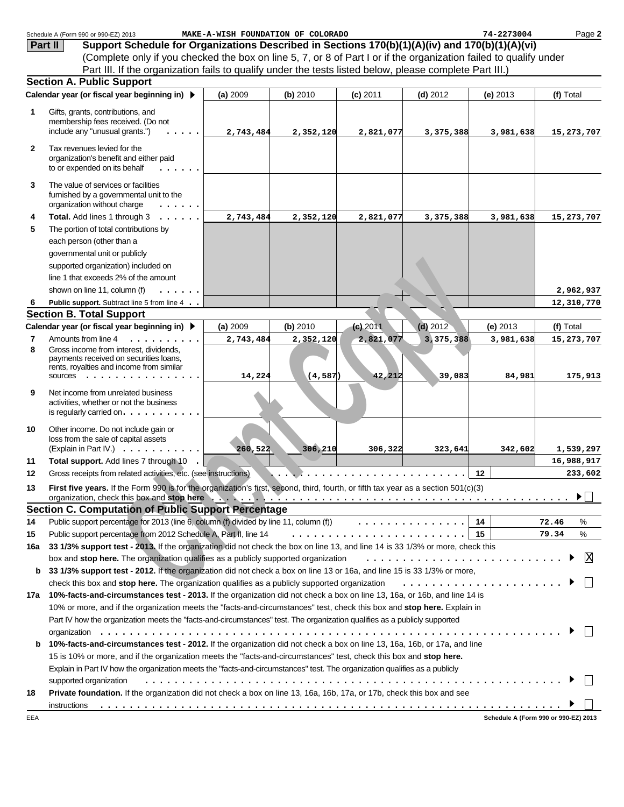|              | Schedule A (Form 990 or 990-EZ) 2013                                                                                                    | MAKE-A-WISH FOUNDATION OF COLORADO |           |            |            | 74-2273004 | Page 2                               |
|--------------|-----------------------------------------------------------------------------------------------------------------------------------------|------------------------------------|-----------|------------|------------|------------|--------------------------------------|
| Part II      | Support Schedule for Organizations Described in Sections 170(b)(1)(A)(iv) and 170(b)(1)(A)(vi)                                          |                                    |           |            |            |            |                                      |
|              | (Complete only if you checked the box on line 5, 7, or 8 of Part I or if the organization failed to qualify under                       |                                    |           |            |            |            |                                      |
|              | Part III. If the organization fails to qualify under the tests listed below, please complete Part III.)                                 |                                    |           |            |            |            |                                      |
|              | <b>Section A. Public Support</b>                                                                                                        |                                    |           |            |            |            |                                      |
|              | Calendar year (or fiscal year beginning in) ▶                                                                                           | (a) 2009                           | (b) 2010  | $(c)$ 2011 | $(d)$ 2012 | $(e)$ 2013 | (f) Total                            |
| 1            | Gifts, grants, contributions, and                                                                                                       |                                    |           |            |            |            |                                      |
|              | membership fees received. (Do not                                                                                                       |                                    |           |            |            |            |                                      |
|              | include any "unusual grants.")                                                                                                          | 2,743,484                          | 2,352,120 | 2,821,077  | 3,375,388  | 3,981,638  | 15,273,707                           |
| $\mathbf{2}$ | Tax revenues levied for the                                                                                                             |                                    |           |            |            |            |                                      |
|              | organization's benefit and either paid<br>to or expended on its behalf                                                                  |                                    |           |            |            |            |                                      |
| 3            | The value of services or facilities<br>furnished by a governmental unit to the<br>organization without charge                           |                                    |           |            |            |            |                                      |
| 4            | Total. Add lines 1 through 3                                                                                                            | 2,743,484                          | 2,352,120 | 2,821,077  | 3,375,388  | 3,981,638  | 15,273,707                           |
| 5            | The portion of total contributions by                                                                                                   |                                    |           |            |            |            |                                      |
|              | each person (other than a                                                                                                               |                                    |           |            |            |            |                                      |
|              | governmental unit or publicly                                                                                                           |                                    |           |            |            |            |                                      |
|              | supported organization) included on                                                                                                     |                                    |           |            |            |            |                                      |
|              | line 1 that exceeds 2% of the amount                                                                                                    |                                    |           |            |            |            |                                      |
|              | shown on line 11, column (f)                                                                                                            |                                    |           |            |            |            | 2,962,937                            |
| -6           | Public support. Subtract line 5 from line 4                                                                                             |                                    |           |            |            |            | 12,310,770                           |
|              | <b>Section B. Total Support</b>                                                                                                         |                                    |           |            |            |            |                                      |
|              | Calendar year (or fiscal year beginning in) ▶                                                                                           | (a) 2009                           | (b) 2010  | $(c)$ 2011 | $(d)$ 2012 | (e) 2013   | (f) Total                            |
| 7            | Amounts from line 4<br>.                                                                                                                | 2,743,484                          | 2,352,120 | 2,821,077  | 3,375,388  | 3,981,638  | 15,273,707                           |
| 8            | Gross income from interest, dividends,<br>payments received on securities loans,<br>rents, royalties and income from similar<br>sources | 14,224                             | (4, 587)  | 42,212     | 39,083     | 84,981     | 175,913                              |
| 9            | Net income from unrelated business<br>activities, whether or not the business<br>is regularly carried on. $\ldots$                      |                                    |           |            |            |            |                                      |
| 10           | Other income. Do not include gain or<br>loss from the sale of capital assets<br>(Explain in Part IV.) $\ldots$                          | 260,522                            | 306,210   | 306,322    | 323,641    | 342,602    | 1,539,297                            |
| 11           | Total support. Add lines 7 through 10                                                                                                   |                                    |           |            |            |            | 16,988,917                           |
| 12           | Gross receipts from related activities, etc. (see instructions).                                                                        |                                    |           |            |            | 12         | 233,602                              |
| 13           | First five years. If the Form 990 is for the organization's first, second, third, fourth, or fifth tax year as a section 501(c)(3)      |                                    |           |            |            |            |                                      |
|              |                                                                                                                                         |                                    |           |            |            |            | $\blacktriangleright$                |
|              | <b>Section C. Computation of Public Support Percentage</b>                                                                              |                                    |           |            |            |            |                                      |
| 14           | Public support percentage for 2013 (line 6, column (f) divided by line 11, column (f) $\ldots \ldots \ldots \ldots$                     |                                    |           |            |            | 14         | 72.46<br>℅                           |
| 15           | Public support percentage from 2012 Schedule A, Part II, line 14                                                                        |                                    |           |            |            |            | ℅<br>79.34                           |
| 16a          | 33 1/3% support test - 2013. If the organization did not check the box on line 13, and line 14 is 33 1/3% or more, check this           |                                    |           |            |            |            |                                      |
|              | box and stop here. The organization qualifies as a publicly supported organization                                                      |                                    |           |            |            |            | X                                    |
| b            | 33 1/3% support test - 2012. If the organization did not check a box on line 13 or 16a, and line 15 is 33 1/3% or more,                 |                                    |           |            |            |            |                                      |
|              | check this box and stop here. The organization qualifies as a publicly supported organization                                           |                                    |           |            |            |            |                                      |
|              | 17a 10%-facts-and-circumstances test - 2013. If the organization did not check a box on line 13, 16a, or 16b, and line 14 is            |                                    |           |            |            |            |                                      |
|              | 10% or more, and if the organization meets the "facts-and-circumstances" test, check this box and stop here. Explain in                 |                                    |           |            |            |            |                                      |
|              | Part IV how the organization meets the "facts-and-circumstances" test. The organization qualifies as a publicly supported               |                                    |           |            |            |            |                                      |
|              |                                                                                                                                         |                                    |           |            |            |            |                                      |
| b            | 10%-facts-and-circumstances test - 2012. If the organization did not check a box on line 13, 16a, 16b, or 17a, and line                 |                                    |           |            |            |            |                                      |
|              | 15 is 10% or more, and if the organization meets the "facts-and-circumstances" test, check this box and stop here.                      |                                    |           |            |            |            |                                      |
|              | Explain in Part IV how the organization meets the "facts-and-circumstances" test. The organization qualifies as a publicly              |                                    |           |            |            |            |                                      |
|              | supported organization                                                                                                                  |                                    |           |            |            |            |                                      |
| 18           | Private foundation. If the organization did not check a box on line 13, 16a, 16b, 17a, or 17b, check this box and see                   |                                    |           |            |            |            |                                      |
|              | instructions                                                                                                                            |                                    |           |            |            |            |                                      |
| EEA          |                                                                                                                                         |                                    |           |            |            |            | Schedule A (Form 990 or 990-EZ) 2013 |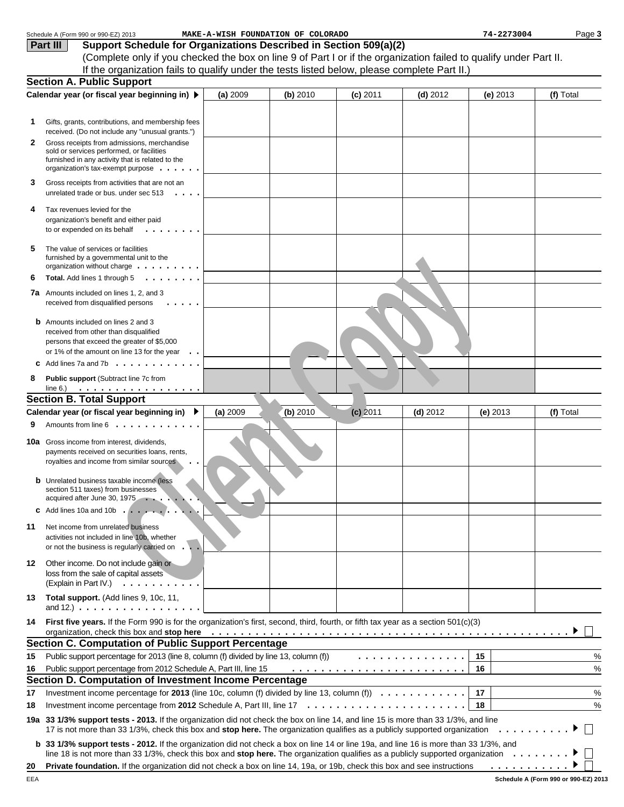|    | Schedule A (Form 990 or 990-EZ) 2013                                                                                                         |          | MAKE-A-WISH FOUNDATION OF COLORADO |            |                                                                                                                       | 74-2273004 | Page 3    |
|----|----------------------------------------------------------------------------------------------------------------------------------------------|----------|------------------------------------|------------|-----------------------------------------------------------------------------------------------------------------------|------------|-----------|
|    | Support Schedule for Organizations Described in Section 509(a)(2)<br>Part III                                                                |          |                                    |            |                                                                                                                       |            |           |
|    | (Complete only if you checked the box on line 9 of Part I or if the organization failed to qualify under Part II.                            |          |                                    |            |                                                                                                                       |            |           |
|    | If the organization fails to qualify under the tests listed below, please complete Part II.)                                                 |          |                                    |            |                                                                                                                       |            |           |
|    | <b>Section A. Public Support</b>                                                                                                             |          |                                    |            |                                                                                                                       |            |           |
|    | Calendar year (or fiscal year beginning in) $\blacktriangleright$                                                                            | (a) 2009 | (b) 2010                           | $(c)$ 2011 | $(d)$ 2012                                                                                                            | $(e)$ 2013 | (f) Total |
|    |                                                                                                                                              |          |                                    |            |                                                                                                                       |            |           |
| 1. | Gifts, grants, contributions, and membership fees                                                                                            |          |                                    |            |                                                                                                                       |            |           |
|    | received. (Do not include any "unusual grants.")                                                                                             |          |                                    |            |                                                                                                                       |            |           |
| 2  | Gross receipts from admissions, merchandise<br>sold or services performed, or facilities                                                     |          |                                    |            |                                                                                                                       |            |           |
|    | furnished in any activity that is related to the                                                                                             |          |                                    |            |                                                                                                                       |            |           |
|    | organization's tax-exempt purpose $\cdots$ .                                                                                                 |          |                                    |            |                                                                                                                       |            |           |
| 3  | Gross receipts from activities that are not an                                                                                               |          |                                    |            |                                                                                                                       |            |           |
|    | unrelated trade or bus. under sec 513<br>$\cdot$ $\cdot$ $\cdot$ $\cdot$                                                                     |          |                                    |            |                                                                                                                       |            |           |
| 4  | Tax revenues levied for the                                                                                                                  |          |                                    |            |                                                                                                                       |            |           |
|    | organization's benefit and either paid                                                                                                       |          |                                    |            |                                                                                                                       |            |           |
|    | to or expended on its behalf<br>$\begin{array}{cccccccccccccc} . & . & . & . & . & . & . & . \end{array}$                                    |          |                                    |            |                                                                                                                       |            |           |
| 5  | The value of services or facilities                                                                                                          |          |                                    |            |                                                                                                                       |            |           |
|    | furnished by a governmental unit to the                                                                                                      |          |                                    |            |                                                                                                                       |            |           |
| 6  | organization without charge $\dots \dots \dots$<br>Total. Add lines 1 through 5<br>.                                                         |          |                                    |            |                                                                                                                       |            |           |
|    |                                                                                                                                              |          |                                    |            |                                                                                                                       |            |           |
|    | <b>7a</b> Amounts included on lines 1, 2, and 3<br>received from disqualified persons                                                        |          |                                    |            |                                                                                                                       |            |           |
|    |                                                                                                                                              |          |                                    |            |                                                                                                                       |            |           |
|    | <b>b</b> Amounts included on lines 2 and 3                                                                                                   |          |                                    |            |                                                                                                                       |            |           |
|    | received from other than disqualified<br>persons that exceed the greater of \$5,000                                                          |          |                                    |            |                                                                                                                       |            |           |
|    | or 1% of the amount on line 13 for the year $\ldots$                                                                                         |          |                                    |            |                                                                                                                       |            |           |
|    | Add lines 7a and 7b $\ldots$ $\ldots$ $\ldots$ $\ldots$ $\ldots$                                                                             |          |                                    |            |                                                                                                                       |            |           |
| 8  | Public support (Subtract line 7c from                                                                                                        |          |                                    |            |                                                                                                                       |            |           |
|    | line 6.) $\cdots$ $\cdots$ $\cdots$ $\cdots$ $\cdots$ $\cdots$                                                                               |          |                                    |            |                                                                                                                       |            |           |
|    | <b>Section B. Total Support</b>                                                                                                              |          |                                    |            |                                                                                                                       |            |           |
|    | Calendar year (or fiscal year beginning in) ▶                                                                                                | (a) 2009 | (b) 2010                           | $(c)$ 2011 | $(d)$ 2012                                                                                                            | $(e)$ 2013 | (f) Total |
| 9  | Amounts from line 6                                                                                                                          |          |                                    |            |                                                                                                                       |            |           |
|    | <b>10a</b> Gross income from interest, dividends,                                                                                            |          |                                    |            |                                                                                                                       |            |           |
|    | payments received on securities loans, rents,                                                                                                |          |                                    |            |                                                                                                                       |            |           |
|    | royalties and income from similar sources                                                                                                    |          |                                    |            |                                                                                                                       |            |           |
|    | <b>b</b> Unrelated business taxable income (less                                                                                             |          |                                    |            |                                                                                                                       |            |           |
|    | section 511 taxes) from businesses                                                                                                           |          |                                    |            |                                                                                                                       |            |           |
|    | acquired after June 30, 1975<br>$\cdots$                                                                                                     |          |                                    |            |                                                                                                                       |            |           |
|    | <b>c</b> Add lines 10a and 10b                                                                                                               |          |                                    |            |                                                                                                                       |            |           |
| 11 | Net income from unrelated business                                                                                                           |          |                                    |            |                                                                                                                       |            |           |
|    | activities not included in line 10b, whether                                                                                                 |          |                                    |            |                                                                                                                       |            |           |
|    | or not the business is regularly carried on                                                                                                  |          |                                    |            |                                                                                                                       |            |           |
| 12 | Other income. Do not include gain or<br>loss from the sale of capital assets                                                                 |          |                                    |            |                                                                                                                       |            |           |
|    | (Explain in Part IV.)<br>.                                                                                                                   |          |                                    |            |                                                                                                                       |            |           |
| 13 | Total support. (Add lines 9, 10c, 11,                                                                                                        |          |                                    |            |                                                                                                                       |            |           |
|    | and 12.) $\ldots$ $\ldots$ $\ldots$ $\ldots$ $\ldots$ $\ldots$ $\ldots$                                                                      |          |                                    |            |                                                                                                                       |            |           |
| 14 | First five years. If the Form 990 is for the organization's first, second, third, fourth, or fifth tax year as a section 501(c)(3)           |          |                                    |            |                                                                                                                       |            |           |
|    | organization, check this box and stop here                                                                                                   |          |                                    |            | <u>. A series a la caractería de la caractería de la caractería de la caractería de la caractería de la caracterí</u> |            |           |
|    | <b>Section C. Computation of Public Support Percentage</b>                                                                                   |          |                                    |            |                                                                                                                       |            |           |
| 15 | Public support percentage for 2013 (line 8, column (f) divided by line 13, column (f))                                                       |          |                                    |            | .                                                                                                                     | 15         | %         |
| 16 | Public support percentage from 2012 Schedule A, Part III, line 15                                                                            |          |                                    |            |                                                                                                                       | 16         | %         |
|    | Section D. Computation of Investment Income Percentage                                                                                       |          |                                    |            |                                                                                                                       |            |           |
| 17 | Investment income percentage for 2013 (line 10c, column (f) divided by line 13, column (f) $\ldots \ldots \ldots \ldots$                     |          |                                    |            |                                                                                                                       | 17         | %         |
| 18 |                                                                                                                                              |          |                                    |            |                                                                                                                       | 18         | %         |
|    | 19a 33 1/3% support tests - 2013. If the organization did not check the box on line 14, and line 15 is more than 33 1/3%, and line           |          |                                    |            |                                                                                                                       |            |           |
|    | 17 is not more than 33 1/3%, check this box and stop here. The organization qualifies as a publicly supported organization                   |          |                                    |            |                                                                                                                       |            | .         |
|    | <b>b</b> 33 1/3% support tests - 2012. If the organization did not check a box on line 14 or line 19a, and line 16 is more than 33 1/3%, and |          |                                    |            |                                                                                                                       |            |           |
|    | line 18 is not more than 33 1/3%, check this box and stop here. The organization qualifies as a publicly supported organization              |          |                                    |            |                                                                                                                       |            |           |
| 20 | <b>Private foundation.</b> If the organization did not check a box on line 14, 19a, or 19b, check this box and see instructions              |          |                                    |            |                                                                                                                       | .          |           |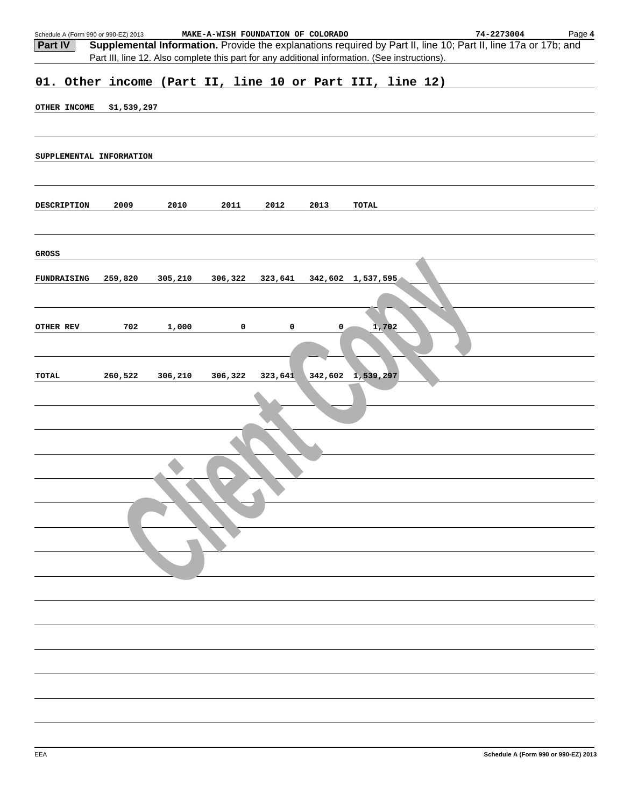|           |                    | Schedule A (Form 990 or 990-EZ) 2013 |         | MAKE-A-WISH FOUNDATION OF COLORADO |         |         |                                                                                                | 74-2273004                                                                                                     | Page 4 |
|-----------|--------------------|--------------------------------------|---------|------------------------------------|---------|---------|------------------------------------------------------------------------------------------------|----------------------------------------------------------------------------------------------------------------|--------|
| Part IV   |                    |                                      |         |                                    |         |         |                                                                                                | Supplemental Information. Provide the explanations required by Part II, line 10; Part II, line 17a or 17b; and |        |
|           |                    |                                      |         |                                    |         |         | Part III, line 12. Also complete this part for any additional information. (See instructions). |                                                                                                                |        |
|           |                    |                                      |         |                                    |         |         | 01. Other income (Part II, line 10 or Part III, line 12)                                       |                                                                                                                |        |
|           |                    |                                      |         |                                    |         |         |                                                                                                |                                                                                                                |        |
|           | OTHER INCOME       | \$1,539,297                          |         |                                    |         |         |                                                                                                |                                                                                                                |        |
|           |                    |                                      |         |                                    |         |         |                                                                                                |                                                                                                                |        |
|           |                    |                                      |         |                                    |         |         |                                                                                                |                                                                                                                |        |
|           |                    | SUPPLEMENTAL INFORMATION             |         |                                    |         |         |                                                                                                |                                                                                                                |        |
|           |                    |                                      |         |                                    |         |         |                                                                                                |                                                                                                                |        |
|           |                    |                                      |         |                                    |         |         |                                                                                                |                                                                                                                |        |
|           | <b>DESCRIPTION</b> | 2009                                 | 2010    | 2011                               | 2012    | 2013    | TOTAL                                                                                          |                                                                                                                |        |
|           |                    |                                      |         |                                    |         |         |                                                                                                |                                                                                                                |        |
|           |                    |                                      |         |                                    |         |         |                                                                                                |                                                                                                                |        |
| GROSS     |                    |                                      |         |                                    |         |         |                                                                                                |                                                                                                                |        |
|           |                    |                                      |         |                                    |         |         |                                                                                                |                                                                                                                |        |
|           | <b>FUNDRAISING</b> | 259,820                              | 305,210 | 306,322                            | 323,641 |         | 342,602 1,537,595                                                                              |                                                                                                                |        |
|           |                    |                                      |         |                                    |         |         |                                                                                                |                                                                                                                |        |
|           |                    |                                      |         |                                    |         |         |                                                                                                |                                                                                                                |        |
| OTHER REV |                    | 702                                  | 1,000   | 0                                  | 0       | 0       | 1,702                                                                                          |                                                                                                                |        |
|           |                    |                                      |         |                                    |         |         |                                                                                                |                                                                                                                |        |
|           |                    |                                      |         |                                    |         |         |                                                                                                |                                                                                                                |        |
| TOTAL     |                    | 260,522                              | 306,210 | 306,322                            | 323,641 | 342,602 | 1,539,297                                                                                      |                                                                                                                |        |
|           |                    |                                      |         |                                    |         |         |                                                                                                |                                                                                                                |        |
|           |                    |                                      |         |                                    |         |         |                                                                                                |                                                                                                                |        |
|           |                    |                                      |         |                                    |         |         |                                                                                                |                                                                                                                |        |
|           |                    |                                      |         |                                    |         |         |                                                                                                |                                                                                                                |        |
|           |                    |                                      |         |                                    |         |         |                                                                                                |                                                                                                                |        |
|           |                    |                                      |         |                                    |         |         |                                                                                                |                                                                                                                |        |
|           |                    |                                      |         |                                    |         |         |                                                                                                |                                                                                                                |        |
|           |                    |                                      |         |                                    |         |         |                                                                                                |                                                                                                                |        |
|           |                    |                                      |         |                                    |         |         |                                                                                                |                                                                                                                |        |
|           |                    |                                      |         |                                    |         |         |                                                                                                |                                                                                                                |        |
|           |                    |                                      |         |                                    |         |         |                                                                                                |                                                                                                                |        |
|           |                    |                                      |         |                                    |         |         |                                                                                                |                                                                                                                |        |
|           |                    |                                      |         |                                    |         |         |                                                                                                |                                                                                                                |        |
|           |                    |                                      |         |                                    |         |         |                                                                                                |                                                                                                                |        |
|           |                    |                                      |         |                                    |         |         |                                                                                                |                                                                                                                |        |
|           |                    |                                      |         |                                    |         |         |                                                                                                |                                                                                                                |        |
|           |                    |                                      |         |                                    |         |         |                                                                                                |                                                                                                                |        |
|           |                    |                                      |         |                                    |         |         |                                                                                                |                                                                                                                |        |
|           |                    |                                      |         |                                    |         |         |                                                                                                |                                                                                                                |        |
|           |                    |                                      |         |                                    |         |         |                                                                                                |                                                                                                                |        |
|           |                    |                                      |         |                                    |         |         |                                                                                                |                                                                                                                |        |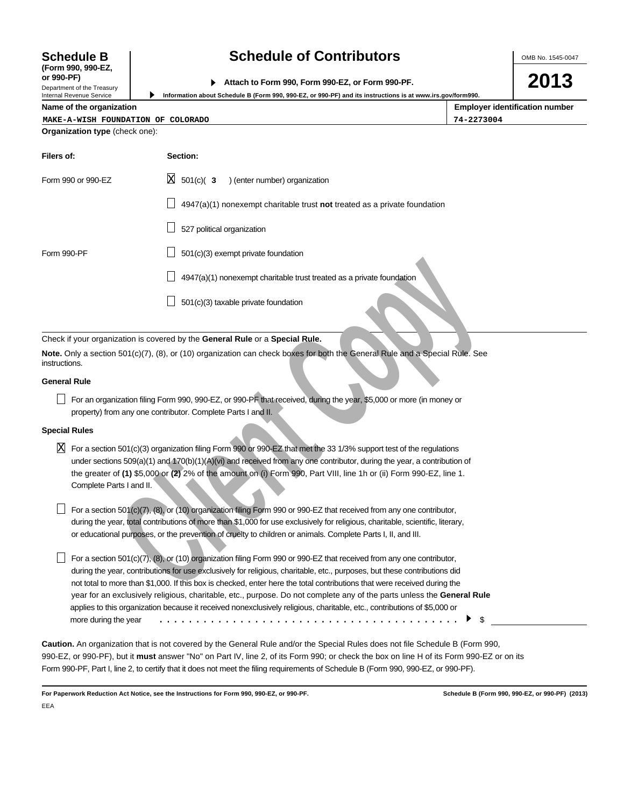# **Schedule B Schedule of Contributors**

OMB No. 1545-0047

| or 990-PF)                   |                                                  |
|------------------------------|--------------------------------------------------|
|                              | Attach to Form 990, Form 990-EZ, or Form 990-PF. |
| Donasterant of the Transmiss |                                                  |

**Information about Schedule B (Form 990, 990-EZ, or 990-PF) and its instructions is at www.irs.gov/form990.**

**2013**

|  | Name of the organization |
|--|--------------------------|
|  |                          |

▶

**(Form 990, 990-EZ,**

Department of the Treasury Internal Revenue Service

| Name of the organization              |          | <b>Employer identification number</b> |
|---------------------------------------|----------|---------------------------------------|
| MAKE-A-WISH FOUNDATION OF COLORADO    |          | 74-2273004                            |
| <b>Organization type (check one):</b> |          |                                       |
| Filers of:                            | Section: |                                       |

| Form 990 or 990-EZ | $X = 501(c)$ (3<br>) (enter number) organization                            |
|--------------------|-----------------------------------------------------------------------------|
|                    | $4947(a)(1)$ nonexempt charitable trust not treated as a private foundation |
|                    | 527 political organization                                                  |
| Form 990-PF        | 501(c)(3) exempt private foundation                                         |
|                    | 4947(a)(1) nonexempt charitable trust treated as a private foundation       |
|                    | 501(c)(3) taxable private foundation                                        |

Check if your organization is covered by the **General Rule** or a **Special Rule.**

**Note.** Only a section 501(c)(7), (8), or (10) organization can check boxes for both the General Rule and a Special Rule. See instructions.

# **General Rule**

For an organization filing Form 990, 990-EZ, or 990-PF that received, during the year, \$5,000 or more (in money or property) from any one contributor. Complete Parts I and II.

# **Special Rules**

 $\overline{\text{X}}$  For a section 501(c)(3) organization filing Form 990 or 990-EZ that met the 33 1/3% support test of the regulations under sections 509(a)(1) and 170(b)(1)(A)(vi) and received from any one contributor, during the year, a contribution of the greater of **(1)** \$5,000 or **(2)** 2% of the amount on (i) Form 990, Part VIII, line 1h or (ii) Form 990-EZ, line 1. Complete Parts I and II.

For a section 501(c)(7), (8), or (10) organization filing Form 990 or 990-EZ that received from any one contributor, during the year, total contributions of more than \$1,000 for use exclusively for religious, charitable, scientific, literary, or educational purposes, or the prevention of cruelty to children or animals. Complete Parts I, II, and III.

**Cliential Construction Society and Constrained Constrained as a private foundation<br>
Solicity), (8), or (10) organization can check boxes for both the General Rule and a Special Rule.<br>
Separation filing Form 590, 900-EZ,** For a section 501(c)(7), (8), or (10) organization filing Form 990 or 990-EZ that received from any one contributor, during the year, contributions for use exclusively for religious, charitable, etc., purposes, but these contributions did not total to more than \$1,000. If this box is checked, enter here the total contributions that were received during the year for an exclusively religious, charitable, etc., purpose. Do not complete any of the parts unless the **General Rule** applies to this organization because it received nonexclusively religious, charitable, etc., contributions of \$5,000 or more during the year \$ .........................................

**Caution.** An organization that is not covered by the General Rule and/or the Special Rules does not file Schedule B (Form 990, 990-EZ, or 990-PF), but it **must** answer "No" on Part IV, line 2, of its Form 990; or check the box on line H of its Form 990-EZ or on its Form 990-PF, Part I, line 2, to certify that it does not meet the filing requirements of Schedule B (Form 990, 990-EZ, or 990-PF).

**For Paperwork Reduction Act Notice, see the Instructions for Form 990, 990-EZ, or 990-PF. Schedule B (Form 990, 990-EZ, or 990-PF) (2013)** EEA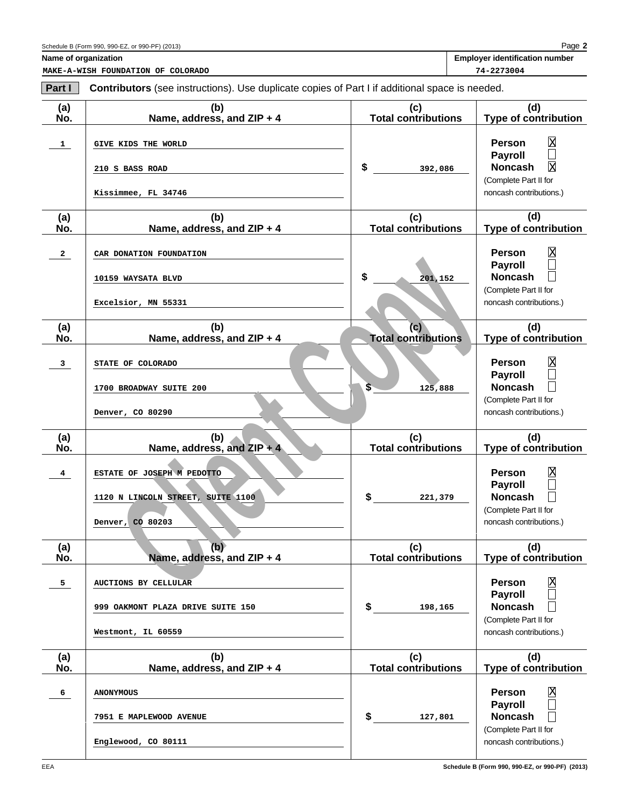**2** Page

|  | <b>Employer identification number</b> |  |
|--|---------------------------------------|--|
|--|---------------------------------------|--|

**Name of organization MAKE-A-WISH FOUNDATION OF COLORADO 74-2273004**

| Part I         | Contributors (see instructions). Use duplicate copies of Part I if additional space is needed. |                                    |                                                                                                                                                              |
|----------------|------------------------------------------------------------------------------------------------|------------------------------------|--------------------------------------------------------------------------------------------------------------------------------------------------------------|
| (a)<br>No.     | (b)<br>Name, address, and ZIP + 4                                                              | (c)<br><b>Total contributions</b>  | (d)<br><b>Type of contribution</b>                                                                                                                           |
| 1              | GIVE KIDS THE WORLD<br>210 S BASS ROAD<br>Kissimmee, FL 34746                                  | \$<br>392,086                      | $\overline{\text{X}}$<br>Person<br>$\Box$<br><b>Payroll</b><br>$\overline{\mathrm{x}}$<br><b>Noncash</b><br>(Complete Part II for<br>noncash contributions.) |
| (a)<br>No.     | (b)<br>Name, address, and ZIP + 4                                                              | (c)<br><b>Total contributions</b>  | (d)<br><b>Type of contribution</b>                                                                                                                           |
| $\mathbf{2}$   | CAR DONATION FOUNDATION<br>10159 WAYSATA BLVD<br>Excelsior, MN 55331                           | \$<br>201,152                      | $\mathbf{\overline{X}}$<br>Person<br><b>Payroll</b><br><b>Noncash</b><br>(Complete Part II for<br>noncash contributions.)                                    |
| (a)<br>No.     | (b)<br>Name, address, and ZIP + 4                                                              | (c)<br><b>Total contributions</b>  | (d)<br><b>Type of contribution</b>                                                                                                                           |
| $\mathbf{3}$   | STATE OF COLORADO<br>1700 BROADWAY SUITE 200<br>Denver, CO 80290                               | $\overline{\mathbf{s}}$<br>125,888 | $\overline{\text{X}}$<br>Person<br>$\Box$<br><b>Payroll</b><br>П<br><b>Noncash</b><br>(Complete Part II for<br>noncash contributions.)                       |
| (a)<br>No.     | (b)<br>Name, address, and $ZIP + 4$                                                            | (c)<br><b>Total contributions</b>  | (d)<br><b>Type of contribution</b>                                                                                                                           |
| 4              | ESTATE OF JOSEPH M PEDOTTO<br>1120 N LINCOLN STREET, SUITE 1100<br>Denver, CO 80203            | \$<br>221,379                      | $\overline{\text{X}}$<br>Person<br>$\Box$<br>Payroll<br>П<br><b>Noncash</b><br>(Complete Part II for<br>noncash contributions.)                              |
| (a)<br>No.     | (b)<br>Name, address, and ZIP + 4                                                              | (c)<br><b>Total contributions</b>  | (d)<br><b>Type of contribution</b>                                                                                                                           |
| 5 <sub>5</sub> | <b>AUCTIONS BY CELLULAR</b><br>999 OAKMONT PLAZA DRIVE SUITE 150<br>Westmont, IL 60559         | \$<br>198,165                      | $\mathbf{\overline{X}}$<br><b>Person</b><br><b>Payroll</b><br><b>Noncash</b><br>(Complete Part II for<br>noncash contributions.)                             |
| (a)<br>No.     | (b)<br>Name, address, and ZIP + 4                                                              | (c)<br><b>Total contributions</b>  | (d)<br><b>Type of contribution</b>                                                                                                                           |
| 6              | <b>ANONYMOUS</b><br>7951 E MAPLEWOOD AVENUE<br>Englewood, CO 80111                             | \$<br>127,801                      | Χ<br><b>Person</b><br>П<br><b>Payroll</b><br><b>Noncash</b><br>(Complete Part II for<br>noncash contributions.)                                              |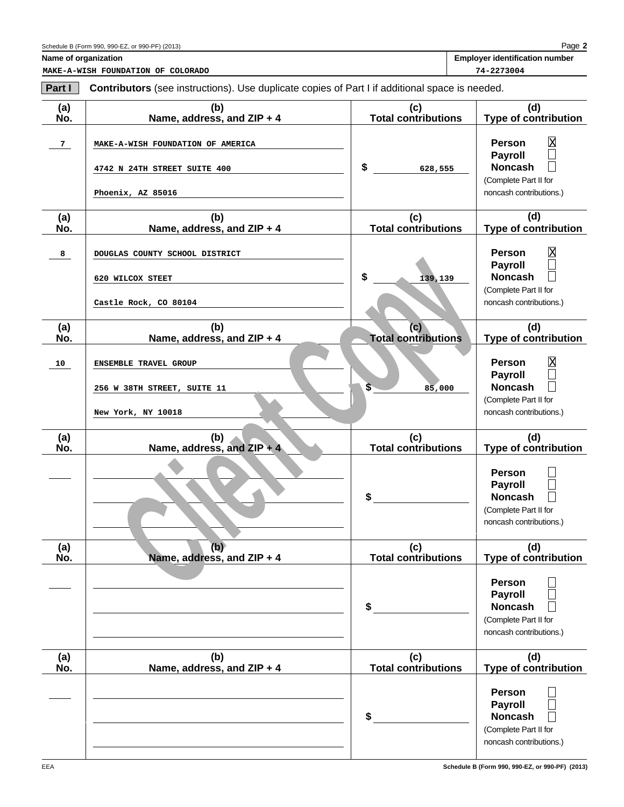| <b>Employer identification number</b> |
|---------------------------------------|
|                                       |

**MAKE-A-WISH FOUNDATION OF COLORADO 74-2273004**

| Part I     | <b>Contributors</b> (see instructions). Use duplicate copies of Part I if additional space is needed. |                                   |                                                                                                          |
|------------|-------------------------------------------------------------------------------------------------------|-----------------------------------|----------------------------------------------------------------------------------------------------------|
| (a)<br>No. | (b)<br>Name, address, and ZIP + 4                                                                     | (c)<br><b>Total contributions</b> | (d)<br>Type of contribution                                                                              |
| 7          | MAKE-A-WISH FOUNDATION OF AMERICA<br>4742 N 24TH STREET SUITE 400                                     | \$<br>628,555                     | $\mathbf{\overline{X}}$<br>Person<br>$\Box$<br><b>Payroll</b><br><b>Noncash</b><br>(Complete Part II for |
| (a)<br>No. | Phoenix, AZ 85016<br>(b)<br>Name, address, and ZIP + 4                                                | (c)<br><b>Total contributions</b> | noncash contributions.)<br>(d)<br>Type of contribution                                                   |
| 8          | DOUGLAS COUNTY SCHOOL DISTRICT<br>620 WILCOX STEET                                                    | \$<br>139,139                     | $\overline{\text{X}}$<br>Person<br>$\Box$<br><b>Payroll</b><br><b>Noncash</b>                            |
| (a)        | Castle Rock, CO 80104<br>(b)                                                                          | (c)                               | (Complete Part II for<br>noncash contributions.)<br>(d)                                                  |
| No.<br>10  | Name, address, and ZIP + 4<br>ENSEMBLE TRAVEL GROUP                                                   | <b>Total contributions</b>        | Type of contribution<br>$\overline{\text{X}}$<br>Person                                                  |
|            | 256 W 38TH STREET, SUITE 11<br>New York, NY 10018                                                     | $\overline{\mathsf{s}}$<br>85,000 | <b>Payroll</b><br><b>Noncash</b><br>(Complete Part II for<br>noncash contributions.)                     |
| (a)<br>No. | (b)<br>Name, address, and ZIP + 4                                                                     | (c)<br><b>Total contributions</b> | (d)<br><b>Type of contribution</b>                                                                       |
|            |                                                                                                       | \$                                | Person<br><b>Payroll</b><br><b>Noncash</b><br>(Complete Part II for<br>noncash contributions.)           |
| (a)<br>No. | (b)<br>Name, address, and ZIP + 4                                                                     | (c)<br><b>Total contributions</b> | (d)<br><b>Type of contribution</b>                                                                       |
|            |                                                                                                       | \$                                | <b>Person</b><br>Payroll<br><b>Noncash</b><br>(Complete Part II for<br>noncash contributions.)           |
| (a)<br>No. | (b)<br>Name, address, and ZIP + 4                                                                     | (c)<br><b>Total contributions</b> | (d)<br><b>Type of contribution</b>                                                                       |
|            |                                                                                                       | \$                                | <b>Person</b><br><b>Payroll</b><br><b>Noncash</b><br>(Complete Part II for<br>noncash contributions.)    |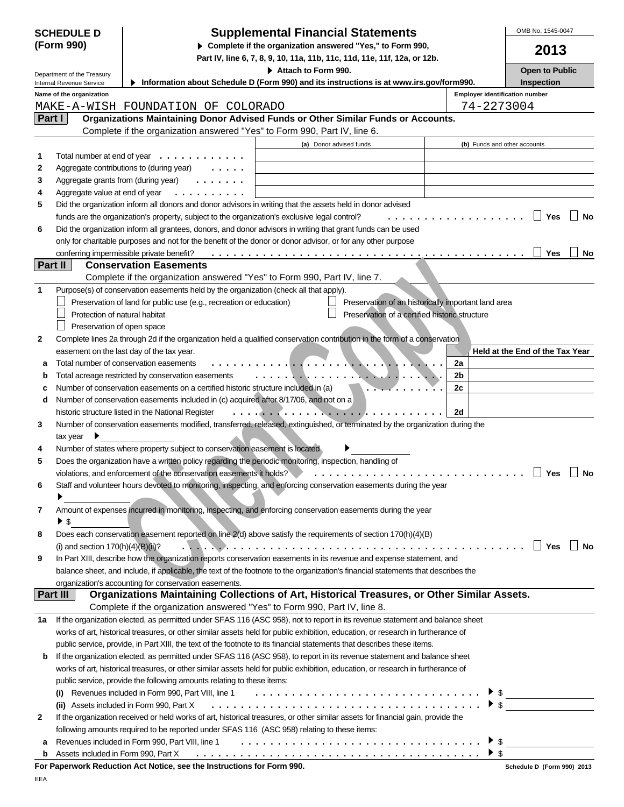|              | <b>SCHEDULE D</b>                                                                                                                                   | <b>Supplemental Financial Statements</b>                                                                                                                                           |                                       | OMB No. 1545-0047                                                                                  |
|--------------|-----------------------------------------------------------------------------------------------------------------------------------------------------|------------------------------------------------------------------------------------------------------------------------------------------------------------------------------------|---------------------------------------|----------------------------------------------------------------------------------------------------|
|              | (Form 990)<br>Complete if the organization answered "Yes," to Form 990,<br>Part IV, line 6, 7, 8, 9, 10, 11a, 11b, 11c, 11d, 11e, 11f, 12a, or 12b. |                                                                                                                                                                                    | 2013                                  |                                                                                                    |
|              | Department of the Treasury                                                                                                                          | Attach to Form 990.                                                                                                                                                                |                                       | <b>Open to Public</b>                                                                              |
|              | Internal Revenue Service                                                                                                                            | Information about Schedule D (Form 990) and its instructions is at www.irs.gov/form990.                                                                                            |                                       | <b>Inspection</b>                                                                                  |
|              | Name of the organization                                                                                                                            |                                                                                                                                                                                    | <b>Employer identification number</b> |                                                                                                    |
|              |                                                                                                                                                     | MAKE-A-WISH FOUNDATION OF COLORADO                                                                                                                                                 | 74-2273004                            |                                                                                                    |
|              | Part I                                                                                                                                              | Organizations Maintaining Donor Advised Funds or Other Similar Funds or Accounts.<br>Complete if the organization answered "Yes" to Form 990, Part IV, line 6.                     |                                       |                                                                                                    |
|              |                                                                                                                                                     | (a) Donor advised funds                                                                                                                                                            | (b) Funds and other accounts          |                                                                                                    |
| 1            | Total number at end of year                                                                                                                         | .                                                                                                                                                                                  |                                       |                                                                                                    |
| 2            |                                                                                                                                                     | Aggregate contributions to (during year)                                                                                                                                           |                                       |                                                                                                    |
| 3            | Aggregate grants from (during year)                                                                                                                 |                                                                                                                                                                                    |                                       |                                                                                                    |
| 4            | Aggregate value at end of year                                                                                                                      |                                                                                                                                                                                    |                                       |                                                                                                    |
| 5            |                                                                                                                                                     | Did the organization inform all donors and donor advisors in writing that the assets held in donor advised                                                                         |                                       |                                                                                                    |
|              |                                                                                                                                                     | funds are the organization's property, subject to the organization's exclusive legal control?<br>.                                                                                 |                                       | $\Box$<br>Yes<br><b>No</b>                                                                         |
| 6            |                                                                                                                                                     | Did the organization inform all grantees, donors, and donor advisors in writing that grant funds can be used                                                                       |                                       |                                                                                                    |
|              |                                                                                                                                                     | only for charitable purposes and not for the benefit of the donor or donor advisor, or for any other purpose                                                                       |                                       |                                                                                                    |
|              | <b>Part II</b>                                                                                                                                      | conferring impermissible private benefit?<br><b>Conservation Easements</b>                                                                                                         |                                       | Yes<br>No                                                                                          |
|              |                                                                                                                                                     | Complete if the organization answered "Yes" to Form 990, Part IV, line 7.                                                                                                          |                                       |                                                                                                    |
| $\mathbf{1}$ |                                                                                                                                                     | Purpose(s) of conservation easements held by the organization (check all that apply).                                                                                              |                                       |                                                                                                    |
|              |                                                                                                                                                     | Preservation of land for public use (e.g., recreation or education)<br>Preservation of an historically important land area                                                         |                                       |                                                                                                    |
|              | Protection of natural habitat                                                                                                                       | Preservation of a certified historic structure                                                                                                                                     |                                       |                                                                                                    |
|              | Preservation of open space                                                                                                                          |                                                                                                                                                                                    |                                       |                                                                                                    |
| 2            |                                                                                                                                                     | Complete lines 2a through 2d if the organization held a qualified conservation contribution in the form of a conservation                                                          |                                       |                                                                                                    |
|              |                                                                                                                                                     | easement on the last day of the tax year.                                                                                                                                          |                                       | Held at the End of the Tax Year                                                                    |
| a            |                                                                                                                                                     | Total number of conservation easements                                                                                                                                             | 2a                                    |                                                                                                    |
| b            |                                                                                                                                                     | Total acreage restricted by conservation easements<br>. <del>. .</del> <del>.</del> .                                                                                              | 2 <sub>b</sub>                        |                                                                                                    |
| c            |                                                                                                                                                     | Number of conservation easements on a certified historic structure included in (a)                                                                                                 | 2c                                    |                                                                                                    |
| d            |                                                                                                                                                     | Number of conservation easements included in (c) acquired after 8/17/06, and not on a                                                                                              | 2d                                    |                                                                                                    |
| 3            |                                                                                                                                                     | historic structure listed in the National Register<br>Number of conservation easements modified, transferred, released, extinguished, or terminated by the organization during the |                                       |                                                                                                    |
|              | tax year                                                                                                                                            |                                                                                                                                                                                    |                                       |                                                                                                    |
| 4            |                                                                                                                                                     | Number of states where property subject to conservation easement is located                                                                                                        |                                       |                                                                                                    |
| 5            |                                                                                                                                                     | Does the organization have a written policy regarding the periodic monitoring, inspection, handling of                                                                             |                                       |                                                                                                    |
|              |                                                                                                                                                     | violations, and enforcement of the conservation easements it holds?                                                                                                                |                                       | Yes<br>No                                                                                          |
| 6            |                                                                                                                                                     | Staff and volunteer hours devoted to monitoring, inspecting, and enforcing conservation easements during the year                                                                  |                                       |                                                                                                    |
|              |                                                                                                                                                     |                                                                                                                                                                                    |                                       |                                                                                                    |
| 7            |                                                                                                                                                     | Amount of expenses incurred in monitoring, inspecting, and enforcing conservation easements during the year                                                                        |                                       |                                                                                                    |
|              | $\blacktriangleright$ \$                                                                                                                            |                                                                                                                                                                                    |                                       |                                                                                                    |
| 8            |                                                                                                                                                     | Does each conservation easement reported on line 2(d) above satisfy the requirements of section 170(h)(4)(B)                                                                       |                                       | $\Box$ Yes<br>∣ No                                                                                 |
|              | (i) and section $170(h)(4)(B)(ii)$ ?                                                                                                                | In Part XIII, describe how the organization reports conservation easements in its revenue and expense statement, and                                                               |                                       |                                                                                                    |
| 9            |                                                                                                                                                     | balance sheet, and include, if applicable, the text of the footnote to the organization's financial statements that describes the                                                  |                                       |                                                                                                    |
|              |                                                                                                                                                     | organization's accounting for conservation easements.                                                                                                                              |                                       |                                                                                                    |
|              | Part III                                                                                                                                            | Organizations Maintaining Collections of Art, Historical Treasures, or Other Similar Assets.                                                                                       |                                       |                                                                                                    |
|              |                                                                                                                                                     | Complete if the organization answered "Yes" to Form 990, Part IV, line 8.                                                                                                          |                                       |                                                                                                    |
| 1a           |                                                                                                                                                     | If the organization elected, as permitted under SFAS 116 (ASC 958), not to report in its revenue statement and balance sheet                                                       |                                       |                                                                                                    |
|              |                                                                                                                                                     | works of art, historical treasures, or other similar assets held for public exhibition, education, or research in furtherance of                                                   |                                       |                                                                                                    |
|              |                                                                                                                                                     | public service, provide, in Part XIII, the text of the footnote to its financial statements that describes these items.                                                            |                                       |                                                                                                    |
| b            |                                                                                                                                                     | If the organization elected, as permitted under SFAS 116 (ASC 958), to report in its revenue statement and balance sheet                                                           |                                       |                                                                                                    |
|              |                                                                                                                                                     | works of art, historical treasures, or other similar assets held for public exhibition, education, or research in furtherance of                                                   |                                       |                                                                                                    |
|              |                                                                                                                                                     | public service, provide the following amounts relating to these items:                                                                                                             |                                       |                                                                                                    |
|              |                                                                                                                                                     | Revenues included in Form 990, Part VIII, line 1                                                                                                                                   |                                       | $\begin{array}{c}\n\blacktriangleright \mathsf{s} \\ \blacktriangleright \mathsf{s} \n\end{array}$ |
|              |                                                                                                                                                     | (ii) Assets included in Form 990, Part X<br>If the organization received or held works of art, historical treasures, or other similar assets for financial gain, provide the       |                                       |                                                                                                    |
| 2            |                                                                                                                                                     | following amounts required to be reported under SFAS 116 (ASC 958) relating to these items:                                                                                        |                                       |                                                                                                    |
| а            |                                                                                                                                                     | Revenues included in Form 990, Part VIII, line 1                                                                                                                                   | \$                                    |                                                                                                    |
| b            | Assets included in Form 990, Part X                                                                                                                 |                                                                                                                                                                                    |                                       |                                                                                                    |
|              |                                                                                                                                                     |                                                                                                                                                                                    |                                       |                                                                                                    |

**For Paperwork Reduction Act Notice, see the Instructions for Form 990.**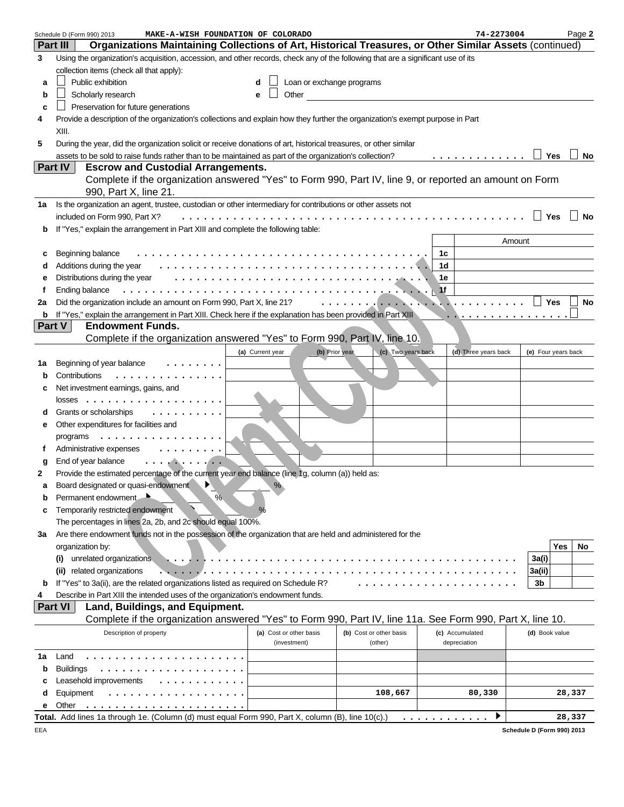|    | Schedule D (Form 990) 2013<br>MAKE-A-WISH FOUNDATION OF COLORADO                                                                 |                                    |                         | 74-2273004                                                                                                                                                                                                                                                                                                              | Page 2              |
|----|----------------------------------------------------------------------------------------------------------------------------------|------------------------------------|-------------------------|-------------------------------------------------------------------------------------------------------------------------------------------------------------------------------------------------------------------------------------------------------------------------------------------------------------------------|---------------------|
|    | Organizations Maintaining Collections of Art, Historical Treasures, or Other Similar Assets (continued)<br><b>Part III</b>       |                                    |                         |                                                                                                                                                                                                                                                                                                                         |                     |
| 3  | Using the organization's acquisition, accession, and other records, check any of the following that are a significant use of its |                                    |                         |                                                                                                                                                                                                                                                                                                                         |                     |
|    | collection items (check all that apply):                                                                                         |                                    |                         |                                                                                                                                                                                                                                                                                                                         |                     |
| a  | Public exhibition                                                                                                                | Loan or exchange programs          |                         |                                                                                                                                                                                                                                                                                                                         |                     |
| b  | Scholarly research                                                                                                               | Other                              |                         |                                                                                                                                                                                                                                                                                                                         |                     |
| C  | Preservation for future generations                                                                                              |                                    |                         |                                                                                                                                                                                                                                                                                                                         |                     |
| 4  | Provide a description of the organization's collections and explain how they further the organization's exempt purpose in Part   |                                    |                         |                                                                                                                                                                                                                                                                                                                         |                     |
|    | XIII.                                                                                                                            |                                    |                         |                                                                                                                                                                                                                                                                                                                         |                     |
| 5  | During the year, did the organization solicit or receive donations of art, historical treasures, or other similar                |                                    |                         |                                                                                                                                                                                                                                                                                                                         |                     |
|    | assets to be sold to raise funds rather than to be maintained as part of the organization's collection?                          |                                    |                         | .                                                                                                                                                                                                                                                                                                                       | Yes<br>No           |
|    | <b>Part IV</b><br><b>Escrow and Custodial Arrangements.</b>                                                                      |                                    |                         |                                                                                                                                                                                                                                                                                                                         |                     |
|    | Complete if the organization answered "Yes" to Form 990, Part IV, line 9, or reported an amount on Form                          |                                    |                         |                                                                                                                                                                                                                                                                                                                         |                     |
|    | 990, Part X, line 21.                                                                                                            |                                    |                         |                                                                                                                                                                                                                                                                                                                         |                     |
| 1a | Is the organization an agent, trustee, custodian or other intermediary for contributions or other assets not                     |                                    |                         |                                                                                                                                                                                                                                                                                                                         |                     |
|    | included on Form 990, Part X?<br>.                                                                                               |                                    |                         |                                                                                                                                                                                                                                                                                                                         |                     |
| b  | If "Yes," explain the arrangement in Part XIII and complete the following table:                                                 |                                    |                         |                                                                                                                                                                                                                                                                                                                         |                     |
|    |                                                                                                                                  |                                    |                         |                                                                                                                                                                                                                                                                                                                         | Amount              |
| с  | Beginning balance                                                                                                                |                                    |                         | 1c<br>1 <sub>d</sub>                                                                                                                                                                                                                                                                                                    |                     |
|    | Additions during the year<br>Distributions during the year                                                                       |                                    |                         | 1е                                                                                                                                                                                                                                                                                                                      |                     |
| Ť  | Ending balance                                                                                                                   |                                    |                         | 1f                                                                                                                                                                                                                                                                                                                      |                     |
| 2a | Did the organization include an amount on Form 990, Part X, line 21?                                                             |                                    |                         | $\mathcal{L}$ . The state of the state of $\mathcal{L}$ , $\mathcal{L}$ , $\mathcal{L}$ , $\mathcal{L}$ , $\mathcal{L}$ , $\mathcal{L}$ , $\mathcal{L}$ , $\mathcal{L}$ , $\mathcal{L}$ , $\mathcal{L}$ , $\mathcal{L}$ , $\mathcal{L}$ , $\mathcal{L}$ , $\mathcal{L}$ , $\mathcal{L}$ , $\mathcal{L}$ , $\mathcal{L}$ | Yes<br>No           |
| b  | If "Yes," explain the arrangement in Part XIII. Check here if the explanation has been provided in Part XIII                     |                                    |                         | .                                                                                                                                                                                                                                                                                                                       |                     |
|    | <b>Endowment Funds.</b><br>Part V                                                                                                |                                    |                         |                                                                                                                                                                                                                                                                                                                         |                     |
|    | Complete if the organization answered "Yes" to Form 990, Part IV, line 10.                                                       |                                    |                         |                                                                                                                                                                                                                                                                                                                         |                     |
|    |                                                                                                                                  | (b) Prior year<br>(a) Current year | (c) Two years back      | (d) Three years back                                                                                                                                                                                                                                                                                                    | (e) Four years back |
| 1а | Beginning of year balance                                                                                                        |                                    |                         |                                                                                                                                                                                                                                                                                                                         |                     |
| b  | Contributions<br>.                                                                                                               |                                    |                         |                                                                                                                                                                                                                                                                                                                         |                     |
| c  | Net investment earnings, gains, and                                                                                              |                                    |                         |                                                                                                                                                                                                                                                                                                                         |                     |
|    |                                                                                                                                  |                                    |                         |                                                                                                                                                                                                                                                                                                                         |                     |
| d  | Grants or scholarships<br>.                                                                                                      |                                    |                         |                                                                                                                                                                                                                                                                                                                         |                     |
| е  | Other expenditures for facilities and                                                                                            |                                    |                         |                                                                                                                                                                                                                                                                                                                         |                     |
|    | programs<br>.                                                                                                                    |                                    |                         |                                                                                                                                                                                                                                                                                                                         |                     |
|    | Administrative expenses                                                                                                          |                                    |                         |                                                                                                                                                                                                                                                                                                                         |                     |
| g  | End of year balance<br>. <b>.</b>                                                                                                |                                    |                         |                                                                                                                                                                                                                                                                                                                         |                     |
| 2  | Provide the estimated percentage of the current year end balance (line 1g, column (a)) held as:                                  |                                    |                         |                                                                                                                                                                                                                                                                                                                         |                     |
| а  | Board designated or quasi-endowment                                                                                              | $\%$                               |                         |                                                                                                                                                                                                                                                                                                                         |                     |
| b  | $\frac{1}{2}$<br>Permanent endowment                                                                                             |                                    |                         |                                                                                                                                                                                                                                                                                                                         |                     |
| c  | Temporarily restricted endowment                                                                                                 |                                    |                         |                                                                                                                                                                                                                                                                                                                         |                     |
|    | The percentages in lines 2a, 2b, and 2c should equal 100%.                                                                       |                                    |                         |                                                                                                                                                                                                                                                                                                                         |                     |
| 3a | Are there endowment funds not in the possession of the organization that are held and administered for the                       |                                    |                         |                                                                                                                                                                                                                                                                                                                         |                     |
|    | organization by:                                                                                                                 |                                    |                         |                                                                                                                                                                                                                                                                                                                         | Yes<br>No           |
|    | unrelated organizations                                                                                                          |                                    |                         |                                                                                                                                                                                                                                                                                                                         | 3a(i)               |
|    | (ii) related organizations<br>.                                                                                                  |                                    |                         |                                                                                                                                                                                                                                                                                                                         | 3a(ii)              |
| b  | If "Yes" to 3a(ii), are the related organizations listed as required on Schedule R?                                              |                                    |                         |                                                                                                                                                                                                                                                                                                                         | 3b                  |
|    | Describe in Part XIII the intended uses of the organization's endowment funds.                                                   |                                    |                         |                                                                                                                                                                                                                                                                                                                         |                     |
|    | Land, Buildings, and Equipment.<br><b>Part VI</b>                                                                                |                                    |                         |                                                                                                                                                                                                                                                                                                                         |                     |
|    | Complete if the organization answered "Yes" to Form 990, Part IV, line 11a. See Form 990, Part X, line 10.                       |                                    |                         |                                                                                                                                                                                                                                                                                                                         |                     |
|    | Description of property                                                                                                          | (a) Cost or other basis            | (b) Cost or other basis | (c) Accumulated                                                                                                                                                                                                                                                                                                         | (d) Book value      |
|    |                                                                                                                                  | (investment)                       | (other)                 | depreciation                                                                                                                                                                                                                                                                                                            |                     |
| 1a | Land                                                                                                                             |                                    |                         |                                                                                                                                                                                                                                                                                                                         |                     |
| b  | <b>Buildings</b>                                                                                                                 |                                    |                         |                                                                                                                                                                                                                                                                                                                         |                     |
| c  | Leasehold improvements                                                                                                           |                                    |                         |                                                                                                                                                                                                                                                                                                                         |                     |
| d  | Equipment                                                                                                                        |                                    | 108,667                 | 80,330                                                                                                                                                                                                                                                                                                                  | 28,337              |
| е  | Other                                                                                                                            |                                    |                         |                                                                                                                                                                                                                                                                                                                         |                     |
|    | Total. Add lines 1a through 1e. (Column (d) must equal Form 990, Part X, column (B), line 10(c).)                                |                                    |                         | .                                                                                                                                                                                                                                                                                                                       | 28,337              |

|  | Schedule D (Form 990) 2013 |  |  |  |  |
|--|----------------------------|--|--|--|--|
|--|----------------------------|--|--|--|--|

EEA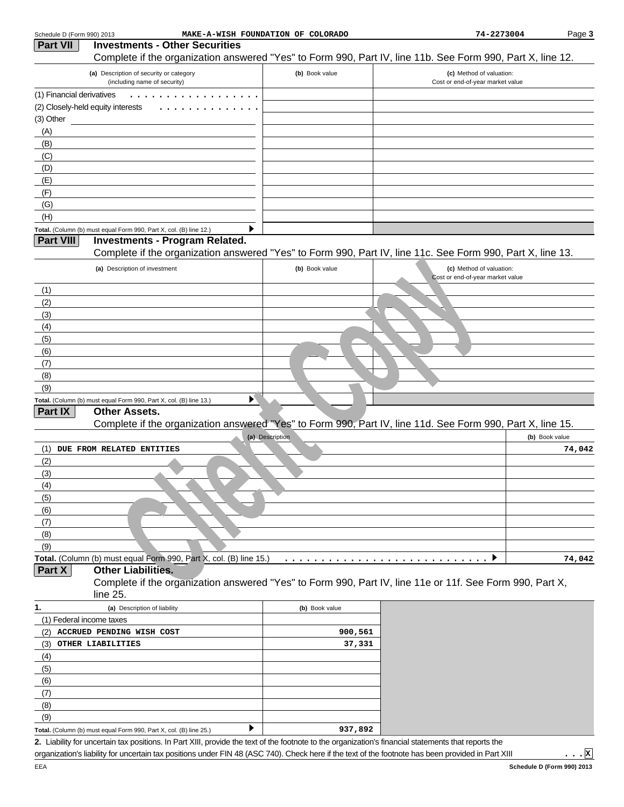| Schedule D (Form 990) 2013 | MAKE-A-WISH FOUNDATION OF COLORADO                                                                                                                   |                 | 74-2273004                       | Page 3         |
|----------------------------|------------------------------------------------------------------------------------------------------------------------------------------------------|-----------------|----------------------------------|----------------|
| Part VII                   | <b>Investments - Other Securities</b>                                                                                                                |                 |                                  |                |
|                            | Complete if the organization answered "Yes" to Form 990, Part IV, line 11b. See Form 990, Part X, line 12.                                           |                 |                                  |                |
|                            | (a) Description of security or category                                                                                                              | (b) Book value  | (c) Method of valuation:         |                |
|                            | (including name of security)                                                                                                                         |                 | Cost or end-of-year market value |                |
| (1) Financial derivatives  |                                                                                                                                                      |                 |                                  |                |
|                            | (2) Closely-held equity interests                                                                                                                    |                 |                                  |                |
| (3) Other<br>(A)           |                                                                                                                                                      |                 |                                  |                |
| (B)                        |                                                                                                                                                      |                 |                                  |                |
| (C)                        |                                                                                                                                                      |                 |                                  |                |
| (D)                        |                                                                                                                                                      |                 |                                  |                |
| (E)                        |                                                                                                                                                      |                 |                                  |                |
| (F)                        |                                                                                                                                                      |                 |                                  |                |
| (G)                        |                                                                                                                                                      |                 |                                  |                |
| (H)                        |                                                                                                                                                      |                 |                                  |                |
|                            | Total. (Column (b) must equal Form 990, Part X, col. (B) line 12.)                                                                                   |                 |                                  |                |
| Part VIII                  | <b>Investments - Program Related.</b>                                                                                                                |                 |                                  |                |
|                            | Complete if the organization answered "Yes" to Form 990, Part IV, line 11c. See Form 990, Part X, line 13.                                           |                 |                                  |                |
|                            | (a) Description of investment                                                                                                                        | (b) Book value  | (c) Method of valuation:         |                |
|                            |                                                                                                                                                      |                 | Cost or end-of-year market value |                |
| (1)                        |                                                                                                                                                      |                 |                                  |                |
| (2)                        |                                                                                                                                                      |                 |                                  |                |
| (3)                        |                                                                                                                                                      |                 |                                  |                |
| (4)                        |                                                                                                                                                      |                 |                                  |                |
| (5)                        |                                                                                                                                                      |                 |                                  |                |
| (6)                        |                                                                                                                                                      |                 |                                  |                |
| (7)                        |                                                                                                                                                      |                 |                                  |                |
| (8)                        |                                                                                                                                                      |                 |                                  |                |
| (9)                        |                                                                                                                                                      |                 |                                  |                |
|                            | ▶<br>Total. (Column (b) must equal Form 990, Part X, col. (B) line 13.)                                                                              |                 |                                  |                |
| Part IX                    | <b>Other Assets.</b>                                                                                                                                 |                 |                                  |                |
|                            | Complete if the organization answered "Yes" to Form 990, Part IV, line 11d. See Form 990, Part X, line 15.                                           |                 |                                  |                |
|                            |                                                                                                                                                      | (a) Description |                                  | (b) Book value |
| (1)                        | DUE FROM RELATED ENTITIES                                                                                                                            |                 |                                  | 74,042         |
| (2)                        |                                                                                                                                                      |                 |                                  |                |
| (3)                        |                                                                                                                                                      |                 |                                  |                |
| (4)                        |                                                                                                                                                      |                 |                                  |                |
| (5)                        |                                                                                                                                                      |                 |                                  |                |
| (6)                        |                                                                                                                                                      |                 |                                  |                |
| (7)                        |                                                                                                                                                      |                 |                                  |                |
| (8)                        |                                                                                                                                                      |                 |                                  |                |
| (9)                        | Total. (Column (b) must equal Form 990, Part X, col. (B) line 15.)                                                                                   |                 |                                  |                |
| Part X                     | <b>Other Liabilities.</b>                                                                                                                            |                 |                                  | 74,042         |
|                            | Complete if the organization answered "Yes" to Form 990, Part IV, line 11e or 11f. See Form 990, Part X,                                             |                 |                                  |                |
|                            | line 25.                                                                                                                                             |                 |                                  |                |
| 1.                         | (a) Description of liability                                                                                                                         | (b) Book value  |                                  |                |
|                            | (1) Federal income taxes                                                                                                                             |                 |                                  |                |
| (2)                        | ACCRUED PENDING WISH COST                                                                                                                            | 900,561         |                                  |                |
| (3)                        | OTHER LIABILITIES                                                                                                                                    | 37,331          |                                  |                |
| (4)                        |                                                                                                                                                      |                 |                                  |                |
| (5)                        |                                                                                                                                                      |                 |                                  |                |
| (6)                        |                                                                                                                                                      |                 |                                  |                |
| (7)                        |                                                                                                                                                      |                 |                                  |                |
| (8)                        |                                                                                                                                                      |                 |                                  |                |
| (9)                        |                                                                                                                                                      |                 |                                  |                |
|                            | Total. (Column (b) must equal Form 990, Part X, col. (B) line 25.)                                                                                   | 937,892         |                                  |                |
|                            | 2. Liability for uncertain tax positions. In Part XIII, provide the text of the footnote to the organization's financial statements that reports the |                 |                                  |                |

organization's liability for uncertain tax positions under FIN 48 (ASC 740). Check here if the text of the footnote has been provided in Part XIII

...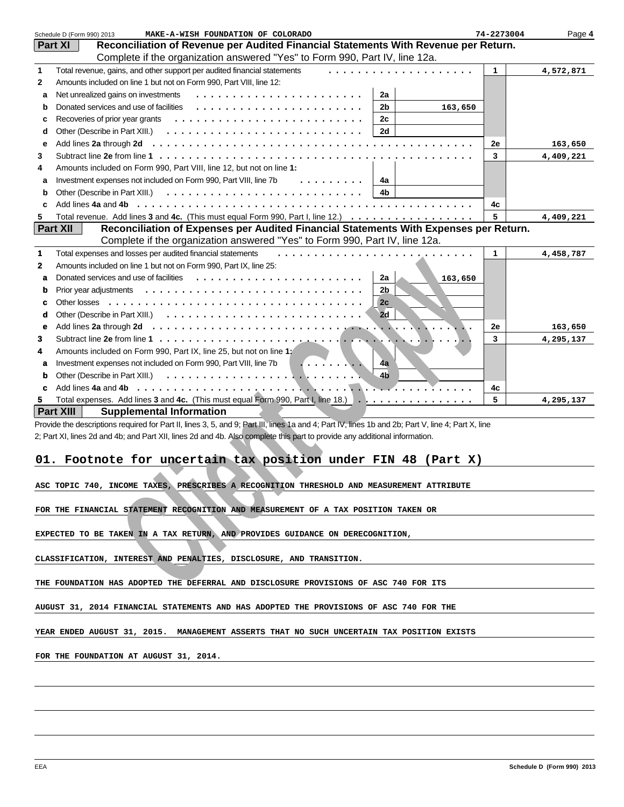|                                                                                    | Schedule D (Form 990) 2013<br>MAKE-A-WISH FOUNDATION OF COLORADO                                                                                   | 74-2273004   | Page 4    |  |  |  |
|------------------------------------------------------------------------------------|----------------------------------------------------------------------------------------------------------------------------------------------------|--------------|-----------|--|--|--|
|                                                                                    | Reconciliation of Revenue per Audited Financial Statements With Revenue per Return.<br><b>Part XI</b>                                              |              |           |  |  |  |
|                                                                                    | Complete if the organization answered "Yes" to Form 990, Part IV, line 12a.                                                                        |              |           |  |  |  |
| $\mathbf{1}$                                                                       | Total revenue, gains, and other support per audited financial statements<br>.                                                                      | $\mathbf{1}$ | 4,572,871 |  |  |  |
| 2                                                                                  | Amounts included on line 1 but not on Form 990, Part VIII, line 12:                                                                                |              |           |  |  |  |
| a                                                                                  | 2a                                                                                                                                                 |              |           |  |  |  |
| b                                                                                  | 2 <sub>b</sub><br>163,650                                                                                                                          |              |           |  |  |  |
| с                                                                                  | 2c<br>Recoveries of prior year grants                                                                                                              |              |           |  |  |  |
| d                                                                                  | 2d                                                                                                                                                 |              |           |  |  |  |
| е                                                                                  |                                                                                                                                                    | 2e           | 163,650   |  |  |  |
| 3                                                                                  |                                                                                                                                                    | 3            | 4,409,221 |  |  |  |
| 4                                                                                  | Amounts included on Form 990, Part VIII, line 12, but not on line 1:                                                                               |              |           |  |  |  |
| a                                                                                  | Investment expenses not included on Form 990, Part VIII, line 7b<br>$\cdots$<br>4a                                                                 |              |           |  |  |  |
| b                                                                                  | 4b                                                                                                                                                 |              |           |  |  |  |
| c                                                                                  | Add lines 4a and 4b                                                                                                                                | 4с           |           |  |  |  |
| 5                                                                                  | Total revenue. Add lines 3 and 4c. (This must equal Form 990, Part I, line 12.)                                                                    | 5            | 4,409,221 |  |  |  |
|                                                                                    | <b>Part XII</b><br>Reconciliation of Expenses per Audited Financial Statements With Expenses per Return.                                           |              |           |  |  |  |
|                                                                                    | Complete if the organization answered "Yes" to Form 990, Part IV, line 12a.                                                                        |              |           |  |  |  |
|                                                                                    |                                                                                                                                                    |              |           |  |  |  |
| 1                                                                                  | Total expenses and losses per audited financial statements<br>.                                                                                    | $\mathbf{1}$ | 4,458,787 |  |  |  |
| 2                                                                                  | Amounts included on line 1 but not on Form 990, Part IX, line 25:                                                                                  |              |           |  |  |  |
| a                                                                                  | 2a<br>163,650                                                                                                                                      |              |           |  |  |  |
| b                                                                                  | 2b                                                                                                                                                 |              |           |  |  |  |
| c                                                                                  | 2c                                                                                                                                                 |              |           |  |  |  |
| d                                                                                  | 2d                                                                                                                                                 |              |           |  |  |  |
| e                                                                                  | $\ldots$                                                                                                                                           | 2e           | 163,650   |  |  |  |
| 3                                                                                  | $\mathbf{L}$                                                                                                                                       | 3            | 4,295,137 |  |  |  |
| 4                                                                                  | Amounts included on Form 990, Part IX, line 25, but not on line 1:                                                                                 |              |           |  |  |  |
| a                                                                                  | Investment expenses not included on Form 990, Part VIII, line 7b<br>$\blacksquare$<br>4a                                                           |              |           |  |  |  |
| b                                                                                  | 4 <sub>b</sub>                                                                                                                                     |              |           |  |  |  |
| c                                                                                  | Add lines 4a and 4b<br>.                                                                                                                           | 4c           |           |  |  |  |
| 5                                                                                  | Total expenses. Add lines 3 and 4c. (This must equal Form 990, Part I, line 18.)                                                                   | 5            | 4,295,137 |  |  |  |
|                                                                                    | <b>Part XIII</b><br><b>Supplemental Information</b>                                                                                                |              |           |  |  |  |
|                                                                                    | Provide the descriptions required for Part II, lines 3, 5, and 9; Part III, lines 1a and 4; Part IV, lines 1b and 2b; Part V, line 4; Part X, line |              |           |  |  |  |
|                                                                                    | 2; Part XI, lines 2d and 4b; and Part XII, lines 2d and 4b. Also complete this part to provide any additional information.                         |              |           |  |  |  |
|                                                                                    |                                                                                                                                                    |              |           |  |  |  |
| 01. Footnote for uncertain tax position under FIN 48 (Part X)                      |                                                                                                                                                    |              |           |  |  |  |
|                                                                                    |                                                                                                                                                    |              |           |  |  |  |
|                                                                                    | ASC TOPIC 740, INCOME TAXES, PRESCRIBES A RECOGNITION THRESHOLD AND MEASUREMENT ATTRIBUTE                                                          |              |           |  |  |  |
|                                                                                    |                                                                                                                                                    |              |           |  |  |  |
| FOR THE FINANCIAL STATEMENT RECOGNITION AND MEASUREMENT OF A TAX POSITION TAKEN OR |                                                                                                                                                    |              |           |  |  |  |
|                                                                                    |                                                                                                                                                    |              |           |  |  |  |
|                                                                                    | EXPECTED TO BE TAKEN IN A TAX RETURN, AND PROVIDES GUIDANCE ON DERECOGNITION,                                                                      |              |           |  |  |  |
|                                                                                    |                                                                                                                                                    |              |           |  |  |  |
| CLASSIFICATION, INTEREST AND PENALTIES, DISCLOSURE, AND TRANSITION.                |                                                                                                                                                    |              |           |  |  |  |
|                                                                                    |                                                                                                                                                    |              |           |  |  |  |
|                                                                                    | THE FOUNDATION HAS ADOPTED THE DEFERRAL AND DISCLOSURE PROVISIONS OF ASC 740 FOR ITS                                                               |              |           |  |  |  |
|                                                                                    |                                                                                                                                                    |              |           |  |  |  |
|                                                                                    | AUGUST 31, 2014 FINANCIAL STATEMENTS AND HAS ADOPTED THE PROVISIONS OF ASC 740 FOR THE                                                             |              |           |  |  |  |
|                                                                                    |                                                                                                                                                    |              |           |  |  |  |
|                                                                                    | YEAR ENDED AUGUST 31, 2015.  MANAGEMENT ASSERTS THAT NO SUCH UNCERTAIN TAX POSITION EXISTS                                                         |              |           |  |  |  |
|                                                                                    |                                                                                                                                                    |              |           |  |  |  |
|                                                                                    | FOR THE FOUNDATION AT AUGUST 31, 2014.                                                                                                             |              |           |  |  |  |
|                                                                                    |                                                                                                                                                    |              |           |  |  |  |
|                                                                                    |                                                                                                                                                    |              |           |  |  |  |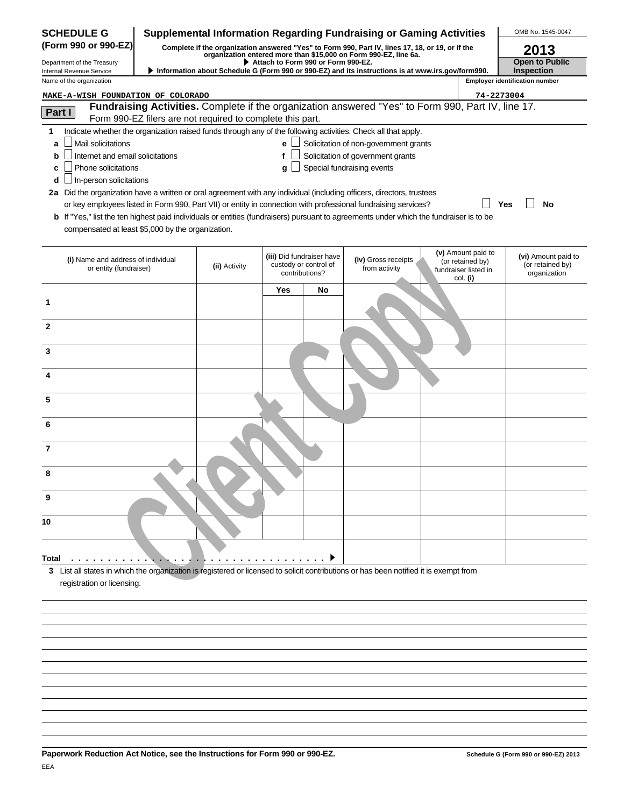| <b>SCHEDULE G</b>                                                                                                                                                                                  |                                                            |            |                                                                      | <b>Supplemental Information Regarding Fundraising or Gaming Activities</b>                                                                                           |                                                                            | OMB No. 1545-0047                                       |
|----------------------------------------------------------------------------------------------------------------------------------------------------------------------------------------------------|------------------------------------------------------------|------------|----------------------------------------------------------------------|----------------------------------------------------------------------------------------------------------------------------------------------------------------------|----------------------------------------------------------------------------|---------------------------------------------------------|
| (Form 990 or 990-EZ)                                                                                                                                                                               |                                                            |            |                                                                      | Complete if the organization answered "Yes" to Form 990, Part IV, lines 17, 18, or 19, or if the<br>organization entered more than \$15,000 on Form 990-EZ, line 6a. |                                                                            | 2013                                                    |
| Department of the Treasury                                                                                                                                                                         |                                                            |            | Attach to Form 990 or Form 990-EZ.                                   | Information about Schedule G (Form 990 or 990-EZ) and its instructions is at www.irs.gov/form990.                                                                    |                                                                            | <b>Open to Public</b><br><b>Inspection</b>              |
| Internal Revenue Service<br>Name of the organization                                                                                                                                               |                                                            |            |                                                                      |                                                                                                                                                                      |                                                                            | <b>Employer identification number</b>                   |
| MAKE-A-WISH FOUNDATION OF COLORADO                                                                                                                                                                 |                                                            |            |                                                                      |                                                                                                                                                                      | 74-2273004                                                                 |                                                         |
| Part I                                                                                                                                                                                             |                                                            |            |                                                                      | Fundraising Activities. Complete if the organization answered "Yes" to Form 990, Part IV, line 17.                                                                   |                                                                            |                                                         |
|                                                                                                                                                                                                    | Form 990-EZ filers are not required to complete this part. |            |                                                                      |                                                                                                                                                                      |                                                                            |                                                         |
| 1<br>Mail solicitations<br>a                                                                                                                                                                       |                                                            | e l        |                                                                      | Indicate whether the organization raised funds through any of the following activities. Check all that apply.<br>$\Box$ Solicitation of non-government grants        |                                                                            |                                                         |
| Internet and email solicitations<br>b                                                                                                                                                              |                                                            | f          |                                                                      | Solicitation of government grants                                                                                                                                    |                                                                            |                                                         |
| Phone solicitations<br>c                                                                                                                                                                           |                                                            | q          |                                                                      | Special fundraising events                                                                                                                                           |                                                                            |                                                         |
| In-person solicitations<br>d                                                                                                                                                                       |                                                            |            |                                                                      |                                                                                                                                                                      |                                                                            |                                                         |
| 2a Did the organization have a written or oral agreement with any individual (including officers, directors, trustees                                                                              |                                                            |            |                                                                      |                                                                                                                                                                      |                                                                            |                                                         |
|                                                                                                                                                                                                    |                                                            |            |                                                                      | or key employees listed in Form 990, Part VII) or entity in connection with professional fundraising services?                                                       |                                                                            | Yes<br>No                                               |
| <b>b</b> If "Yes," list the ten highest paid individuals or entities (fundraisers) pursuant to agreements under which the fundraiser is to be<br>compensated at least \$5,000 by the organization. |                                                            |            |                                                                      |                                                                                                                                                                      |                                                                            |                                                         |
|                                                                                                                                                                                                    |                                                            |            |                                                                      |                                                                                                                                                                      |                                                                            |                                                         |
| (i) Name and address of individual<br>or entity (fundraiser)                                                                                                                                       | (ii) Activity                                              |            | (iii) Did fundraiser have<br>custody or control of<br>contributions? | (iv) Gross receipts<br>from activity                                                                                                                                 | (v) Amount paid to<br>(or retained by)<br>fundraiser listed in<br>col. (i) | (vi) Amount paid to<br>(or retained by)<br>organization |
|                                                                                                                                                                                                    |                                                            | <b>Yes</b> | No                                                                   |                                                                                                                                                                      |                                                                            |                                                         |
| 1                                                                                                                                                                                                  |                                                            |            |                                                                      |                                                                                                                                                                      |                                                                            |                                                         |
| $\mathbf{2}$                                                                                                                                                                                       |                                                            |            |                                                                      |                                                                                                                                                                      |                                                                            |                                                         |
| 3                                                                                                                                                                                                  |                                                            |            |                                                                      |                                                                                                                                                                      |                                                                            |                                                         |
|                                                                                                                                                                                                    |                                                            |            |                                                                      |                                                                                                                                                                      |                                                                            |                                                         |
| 5                                                                                                                                                                                                  |                                                            |            |                                                                      |                                                                                                                                                                      |                                                                            |                                                         |
| 6                                                                                                                                                                                                  |                                                            |            |                                                                      |                                                                                                                                                                      |                                                                            |                                                         |
| 7                                                                                                                                                                                                  |                                                            |            |                                                                      |                                                                                                                                                                      |                                                                            |                                                         |
| 8                                                                                                                                                                                                  |                                                            |            |                                                                      |                                                                                                                                                                      |                                                                            |                                                         |
| 9                                                                                                                                                                                                  |                                                            |            |                                                                      |                                                                                                                                                                      |                                                                            |                                                         |
| 10                                                                                                                                                                                                 |                                                            |            |                                                                      |                                                                                                                                                                      |                                                                            |                                                         |
| Total                                                                                                                                                                                              |                                                            |            |                                                                      |                                                                                                                                                                      |                                                                            |                                                         |
| 3 List all states in which the organization is registered or licensed to solicit contributions or has been notified it is exempt from<br>registration or licensing.                                |                                                            |            |                                                                      |                                                                                                                                                                      |                                                                            |                                                         |
|                                                                                                                                                                                                    |                                                            |            |                                                                      |                                                                                                                                                                      |                                                                            |                                                         |
|                                                                                                                                                                                                    |                                                            |            |                                                                      |                                                                                                                                                                      |                                                                            |                                                         |
|                                                                                                                                                                                                    |                                                            |            |                                                                      |                                                                                                                                                                      |                                                                            |                                                         |
|                                                                                                                                                                                                    |                                                            |            |                                                                      |                                                                                                                                                                      |                                                                            |                                                         |
|                                                                                                                                                                                                    |                                                            |            |                                                                      |                                                                                                                                                                      |                                                                            |                                                         |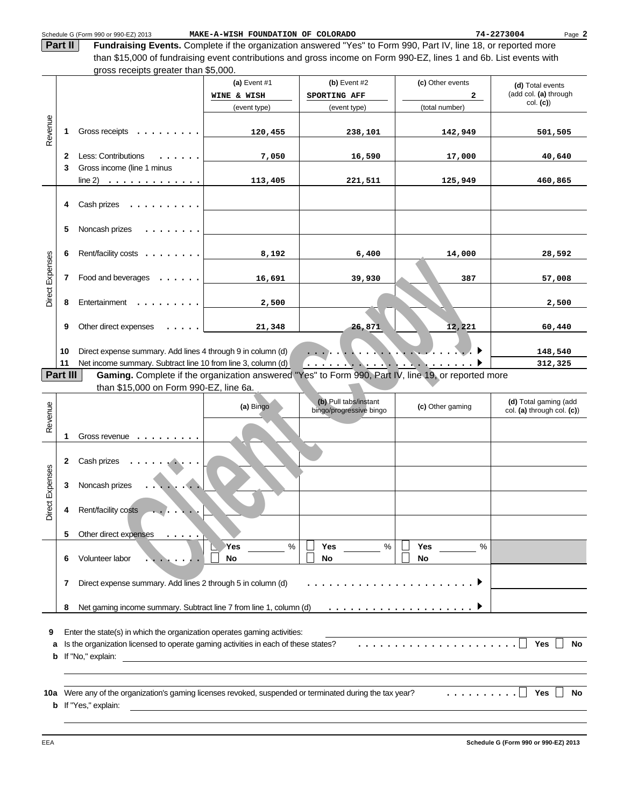Schedule G (Form 990 or 990-EZ) 2013 MAKE-A-WISH FOUNDATION OF COLORADO **74-2273004** Page

**2**

**Fundraising Events.** Complete if the organization answered "Yes" to Form 990, Part IV, line 18, or reported more than \$15,000 of fundraising event contributions and gross income on Form 990-EZ, lines 1 and 6b. List events with gross receipts greater than \$5,000. **Part II**

|                 |    | $q_1$ oss receipts greater than $\psi$ s,000.                                                                                                                             |                               |                                |                       |                                           |
|-----------------|----|---------------------------------------------------------------------------------------------------------------------------------------------------------------------------|-------------------------------|--------------------------------|-----------------------|-------------------------------------------|
|                 |    |                                                                                                                                                                           | (a) Event $#1$<br>WINE & WISH | (b) Event $#2$<br>SPORTING AFF | (c) Other events<br>2 | (d) Total events<br>(add col. (a) through |
|                 |    |                                                                                                                                                                           | (event type)                  | (event type)                   | (total number)        | col. (c)                                  |
| Revenue         | 1  | Gross receipts $\dots \dots \dots$                                                                                                                                        | 120,455                       | 238,101                        | 142,949               | 501,505                                   |
|                 |    |                                                                                                                                                                           |                               |                                |                       |                                           |
|                 | 2  | Less: Contributions<br>$\mathbf{r}$                                                                                                                                       | 7,050                         | 16,590                         | 17,000                | 40,640                                    |
|                 | 3  | Gross income (line 1 minus                                                                                                                                                |                               |                                |                       |                                           |
|                 |    |                                                                                                                                                                           | 113,405                       | 221,511                        | 125,949               | 460,865                                   |
|                 | 4  | Cash prizes $\dots \dots \dots$                                                                                                                                           |                               |                                |                       |                                           |
|                 | 5  | Noncash prizes<br>$\begin{array}{cccccccccccccc} \bullet & \bullet & \bullet & \bullet & \bullet & \bullet & \bullet & \bullet & \bullet & \bullet & \bullet \end{array}$ |                               |                                |                       |                                           |
| Direct Expenses | 6  | Rent/facility costs                                                                                                                                                       | 8,192                         | 6,400                          | 14,000                | 28,592                                    |
|                 | 7  | Food and beverages $\ldots$                                                                                                                                               | 16,691                        | 39,930                         | 387                   | 57,008                                    |
|                 | 8  | Entertainment                                                                                                                                                             | 2,500                         |                                |                       | 2,500                                     |
|                 | 9  | Other direct expenses $\ldots$ .                                                                                                                                          | 21,348                        | 26,871                         | 12,221                | 60,440                                    |
|                 | 10 | Direct expense summary. Add lines 4 through 9 in column (d)                                                                                                               |                               |                                |                       | 148,540                                   |
|                 | 11 | Net income summary. Subtract line 10 from line 3, column (d)                                                                                                              |                               |                                |                       | 312,325                                   |

| Direct Expense  | 7            | Food and beverages $\dots \dots$                                                                                           | 16,691                                                     | 39,930                                           | 387                | 57,008                                              |
|-----------------|--------------|----------------------------------------------------------------------------------------------------------------------------|------------------------------------------------------------|--------------------------------------------------|--------------------|-----------------------------------------------------|
|                 |              |                                                                                                                            |                                                            |                                                  |                    |                                                     |
|                 | 8            | Entertainment                                                                                                              | 2,500                                                      |                                                  |                    | 2,500                                               |
|                 |              |                                                                                                                            |                                                            |                                                  |                    |                                                     |
|                 | 9            | Other direct expenses                                                                                                      | 21,348                                                     | 26,871                                           | 12,221             | 60,440                                              |
|                 |              |                                                                                                                            |                                                            |                                                  |                    |                                                     |
|                 | 10           | Direct expense summary. Add lines 4 through 9 in column (d)                                                                |                                                            |                                                  |                    | 148,540                                             |
|                 | 11           | Net income summary. Subtract line 10 from line 3, column (d)                                                               |                                                            | . <b>.</b>                                       | $\mathbf{X}$ .     | 312,325                                             |
|                 | Part III     | Gaming. Complete if the organization answered "Yes" to Form 990, Part IV, line 19, or reported more                        |                                                            |                                                  |                    |                                                     |
|                 |              | than \$15,000 on Form 990-EZ, line 6a.                                                                                     |                                                            |                                                  |                    |                                                     |
| Revenue         |              |                                                                                                                            | (a) Bingo                                                  | (b) Pull tabs/instant<br>bingo/progressive bingo | (c) Other gaming   | (d) Total gaming (add<br>col. (a) through col. (c)) |
|                 |              |                                                                                                                            |                                                            |                                                  |                    |                                                     |
|                 | 1            | Gross revenue $\dots$                                                                                                      |                                                            |                                                  |                    |                                                     |
|                 |              |                                                                                                                            |                                                            |                                                  |                    |                                                     |
|                 | $\mathbf{2}$ | Cash prizes                                                                                                                |                                                            |                                                  |                    |                                                     |
|                 |              |                                                                                                                            |                                                            |                                                  |                    |                                                     |
|                 | 3            | Noncash prizes                                                                                                             |                                                            |                                                  |                    |                                                     |
| Direct Expenses |              |                                                                                                                            |                                                            |                                                  |                    |                                                     |
|                 | 4            | Rent/facility costs                                                                                                        |                                                            |                                                  |                    |                                                     |
|                 |              |                                                                                                                            |                                                            |                                                  |                    |                                                     |
|                 | 5            | Other direct expenses                                                                                                      |                                                            |                                                  |                    |                                                     |
|                 |              |                                                                                                                            | $\%$<br>Yes                                                | $\%$<br><b>Yes</b>                               | <b>Yes</b><br>$\%$ |                                                     |
|                 | 6            | Volunteer labor                                                                                                            | <b>No</b>                                                  | <b>No</b>                                        | <b>No</b>          |                                                     |
|                 |              |                                                                                                                            |                                                            |                                                  |                    |                                                     |
|                 | 7            | Direct expense summary. Add lines 2 through 5 in column (d)                                                                |                                                            |                                                  |                    |                                                     |
|                 |              |                                                                                                                            |                                                            |                                                  |                    |                                                     |
|                 | 8            |                                                                                                                            |                                                            |                                                  |                    |                                                     |
|                 |              |                                                                                                                            |                                                            |                                                  |                    |                                                     |
| 9               |              | Enter the state(s) in which the organization operates gaming activities:                                                   |                                                            |                                                  |                    |                                                     |
| а               |              | Is the organization licensed to operate gaming activities in each of these states?                                         |                                                            |                                                  |                    | Yes<br><b>No</b>                                    |
| b               |              | If "No," explain:                                                                                                          | <u> 1989 - Johann John Stein, fransk politik (d. 1989)</u> |                                                  |                    |                                                     |
|                 |              |                                                                                                                            |                                                            |                                                  |                    |                                                     |
|                 |              |                                                                                                                            |                                                            |                                                  | .                  | <b>Yes</b><br>No                                    |
| 10a<br>b        |              | Were any of the organization's gaming licenses revoked, suspended or terminated during the tax year?<br>If "Yes," explain: |                                                            |                                                  |                    |                                                     |
|                 |              |                                                                                                                            |                                                            |                                                  |                    |                                                     |
|                 |              |                                                                                                                            |                                                            |                                                  |                    |                                                     |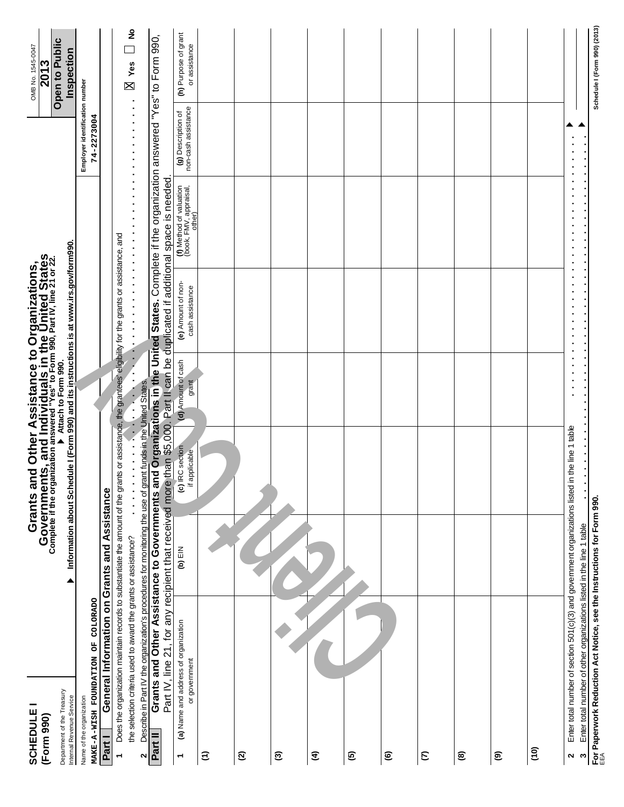| <b>SCHEDULE</b><br>(Form 990)                                                                    |                                                                                                                                                        |           | <b>Grants and Other Assistance to Organizations,<br/>Governments, and Individuals in the United States</b><br>complete if the organization answered "Yes" to Form 990, Part IV, line 21 or 22. |                             |                                                                                                                                                                                                                                                                                                                                                               |                                                                                                                                                                                                                                                                             |                                                                                                       | OMB No. 1545-0047<br>2013             |
|--------------------------------------------------------------------------------------------------|--------------------------------------------------------------------------------------------------------------------------------------------------------|-----------|------------------------------------------------------------------------------------------------------------------------------------------------------------------------------------------------|-----------------------------|---------------------------------------------------------------------------------------------------------------------------------------------------------------------------------------------------------------------------------------------------------------------------------------------------------------------------------------------------------------|-----------------------------------------------------------------------------------------------------------------------------------------------------------------------------------------------------------------------------------------------------------------------------|-------------------------------------------------------------------------------------------------------|---------------------------------------|
| Department of the Treasury<br>Internal Revenue Service                                           |                                                                                                                                                        | ▲         | Information about Schedule I (Form 990) and its instructions is at www.irs.gov/form990.                                                                                                        |                             |                                                                                                                                                                                                                                                                                                                                                               |                                                                                                                                                                                                                                                                             |                                                                                                       | Open to Public<br>Inspection          |
| Name of the organization                                                                         |                                                                                                                                                        |           |                                                                                                                                                                                                |                             |                                                                                                                                                                                                                                                                                                                                                               |                                                                                                                                                                                                                                                                             | Employer identification number                                                                        |                                       |
| MAKE-A-WISH FOUNDATION OF COLORADO<br>Part I                                                     | General Information on Grants and Assistance                                                                                                           |           |                                                                                                                                                                                                |                             |                                                                                                                                                                                                                                                                                                                                                               |                                                                                                                                                                                                                                                                             | 74-2273004                                                                                            |                                       |
| ٣                                                                                                |                                                                                                                                                        |           | Does the organization maintain records to substantiate the amount of the grants or assistance, the grantees' eligibility for the grants or assistance, and                                     |                             |                                                                                                                                                                                                                                                                                                                                                               |                                                                                                                                                                                                                                                                             |                                                                                                       |                                       |
|                                                                                                  | the selection criteria used to award the grants or assistance?                                                                                         |           | $\ddot{\cdot}$<br>$\cdot$<br>$\vdots$                                                                                                                                                          | $\ddot{\cdot}$<br>$\vdots$  | $\ddot{\cdot}$<br>$\ddot{\phantom{0}}$<br>$\frac{1}{2}$ $\frac{1}{2}$ $\frac{1}{2}$ $\frac{1}{2}$ $\frac{1}{2}$ $\frac{1}{2}$ $\frac{1}{2}$ $\frac{1}{2}$ $\frac{1}{2}$ $\frac{1}{2}$ $\frac{1}{2}$ $\frac{1}{2}$ $\frac{1}{2}$ $\frac{1}{2}$ $\frac{1}{2}$ $\frac{1}{2}$ $\frac{1}{2}$ $\frac{1}{2}$ $\frac{1}{2}$ $\frac{1}{2}$ $\frac{1}{2}$ $\frac{1}{2}$ | $\cdot$<br>$\bullet$<br>$\cdot$<br>$\ddot{\cdot}$ $\ddot{\cdot}$ $\ddot{\cdot}$ $\ddot{\cdot}$ $\ddot{\cdot}$                                                                                                                                                               | $\ddot{\phantom{0}}$<br>$\cdot$<br>$\ddot{\phantom{0}}$<br>$\cdot$<br>$\cdot$<br>$\ddot{\phantom{0}}$ | ş<br>Yes<br>X                         |
| 2                                                                                                |                                                                                                                                                        |           | Describe in Part IV the organization's procedures for monitoring the use of grant funds in the United States.                                                                                  |                             |                                                                                                                                                                                                                                                                                                                                                               |                                                                                                                                                                                                                                                                             |                                                                                                       |                                       |
| Part II                                                                                          |                                                                                                                                                        |           |                                                                                                                                                                                                |                             |                                                                                                                                                                                                                                                                                                                                                               | Grants and Other Assistance to Governments and Organizations in the United States. Complete if the organization answered "Yes" to Form 990,<br>Part IV, line 21, for any recipient that received more than \$5,000. Part II can be duplicated if additional space is needed |                                                                                                       |                                       |
| (a) Name and address of organization<br>or government<br>$\overline{\phantom{0}}$                |                                                                                                                                                        | $(b)$ EIN | (c) IRC section<br>if applicable                                                                                                                                                               | (d) Amount of cash<br>grant | (e) Amount of non-<br>cash assistance                                                                                                                                                                                                                                                                                                                         | (f) Method of valuation<br>(book, FMV, appraisal,<br>other)                                                                                                                                                                                                                 | non-cash assistance<br>(g) Description of                                                             | (h) Purpose of grant<br>or assistance |
| $\widehat{z}$                                                                                    |                                                                                                                                                        |           |                                                                                                                                                                                                |                             |                                                                                                                                                                                                                                                                                                                                                               |                                                                                                                                                                                                                                                                             |                                                                                                       |                                       |
| $\mathfrak{D}$                                                                                   |                                                                                                                                                        |           |                                                                                                                                                                                                |                             |                                                                                                                                                                                                                                                                                                                                                               |                                                                                                                                                                                                                                                                             |                                                                                                       |                                       |
| ි                                                                                                |                                                                                                                                                        |           |                                                                                                                                                                                                |                             |                                                                                                                                                                                                                                                                                                                                                               |                                                                                                                                                                                                                                                                             |                                                                                                       |                                       |
| E                                                                                                |                                                                                                                                                        |           |                                                                                                                                                                                                |                             |                                                                                                                                                                                                                                                                                                                                                               |                                                                                                                                                                                                                                                                             |                                                                                                       |                                       |
| ම                                                                                                |                                                                                                                                                        |           |                                                                                                                                                                                                |                             |                                                                                                                                                                                                                                                                                                                                                               |                                                                                                                                                                                                                                                                             |                                                                                                       |                                       |
| $\circledcirc$                                                                                   |                                                                                                                                                        |           |                                                                                                                                                                                                |                             |                                                                                                                                                                                                                                                                                                                                                               |                                                                                                                                                                                                                                                                             |                                                                                                       |                                       |
| $\epsilon$                                                                                       |                                                                                                                                                        |           |                                                                                                                                                                                                |                             |                                                                                                                                                                                                                                                                                                                                                               |                                                                                                                                                                                                                                                                             |                                                                                                       |                                       |
| ම                                                                                                |                                                                                                                                                        |           |                                                                                                                                                                                                |                             |                                                                                                                                                                                                                                                                                                                                                               |                                                                                                                                                                                                                                                                             |                                                                                                       |                                       |
| ම                                                                                                |                                                                                                                                                        |           |                                                                                                                                                                                                |                             |                                                                                                                                                                                                                                                                                                                                                               |                                                                                                                                                                                                                                                                             |                                                                                                       |                                       |
| $\overline{6}$                                                                                   |                                                                                                                                                        |           |                                                                                                                                                                                                |                             |                                                                                                                                                                                                                                                                                                                                                               |                                                                                                                                                                                                                                                                             |                                                                                                       |                                       |
| 2<br>$\boldsymbol{\mathsf{s}}$                                                                   | Enter total number of section 501(c)(3) and government organizations listed in<br>Enter total number of other organizations listed in the line 1 table |           | the line 1 table                                                                                                                                                                               |                             |                                                                                                                                                                                                                                                                                                                                                               |                                                                                                                                                                                                                                                                             |                                                                                                       |                                       |
| For Paperwork Reduction Act Notice, see the Instructions for Form 990. $\epsilon \in \mathbb{R}$ |                                                                                                                                                        |           |                                                                                                                                                                                                |                             |                                                                                                                                                                                                                                                                                                                                                               |                                                                                                                                                                                                                                                                             |                                                                                                       | Schedule I (Form 990) (2013)          |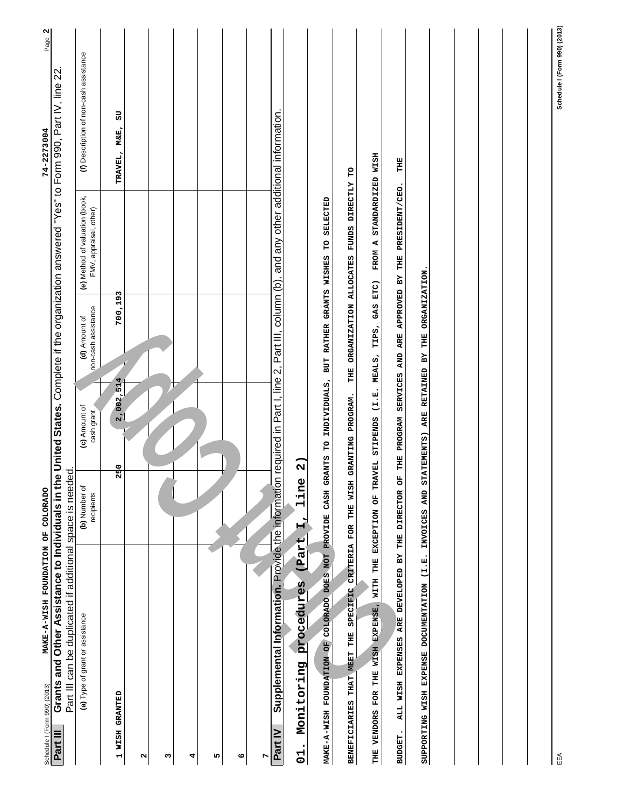| MAKE-A-WISH FOUNDATION OF COLORADO<br>Schedule I (Form 990) (2013)                                                                                                                                                  |                             |                                               |                                      |                                                                | 74-2273004                             | N<br>Page |
|---------------------------------------------------------------------------------------------------------------------------------------------------------------------------------------------------------------------|-----------------------------|-----------------------------------------------|--------------------------------------|----------------------------------------------------------------|----------------------------------------|-----------|
| Grants and Other Assistance to Individuals in the United States. Complete if the organization answered "Yes" to Form 990, Part IV, line 22<br>Part III can be duplicated if additional space is needed.<br>Part III |                             |                                               |                                      |                                                                |                                        |           |
| (a) Type of grant or assistance                                                                                                                                                                                     | (b) Number of<br>recipients | (c) Amount of<br>cash grant                   | non-cash assistance<br>(d) Amount of | (e) Method of valuation (book,<br>FMV, appraisal, other)       | (f) Description of non-cash assistance |           |
| <b>1 WISH GRANTED</b>                                                                                                                                                                                               | 250                         | 2,002,514                                     | 700,193                              |                                                                | 50<br>TRAVEL, M&E,                     |           |
| N                                                                                                                                                                                                                   |                             |                                               |                                      |                                                                |                                        |           |
| S                                                                                                                                                                                                                   |                             |                                               |                                      |                                                                |                                        |           |
| 4                                                                                                                                                                                                                   |                             |                                               |                                      |                                                                |                                        |           |
| 5                                                                                                                                                                                                                   |                             |                                               |                                      |                                                                |                                        |           |
| ဖ                                                                                                                                                                                                                   |                             |                                               |                                      |                                                                |                                        |           |
| r                                                                                                                                                                                                                   |                             |                                               |                                      |                                                                |                                        |           |
| Supplemental Information. Provide the information required in Part I, line 2, Part III, column (b), and any other additional information.<br>Part IV                                                                |                             |                                               |                                      |                                                                |                                        |           |
| (Part<br>procedures<br>Monitoring<br>$\bullet$<br>$\overline{C}$                                                                                                                                                    | line<br>$\vec{H}$           | $\widehat{\mathbf{a}}$                        |                                      |                                                                |                                        |           |
| COLORADO DOES NOT PROVIDE<br>MAKE-A-WISH FOUNDATION OF                                                                                                                                                              | CASH                        |                                               |                                      | GRANTS TO INDIVIDUALS, BUT RATHER GRANTS WISHES TO SELECTED    |                                        |           |
| BENEFICIARIES THAT MEET THE SPECIFIC                                                                                                                                                                                | CRITERIA FOR THE WISH       | GRANTING PROGRAM.                             |                                      | THE ORGANIZATION ALLOCATES FUNDS DIRECTLY TO                   |                                        |           |
| THE VENDORS FOR THE WISH EXPENSE, WITH THE EXCEPTION OF TRAVEL STIPENDS (I.E. MEALS, TIPS, GAS ETC)                                                                                                                 |                             |                                               |                                      | FROM A STANDARDIZED WISH                                       |                                        |           |
| ALL WISH EXPENSES ARE DEVELOPED BY THE DIRECTOR<br>BUDGET.                                                                                                                                                          |                             |                                               |                                      | OF THE PROGRAM SERVICES AND ARE APPROVED BY THE PRESIDENT/CEO. | THE                                    |           |
| SUPPORTING WISH EXPENSE DOCUMENTATION (I.E.                                                                                                                                                                         | INVOICES AND                | STATEMENTS) ARE RETAINED BY THE ORGANIZATION. |                                      |                                                                |                                        |           |
|                                                                                                                                                                                                                     |                             |                                               |                                      |                                                                |                                        |           |
|                                                                                                                                                                                                                     |                             |                                               |                                      |                                                                |                                        |           |
|                                                                                                                                                                                                                     |                             |                                               |                                      |                                                                |                                        |           |
|                                                                                                                                                                                                                     |                             |                                               |                                      |                                                                |                                        |           |
|                                                                                                                                                                                                                     |                             |                                               |                                      |                                                                |                                        |           |
| EEA                                                                                                                                                                                                                 |                             |                                               |                                      |                                                                | Schedule I (Form 990) (2013)           |           |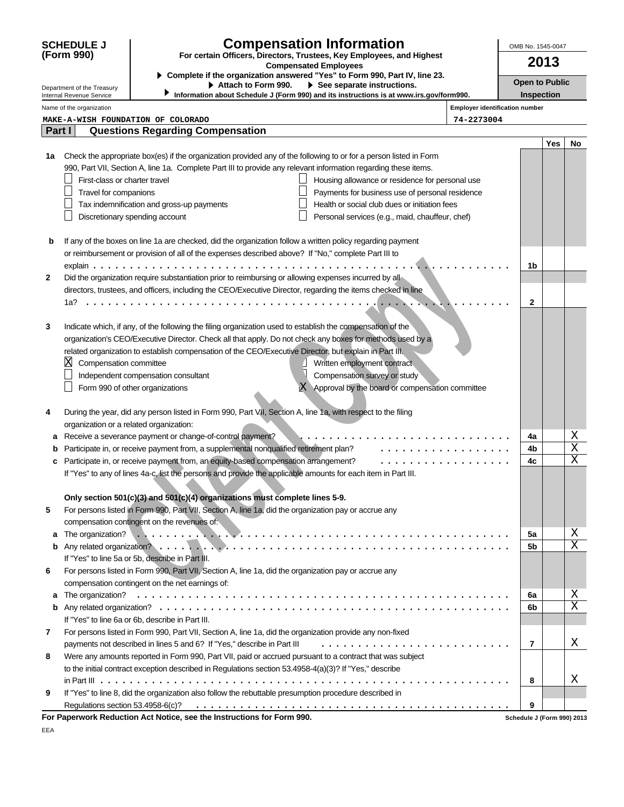|        | <b>SCHEDULE J</b>                       | <b>Compensation Information</b>                                                                                                                                                                                                                                                                                                                                                                                                                                                                                                   |                                       | OMB No. 1545-0047          |      |    |
|--------|-----------------------------------------|-----------------------------------------------------------------------------------------------------------------------------------------------------------------------------------------------------------------------------------------------------------------------------------------------------------------------------------------------------------------------------------------------------------------------------------------------------------------------------------------------------------------------------------|---------------------------------------|----------------------------|------|----|
|        | (Form 990)                              | For certain Officers, Directors, Trustees, Key Employees, and Highest<br><b>Compensated Employees</b>                                                                                                                                                                                                                                                                                                                                                                                                                             |                                       |                            | 2013 |    |
|        | Department of the Treasury              | Complete if the organization answered "Yes" to Form 990, Part IV, line 23.<br>Attach to Form 990.<br>$\triangleright$ See separate instructions.                                                                                                                                                                                                                                                                                                                                                                                  |                                       | <b>Open to Public</b>      |      |    |
|        | Internal Revenue Service                | Information about Schedule J (Form 990) and its instructions is at www.irs.gov/form990.                                                                                                                                                                                                                                                                                                                                                                                                                                           |                                       | Inspection                 |      |    |
|        | Name of the organization                |                                                                                                                                                                                                                                                                                                                                                                                                                                                                                                                                   | <b>Employer identification number</b> |                            |      |    |
|        |                                         | MAKE-A-WISH FOUNDATION OF COLORADO                                                                                                                                                                                                                                                                                                                                                                                                                                                                                                | 74-2273004                            |                            |      |    |
| Part I |                                         | <b>Questions Regarding Compensation</b>                                                                                                                                                                                                                                                                                                                                                                                                                                                                                           |                                       |                            | Yes  | No |
| 1a     | First-class or charter travel           | Check the appropriate box(es) if the organization provided any of the following to or for a person listed in Form<br>990, Part VII, Section A, line 1a. Complete Part III to provide any relevant information regarding these items.<br>Housing allowance or residence for personal use                                                                                                                                                                                                                                           |                                       |                            |      |    |
|        | Travel for companions                   | Payments for business use of personal residence                                                                                                                                                                                                                                                                                                                                                                                                                                                                                   |                                       |                            |      |    |
|        |                                         | Health or social club dues or initiation fees<br>Tax indemnification and gross-up payments                                                                                                                                                                                                                                                                                                                                                                                                                                        |                                       |                            |      |    |
|        |                                         | Discretionary spending account<br>Personal services (e.g., maid, chauffeur, chef)                                                                                                                                                                                                                                                                                                                                                                                                                                                 |                                       |                            |      |    |
| b<br>2 |                                         | If any of the boxes on line 1a are checked, did the organization follow a written policy regarding payment<br>or reimbursement or provision of all of the expenses described above? If "No," complete Part III to<br>Did the organization require substantiation prior to reimbursing or allowing expenses incurred by all<br>directors, trustees, and officers, including the CEO/Executive Director, regarding the items checked in line                                                                                        |                                       | 1b                         |      |    |
|        | 1a?                                     |                                                                                                                                                                                                                                                                                                                                                                                                                                                                                                                                   |                                       | $\mathbf{2}$               |      |    |
| 3      | $\boxtimes$<br>Compensation committee   | Indicate which, if any, of the following the filing organization used to establish the compensation of the<br>organization's CEO/Executive Director. Check all that apply. Do not check any boxes for methods used by a<br>related organization to establish compensation of the CEO/Executive Director, but explain in Part III.<br>Written employment contract<br>Compensation survey or study<br>Independent compensation consultant<br>Form 990 of other organizations<br>$X$ Approval by the board or compensation committee |                                       |                            |      |    |
| 4      | organization or a related organization: | During the year, did any person listed in Form 990, Part VII, Section A, line 1a, with respect to the filing<br>Receive a severance payment or change-of-control payment?                                                                                                                                                                                                                                                                                                                                                         |                                       | 4a                         |      | х  |
| а<br>b |                                         | Participate in, or receive payment from, a supplemental nonqualified retirement plan?<br>.                                                                                                                                                                                                                                                                                                                                                                                                                                        |                                       | 4b                         |      | Χ  |
| c      |                                         | Participate in, or receive payment from, an equity-based compensation arrangement?                                                                                                                                                                                                                                                                                                                                                                                                                                                |                                       | 4c                         |      | Χ  |
|        |                                         | If "Yes" to any of lines 4a-c, list the persons and provide the applicable amounts for each item in Part III.<br>Only section 501(c)(3) and 501(c)(4) organizations must complete lines 5-9.                                                                                                                                                                                                                                                                                                                                      |                                       |                            |      |    |
| 5      |                                         | For persons listed in Form 990, Part VII, Section A, line 1a, did the organization pay or accrue any<br>compensation contingent on the revenues of:                                                                                                                                                                                                                                                                                                                                                                               |                                       |                            |      |    |
| а      |                                         | The organization? $\ldots$ , $\ldots$ , $\ldots$ , $\ldots$ , $\ldots$ , $\ldots$ , $\ldots$ , $\ldots$ , $\ldots$ , $\ldots$ , $\ldots$ , $\ldots$ , $\ldots$ , $\ldots$ , $\ldots$                                                                                                                                                                                                                                                                                                                                              |                                       | 5a                         |      | Χ  |
| b      |                                         |                                                                                                                                                                                                                                                                                                                                                                                                                                                                                                                                   |                                       | 5b                         |      | Χ  |
| 6      |                                         | If "Yes" to line 5a or 5b, describe in Part III.<br>For persons listed in Form 990, Part VII, Section A, line 1a, did the organization pay or accrue any<br>compensation contingent on the net earnings of:                                                                                                                                                                                                                                                                                                                       |                                       |                            |      |    |
| а      | The organization?                       |                                                                                                                                                                                                                                                                                                                                                                                                                                                                                                                                   |                                       | 6a                         |      | X  |
| b      |                                         |                                                                                                                                                                                                                                                                                                                                                                                                                                                                                                                                   |                                       | 6b                         |      | Χ  |
|        |                                         | If "Yes" to line 6a or 6b, describe in Part III.                                                                                                                                                                                                                                                                                                                                                                                                                                                                                  |                                       |                            |      |    |
| 7      |                                         | For persons listed in Form 990, Part VII, Section A, line 1a, did the organization provide any non-fixed                                                                                                                                                                                                                                                                                                                                                                                                                          |                                       |                            |      |    |
|        |                                         | payments not described in lines 5 and 6? If "Yes," describe in Part III                                                                                                                                                                                                                                                                                                                                                                                                                                                           |                                       | $\overline{7}$             |      | X  |
| 8      |                                         | Were any amounts reported in Form 990, Part VII, paid or accrued pursuant to a contract that was subject                                                                                                                                                                                                                                                                                                                                                                                                                          |                                       |                            |      |    |
|        |                                         | to the initial contract exception described in Regulations section 53.4958-4(a)(3)? If "Yes," describe                                                                                                                                                                                                                                                                                                                                                                                                                            |                                       |                            |      |    |
|        |                                         |                                                                                                                                                                                                                                                                                                                                                                                                                                                                                                                                   |                                       | 8                          |      | X  |
| 9      |                                         | If "Yes" to line 8, did the organization also follow the rebuttable presumption procedure described in                                                                                                                                                                                                                                                                                                                                                                                                                            |                                       |                            |      |    |
|        | Regulations section 53.4958-6(c)?       |                                                                                                                                                                                                                                                                                                                                                                                                                                                                                                                                   |                                       | 9                          |      |    |
|        |                                         | For Paperwork Reduction Act Notice, see the Instructions for Form 990.                                                                                                                                                                                                                                                                                                                                                                                                                                                            |                                       | Schedule J (Form 990) 2013 |      |    |
| EEA    |                                         |                                                                                                                                                                                                                                                                                                                                                                                                                                                                                                                                   |                                       |                            |      |    |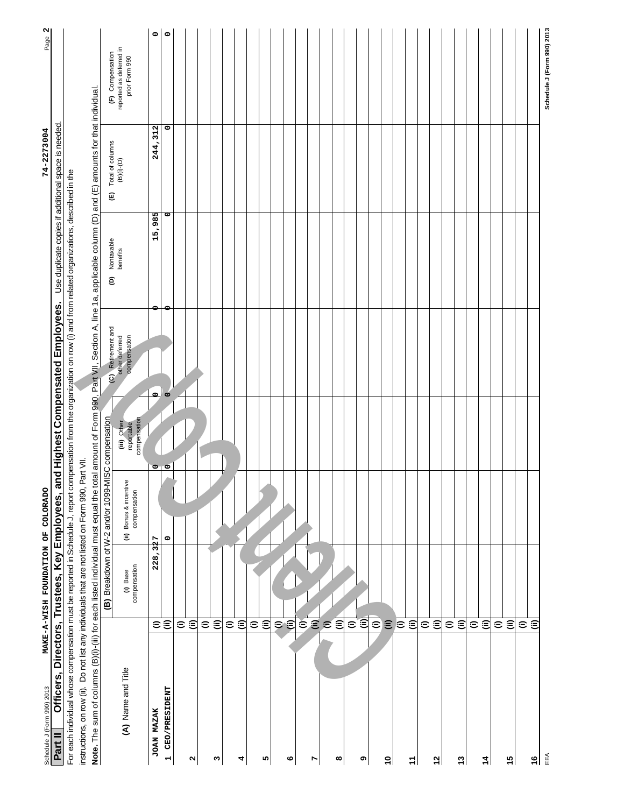| Officers, Directors, Trustees, Key Employees, ar<br>Schedule J (Form 990) 2013<br>Part II                                                                                                         | MAKE-A-WISH FOUNDATION OF COLORADO                        |                                                    |                           | nd Highest Compensated Employees. |                 | Use duplicate copies if additional space is needed.<br>74-2273004 | N<br>Page                                 |
|---------------------------------------------------------------------------------------------------------------------------------------------------------------------------------------------------|-----------------------------------------------------------|----------------------------------------------------|---------------------------|-----------------------------------|-----------------|-------------------------------------------------------------------|-------------------------------------------|
| For each individual whose compensation must be reported in Schedule J, report compensation from the organization on row (i) and from related organizations, described in the                      |                                                           |                                                    |                           |                                   |                 |                                                                   |                                           |
| instructions, on row (ii). Do not list any individuals that are not listed on Form 990, Part VII.                                                                                                 |                                                           |                                                    |                           |                                   |                 |                                                                   |                                           |
| Note. The sum of columns (B)(i)-(iii) for each listed individual must equal the total amount of Form 990, Part VII, Section A, line 1a, applicable column (D) and (E) amounts for that individual |                                                           |                                                    |                           |                                   |                 |                                                                   |                                           |
|                                                                                                                                                                                                   |                                                           | (B) Breakdown of W-2 and/or 1099-MISC compensation |                           | (C) Retirement and                | Nontaxable<br>ê |                                                                   | (F) Compensation                          |
| (A) Name and Title                                                                                                                                                                                | (i) Base                                                  | (ii) Bonus & incentive                             | (iii) Other<br>reportable | compensation<br>other deferred    | benefits        | (E) Total of columns<br>(B)(i)-(D)                                | reported as deferred in<br>prior Form 990 |
|                                                                                                                                                                                                   | compensation                                              | compensation                                       | compensation              |                                   |                 |                                                                   |                                           |
| <b>JOAN MAZAK</b>                                                                                                                                                                                 | 228,327<br>εŝ                                             |                                                    | $\circ$                   | $\circ$ $\circ$                   | ᡢ<br>15,98      | 244,312                                                           | 0                                         |
| CEO/PRESIDENT<br>$\overline{\phantom{0}}$                                                                                                                                                         |                                                           | $\circ$                                            | $\circ$                   |                                   | ਰ               | $\circ$                                                           | $\circ$                                   |
|                                                                                                                                                                                                   |                                                           |                                                    |                           |                                   |                 |                                                                   |                                           |
| N                                                                                                                                                                                                 | €€                                                        |                                                    |                           |                                   |                 |                                                                   |                                           |
|                                                                                                                                                                                                   |                                                           |                                                    |                           |                                   |                 |                                                                   |                                           |
| ო                                                                                                                                                                                                 | € ⊜                                                       |                                                    |                           |                                   |                 |                                                                   |                                           |
|                                                                                                                                                                                                   |                                                           |                                                    |                           |                                   |                 |                                                                   |                                           |
| 4                                                                                                                                                                                                 | € ⊜                                                       |                                                    |                           |                                   |                 |                                                                   |                                           |
|                                                                                                                                                                                                   | $\widehat{\epsilon}$                                      |                                                    |                           |                                   |                 |                                                                   |                                           |
| Ю                                                                                                                                                                                                 | $\widehat{\equiv}$                                        |                                                    |                           |                                   |                 |                                                                   |                                           |
|                                                                                                                                                                                                   |                                                           |                                                    |                           |                                   |                 |                                                                   |                                           |
| ဖ                                                                                                                                                                                                 | $\widehat{\mathfrak{s}}$                                  |                                                    |                           |                                   |                 |                                                                   |                                           |
|                                                                                                                                                                                                   |                                                           |                                                    |                           |                                   |                 |                                                                   |                                           |
| r                                                                                                                                                                                                 |                                                           |                                                    |                           |                                   |                 |                                                                   |                                           |
|                                                                                                                                                                                                   | e E e E                                                   |                                                    |                           |                                   |                 |                                                                   |                                           |
| œ                                                                                                                                                                                                 |                                                           |                                                    |                           |                                   |                 |                                                                   |                                           |
|                                                                                                                                                                                                   |                                                           |                                                    |                           |                                   |                 |                                                                   |                                           |
| စ                                                                                                                                                                                                 | $\mathbf{\bar{\varepsilon}}$ $\mathbf{\hat{\varepsilon}}$ |                                                    |                           |                                   |                 |                                                                   |                                           |
|                                                                                                                                                                                                   | $\epsilon$                                                |                                                    |                           |                                   |                 |                                                                   |                                           |
| ő                                                                                                                                                                                                 | $\widehat{\equiv}$                                        |                                                    |                           |                                   |                 |                                                                   |                                           |
|                                                                                                                                                                                                   | $\in$                                                     |                                                    |                           |                                   |                 |                                                                   |                                           |
| ż                                                                                                                                                                                                 | $\widehat{\equiv}$                                        |                                                    |                           |                                   |                 |                                                                   |                                           |
|                                                                                                                                                                                                   | $\widehat{\epsilon}$                                      |                                                    |                           |                                   |                 |                                                                   |                                           |
| $\mathbf{r}$                                                                                                                                                                                      | $\widehat{\equiv}$                                        |                                                    |                           |                                   |                 |                                                                   |                                           |
|                                                                                                                                                                                                   | $\mathrel{\widehat{=}}$                                   |                                                    |                           |                                   |                 |                                                                   |                                           |
| 13                                                                                                                                                                                                | $\widehat{\equiv}$                                        |                                                    |                           |                                   |                 |                                                                   |                                           |
|                                                                                                                                                                                                   | $\widehat{\mathbf{c}}$                                    |                                                    |                           |                                   |                 |                                                                   |                                           |
| 4                                                                                                                                                                                                 | $\widehat{\equiv}$                                        |                                                    |                           |                                   |                 |                                                                   |                                           |
|                                                                                                                                                                                                   |                                                           |                                                    |                           |                                   |                 |                                                                   |                                           |
| 15                                                                                                                                                                                                | εŝ                                                        |                                                    |                           |                                   |                 |                                                                   |                                           |
|                                                                                                                                                                                                   | ε                                                         |                                                    |                           |                                   |                 |                                                                   |                                           |
| $\frac{6}{7}$                                                                                                                                                                                     |                                                           |                                                    |                           |                                   |                 |                                                                   |                                           |
| EEA                                                                                                                                                                                               |                                                           |                                                    |                           |                                   |                 |                                                                   | Schedule J (Form 990) 2013                |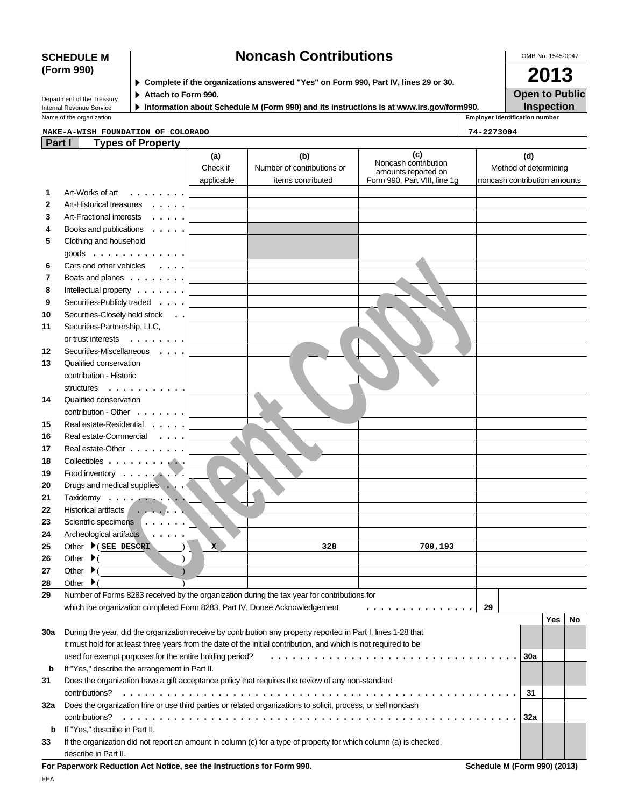|     | Internal Revenue Service<br>Name of the organization                                                               |                         | Information about Schedule M (Form 990) and its instructions is at www.irs.gov/form990. |                              |            | <b>Inspection</b><br><b>Employer identification number</b> |
|-----|--------------------------------------------------------------------------------------------------------------------|-------------------------|-----------------------------------------------------------------------------------------|------------------------------|------------|------------------------------------------------------------|
|     |                                                                                                                    |                         |                                                                                         |                              |            |                                                            |
|     | MAKE-A-WISH FOUNDATION OF COLORADO                                                                                 |                         |                                                                                         |                              | 74-2273004 |                                                            |
|     | Part I<br><b>Types of Property</b>                                                                                 |                         |                                                                                         |                              |            |                                                            |
|     |                                                                                                                    | (a)                     | (b)                                                                                     | (c)<br>Noncash contribution  |            | (d)                                                        |
|     |                                                                                                                    | Check if                | Number of contributions or                                                              | amounts reported on          |            | Method of determining                                      |
|     |                                                                                                                    | applicable              | items contributed                                                                       | Form 990, Part VIII, line 1g |            | noncash contribution amounts                               |
| 1   | Art-Works of art<br>.                                                                                              |                         |                                                                                         |                              |            |                                                            |
| 2   | Art-Historical treasures                                                                                           |                         |                                                                                         |                              |            |                                                            |
| 3   | Art-Fractional interests<br>$\ldots$                                                                               |                         |                                                                                         |                              |            |                                                            |
| 4   | Books and publications<br>$\cdot$                                                                                  |                         |                                                                                         |                              |            |                                                            |
| 5   | Clothing and household                                                                                             |                         |                                                                                         |                              |            |                                                            |
|     | goods $\ldots$                                                                                                     |                         |                                                                                         |                              |            |                                                            |
| 6   | Cars and other vehicles                                                                                            |                         |                                                                                         |                              |            |                                                            |
| 7   | Boats and planes                                                                                                   |                         |                                                                                         |                              |            |                                                            |
| 8   | Intellectual property $\dots \dots$                                                                                |                         |                                                                                         |                              |            |                                                            |
| 9   | Securities-Publicly traded                                                                                         |                         |                                                                                         |                              |            |                                                            |
| 10  |                                                                                                                    |                         |                                                                                         |                              |            |                                                            |
|     | Securities-Closely held stock                                                                                      |                         |                                                                                         |                              |            |                                                            |
| 11  | Securities-Partnership, LLC,                                                                                       |                         |                                                                                         |                              |            |                                                            |
|     | or trust interests<br>$\ldots$                                                                                     |                         |                                                                                         |                              |            |                                                            |
| 12  | Securities-Miscellaneous                                                                                           |                         |                                                                                         |                              |            |                                                            |
| 13  | Qualified conservation                                                                                             |                         |                                                                                         |                              |            |                                                            |
|     | contribution - Historic                                                                                            |                         |                                                                                         |                              |            |                                                            |
|     | structures<br>.                                                                                                    |                         |                                                                                         |                              |            |                                                            |
| 14  | Qualified conservation                                                                                             |                         |                                                                                         |                              |            |                                                            |
|     | contribution - Other $\dots$                                                                                       |                         |                                                                                         |                              |            |                                                            |
| 15  | Real estate-Residential                                                                                            |                         |                                                                                         |                              |            |                                                            |
| 16  | Real estate-Commercial                                                                                             |                         |                                                                                         |                              |            |                                                            |
| 17  | Real estate-Other                                                                                                  |                         |                                                                                         |                              |            |                                                            |
| 18  | Collectibles                                                                                                       |                         |                                                                                         |                              |            |                                                            |
| 19  | Food inventory                                                                                                     |                         |                                                                                         |                              |            |                                                            |
| 20  | Drugs and medical supplies                                                                                         |                         |                                                                                         |                              |            |                                                            |
| 21  | Taxidermy<br>$\mathbf{L}$                                                                                          |                         |                                                                                         |                              |            |                                                            |
| 22  | Historical artifacts<br>$\cdots$                                                                                   |                         |                                                                                         |                              |            |                                                            |
| 23  | Scientific specimens                                                                                               |                         |                                                                                         |                              |            |                                                            |
| 24  | Archeological artifacts                                                                                            |                         |                                                                                         |                              |            |                                                            |
|     | Other $\blacktriangleright$ (SEE DESCRI                                                                            |                         |                                                                                         |                              |            |                                                            |
| 25  |                                                                                                                    | $\overline{\mathbf{x}}$ | 328                                                                                     | 700,193                      |            |                                                            |
| 26  | Other $\blacktriangleright$                                                                                        |                         |                                                                                         |                              |            |                                                            |
| 27  | Other $\blacktriangleright$                                                                                        |                         |                                                                                         |                              |            |                                                            |
| 28  | Other $\blacktriangleright$                                                                                        |                         |                                                                                         |                              |            |                                                            |
| 29  | Number of Forms 8283 received by the organization during the tax year for contributions for                        |                         |                                                                                         |                              |            |                                                            |
|     | which the organization completed Form 8283, Part IV, Donee Acknowledgement                                         |                         |                                                                                         |                              | 29         |                                                            |
|     |                                                                                                                    |                         |                                                                                         |                              |            | Yes<br>No                                                  |
| 30a | During the year, did the organization receive by contribution any property reported in Part I, lines 1-28 that     |                         |                                                                                         |                              |            |                                                            |
|     | it must hold for at least three years from the date of the initial contribution, and which is not required to be   |                         |                                                                                         |                              |            |                                                            |
|     | used for exempt purposes for the entire holding period?                                                            |                         |                                                                                         |                              |            | 30a                                                        |
| b   | If "Yes," describe the arrangement in Part II.                                                                     |                         |                                                                                         |                              |            |                                                            |
| 31  | Does the organization have a gift acceptance policy that requires the review of any non-standard                   |                         |                                                                                         |                              |            |                                                            |
|     |                                                                                                                    |                         |                                                                                         |                              |            | 31                                                         |
| 32a | Does the organization hire or use third parties or related organizations to solicit, process, or sell noncash      |                         |                                                                                         |                              |            |                                                            |
|     |                                                                                                                    |                         |                                                                                         |                              |            | 32a                                                        |
| b   | If "Yes," describe in Part II.                                                                                     |                         |                                                                                         |                              |            |                                                            |
| 33  | If the organization did not report an amount in column (c) for a type of property for which column (a) is checked, |                         |                                                                                         |                              |            |                                                            |
|     | describe in Part II.                                                                                               |                         |                                                                                         |                              |            |                                                            |

# **SCHEDULE M Noncash Contributions**

**For Paperwork Reduction Act Notice, see the Instructions for Form 990. Schedule M (Form 990) (2013)**

OMB No. 1545-0047

**2013 Open to Public**

| ----------- |  |
|-------------|--|
|             |  |
| (Form 990)  |  |
|             |  |
|             |  |
|             |  |

**Complete if the organizations answered "Yes" on Form 990, Part IV, lines 29 or 30.**

**Attach to Form 990.**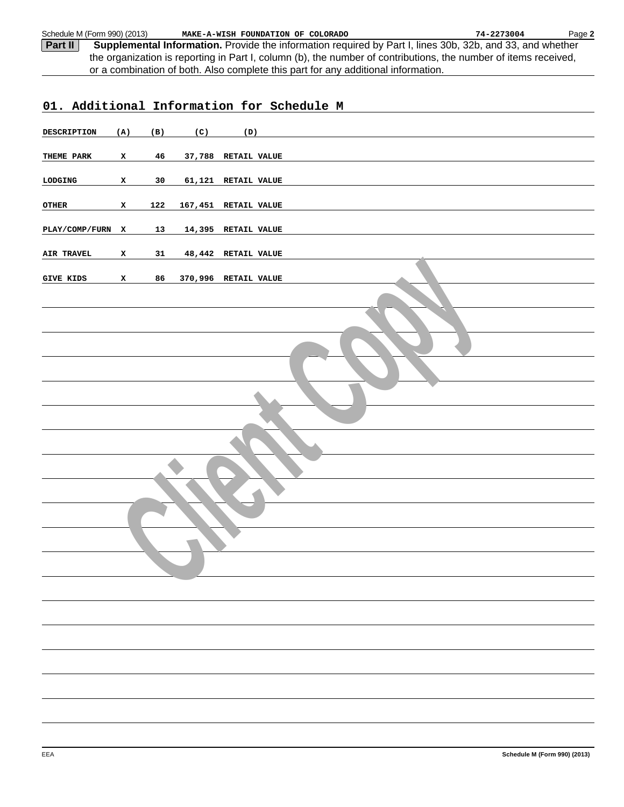**Part II Supplemental Information.** Provide the information required by Part I, lines 30b, 32b, and 33, and whether the organization is reporting in Part I, column (b), the number of contributions, the number of items received, or a combination of both. Also complete this part for any additional information. Schedule M (Form 990) (2013) Page **2 MAKE-A-WISH FOUNDATION OF COLORADO 74-2273004**

| 01. Additional Information for Schedule M |              |     |     |                      |  |
|-------------------------------------------|--------------|-----|-----|----------------------|--|
| DESCRIPTION                               | (A)          | (B) | (C) | (D)                  |  |
| THEME PARK                                | $\mathbf{x}$ | 46  |     | 37,788 RETAIL VALUE  |  |
| LODGING                                   | $\mathbf{x}$ | 30  |     | 61,121 RETAIL VALUE  |  |
| OTHER                                     | $\mathbf{x}$ | 122 |     | 167,451 RETAIL VALUE |  |
| PLAY/COMP/FURN X                          |              | 13  |     | 14,395 RETAIL VALUE  |  |
| AIR TRAVEL                                | x            | 31  |     | 48,442 RETAIL VALUE  |  |
| <b>GIVE KIDS</b>                          | $\mathbf{x}$ | 86  |     | 370,996 RETAIL VALUE |  |
|                                           |              |     |     |                      |  |
|                                           |              |     |     |                      |  |
|                                           |              |     |     |                      |  |
|                                           |              |     |     |                      |  |
|                                           |              |     |     |                      |  |
|                                           |              |     |     |                      |  |
|                                           |              |     |     |                      |  |
|                                           |              |     |     |                      |  |
|                                           |              |     |     |                      |  |
|                                           |              |     |     |                      |  |
|                                           |              |     |     |                      |  |
|                                           |              |     |     |                      |  |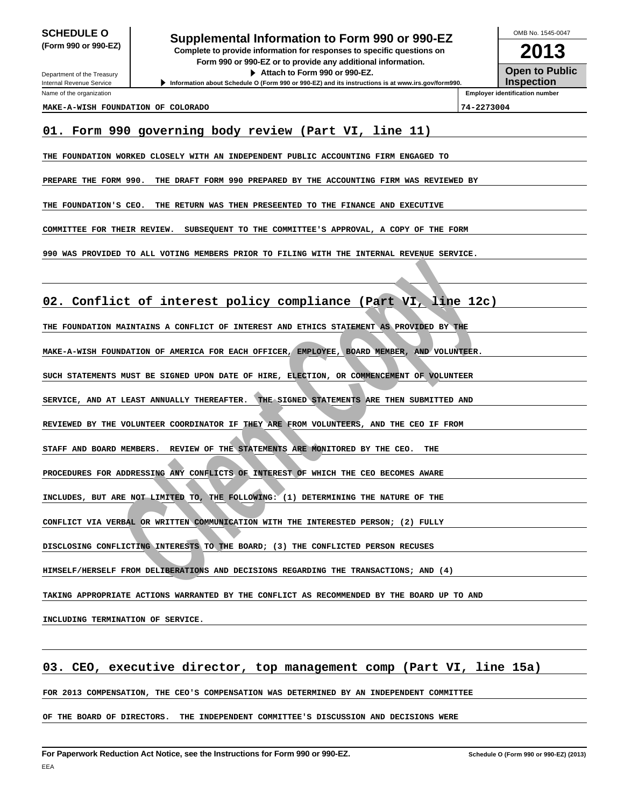# **SCHEDULE O**<br> **Supplemental Information to Form 990 or 990-EZ**<br> **Supplemental Information to Form 990 or 990-EZ**

**(Form 990 or 990-EZ) Complete to provide information for responses to specific questions on Form 990 or 990-EZ or to provide any additional information. Attach to Form 990 or 990-EZ.**

**Information about Schedule O (Form 990 or 990-EZ) and its instructions is at www.irs.gov/form990.**

**2013 Open to Public Inspection** OMB No. 1545-0047

Internal Revenue Service Name of the organization

Department of the Treasury

**Employer identification number**

# **MAKE-A-WISH FOUNDATION OF COLORADO 74-2273004**

# **01. Form 990 governing body review (Part VI, line 11)**

**THE FOUNDATION WORKED CLOSELY WITH AN INDEPENDENT PUBLIC ACCOUNTING FIRM ENGAGED TO**

**PREPARE THE FORM 990. THE DRAFT FORM 990 PREPARED BY THE ACCOUNTING FIRM WAS REVIEWED BY**

**THE FOUNDATION'S CEO. THE RETURN WAS THEN PRESEENTED TO THE FINANCE AND EXECUTIVE**

**COMMITTEE FOR THEIR REVIEW. SUBSEQUENT TO THE COMMITTEE'S APPROVAL, A COPY OF THE FORM**

**990 WAS PROVIDED TO ALL VOTING MEMBERS PRIOR TO FILING WITH THE INTERNAL REVENUE SERVICE.**

# **EXECUTE CONSULTER CONSULTER AND DESCRIPTION OF THE CONSULTER PERSON OF THE SAME AND DESCRIPTION OF AN EXAMELE AND DESCRIPTION OF A SECOND AND DESCRIPTION OF A SECOND AND DESCRIPTION OF A SECOND AND DESCRIPTION OF A SECOND 02. Conflict of interest policy compliance (Part VI, line 12c)**

**THE FOUNDATION MAINTAINS A CONFLICT OF INTEREST AND ETHICS STATEMENT AS PROVIDED BY THE**

**MAKE-A-WISH FOUNDATION OF AMERICA FOR EACH OFFICER, EMPLOYEE, BOARD MEMBER, AND VOLUNTEER.**

**SUCH STATEMENTS MUST BE SIGNED UPON DATE OF HIRE, ELECTION, OR COMMENCEMENT OF VOLUNTEER**

**SERVICE, AND AT LEAST ANNUALLY THEREAFTER. THE SIGNED STATEMENTS ARE THEN SUBMITTED AND**

**REVIEWED BY THE VOLUNTEER COORDINATOR IF THEY ARE FROM VOLUNTEERS, AND THE CEO IF FROM**

**STAFF AND BOARD MEMBERS. REVIEW OF THE STATEMENTS ARE MONITORED BY THE CEO. THE**

**PROCEDURES FOR ADDRESSING ANY CONFLICTS OF INTEREST OF WHICH THE CEO BECOMES AWARE**

**INCLUDES, BUT ARE NOT LIMITED TO, THE FOLLOWING: (1) DETERMINING THE NATURE OF THE**

**CONFLICT VIA VERBAL OR WRITTEN COMMUNICATION WITH THE INTERESTED PERSON; (2) FULLY**

**DISCLOSING CONFLICTING INTERESTS TO THE BOARD; (3) THE CONFLICTED PERSON RECUSES**

**HIMSELF/HERSELF FROM DELIBERATIONS AND DECISIONS REGARDING THE TRANSACTIONS; AND (4)**

**TAKING APPROPRIATE ACTIONS WARRANTED BY THE CONFLICT AS RECOMMENDED BY THE BOARD UP TO AND**

**INCLUDING TERMINATION OF SERVICE.**

# **03. CEO, executive director, top management comp (Part VI, line 15a)**

**FOR 2013 COMPENSATION, THE CEO'S COMPENSATION WAS DETERMINED BY AN INDEPENDENT COMMITTEE**

**OF THE BOARD OF DIRECTORS. THE INDEPENDENT COMMITTEE'S DISCUSSION AND DECISIONS WERE**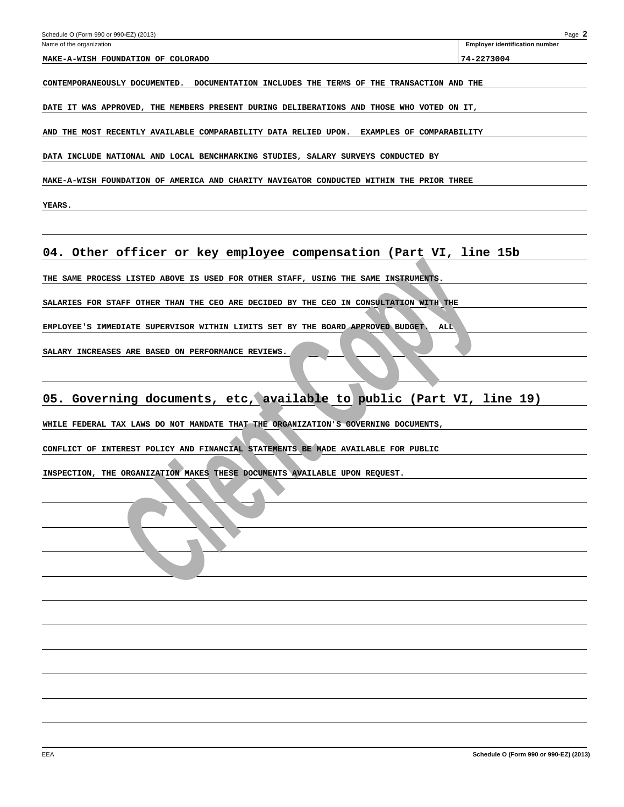| Schedule O (Form 990 or 990-EZ) (2013)<br>Name of the organization                           | Page 2<br><b>Employer identification number</b> |
|----------------------------------------------------------------------------------------------|-------------------------------------------------|
| MAKE-A-WISH FOUNDATION OF COLORADO                                                           | 74-2273004                                      |
| CONTEMPORANEOUSLY DOCUMENTED. DOCUMENTATION INCLUDES THE TERMS OF THE TRANSACTION AND THE    |                                                 |
| DATE IT WAS APPROVED, THE MEMBERS PRESENT DURING DELIBERATIONS AND THOSE WHO VOTED ON IT,    |                                                 |
| AND THE MOST RECENTLY AVAILABLE COMPARABILITY DATA RELIED UPON.<br>EXAMPLES OF COMPARABILITY |                                                 |
| DATA INCLUDE NATIONAL AND LOCAL BENCHMARKING STUDIES, SALARY SURVEYS CONDUCTED BY            |                                                 |
| MAKE-A-WISH FOUNDATION OF AMERICA AND CHARITY NAVIGATOR CONDUCTED WITHIN THE PRIOR THREE     |                                                 |
| <b>YEARS.</b>                                                                                |                                                 |
| 04. Other officer or key employee compensation (Part VI, line 15b                            |                                                 |
| THE SAME PROCESS LISTED ABOVE IS USED FOR OTHER STAFF, USING THE SAME INSTRUMENTS.           |                                                 |
| SALARIES FOR STAFF OTHER THAN THE CEO ARE DECIDED BY THE CEO IN CONSULTATION WITH THE        |                                                 |
| EMPLOYEE'S IMMEDIATE SUPERVISOR WITHIN LIMITS SET BY THE BOARD APPROVED BUDGET.<br>ALL       |                                                 |
| SALARY INCREASES ARE BASED ON PERFORMANCE REVIEWS.                                           |                                                 |
| 05. Governing documents, etc, available to public (Part VI, line 19)                         |                                                 |
| WHILE FEDERAL TAX LAWS DO NOT MANDATE THAT THE ORGANIZATION'S GOVERNING DOCUMENTS,           |                                                 |
| CONFLICT OF INTEREST POLICY AND FINANCIAL STATEMENTS BE MADE AVAILABLE FOR PUBLIC            |                                                 |
| INSPECTION, THE ORGANIZATION MAKES THESE DOCUMENTS AVAILABLE UPON REQUEST.                   |                                                 |
|                                                                                              |                                                 |
|                                                                                              |                                                 |
|                                                                                              |                                                 |
|                                                                                              |                                                 |
|                                                                                              |                                                 |
|                                                                                              |                                                 |
|                                                                                              |                                                 |
|                                                                                              |                                                 |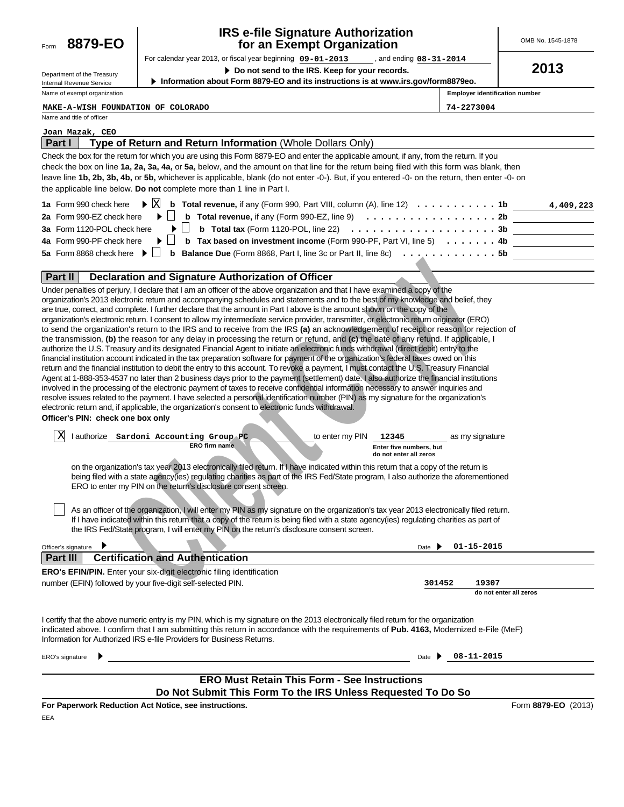

# **IRS e-file Signature Authorization for an Exempt Organization**

For calendar year 2013, or fiscal year beginning  $09-01-2013$ **09-01-2013 08-31-2014** OMB No. 1545-1878

**2013**

| Department of the Treasury  |
|-----------------------------|
| Internal Revenue Service    |
| Name of exempt organization |

**Do not send to the IRS. Keep for your records.**

**Information about Form 8879-EO and its instructions is at www.irs.gov/form8879eo.**

**Employer identification number**

**MAKE-A-WISH FOUNDATION OF COLORADO 74-2273004**

Name and title of officer

# **Joan Mazak, CEO**

| Type of Return and Return Information (Whole Dollars Only)<br><b>Part I</b>                                                                                                        |
|------------------------------------------------------------------------------------------------------------------------------------------------------------------------------------|
| Check the box for the return for which you are using this Form 8879-EO and enter the applicable amount, if any, from the return. If you                                            |
| check the box on line 1a, 2a, 3a, 4a, or 5a, below, and the amount on that line for the return being filed with this form was blank, then                                          |
| leave line 1b, 2b, 3b, 4b, or 5b, whichever is applicable, blank (do not enter -0-). But, if you entered -0- on the return, then enter -0- on                                      |
| the applicable line below. Do not complete more than 1 line in Part I.                                                                                                             |
| $\triangleright$ $\boxtimes$<br><b>b</b> Total revenue, if any (Form 990, Part VIII, column $(A)$ , line 12) $\ldots \ldots \ldots \ldots$<br>1a Form 990 check here<br>4,409,223  |
| <b>b</b> Total revenue, if any (Form 990-EZ, line 9) $\ldots \ldots \ldots \ldots \ldots \ldots \ldots$ 2b<br>2a Form 990-EZ check here                                            |
| <b>b</b> Total tax (Form 1120-POL, line 22) $\ldots \ldots \ldots \ldots \ldots \ldots \ldots \ldots 3b$<br>3a Form 1120-POL check here<br>$\blacktriangleright$ $\vdash$ $\vdash$ |
| 4a Form 990-PF check here<br><b>b</b> Tax based on investment income (Form 990-PF, Part VI, line 5) $\ldots \ldots$ 4b                                                             |
| 5a Form 8868 check here $\blacktriangleright$ $\mid \; \mid$<br><b>b</b> Balance Due (Form 8868, Part I, line 3c or Part II, line 8c) $\ldots \ldots \ldots \ldots$                |
| Part II<br>Declaration and Signature Authorization of Officer                                                                                                                      |
| Under penalties of perjury, I declare that I am an officer of the above organization and that I have examined a copy of the                                                        |
| organization's 2013 electronic return and accompanying schedules and statements and to the best of my knowledge and belief, they                                                   |
| are true, correct, and complete. I further declare that the amount in Part I above is the amount shown on the copy of the                                                          |
| organization's electronic return. I consent to allow my intermediate service provider, transmitter, or electronic return originator (ERO)                                          |
| to send the organization's return to the IRS and to receive from the IRS (a) an acknowledgement of receipt or reason for rejection of                                              |
| the transmission, (b) the reason for any delay in processing the return or refund, and (c) the date of any refund. If applicable, I                                                |
| authorize the U.S. Treasury and its designated Financial Agent to initiate an electronic funds withdrawal (direct debit) entry to the                                              |
| financial institution account indicated in the tax preparation software for payment of the organization's federal taxes owed on this                                               |
| return and the financial institution to debit the entry to this account. To revoke a payment, I must contact the U.S. Treasury Financial                                           |
| Agent at 1-888-353-4537 no later than 2 business days prior to the payment (settlement) date. I also authorize the financial institutions                                          |
| involved in the processing of the electronic payment of taxes to receive confidential information necessary to answer inquiries and                                                |
| resolve issues related to the payment. I have selected a personal identification number (PIN) as my signature for the organization's                                               |

| Part II<br>Declaration and Signature Authorization of Officer                                                                                                                                                                                                                                                                                                                                                                                                                                                                                                                                                                                                                                                                                                                                                                                                                                                                                                                                                                                                                                                                                                                                                                                                                                                                                                                                                                                                                                                                                                                                                                                                                                                                                                                                                               |
|-----------------------------------------------------------------------------------------------------------------------------------------------------------------------------------------------------------------------------------------------------------------------------------------------------------------------------------------------------------------------------------------------------------------------------------------------------------------------------------------------------------------------------------------------------------------------------------------------------------------------------------------------------------------------------------------------------------------------------------------------------------------------------------------------------------------------------------------------------------------------------------------------------------------------------------------------------------------------------------------------------------------------------------------------------------------------------------------------------------------------------------------------------------------------------------------------------------------------------------------------------------------------------------------------------------------------------------------------------------------------------------------------------------------------------------------------------------------------------------------------------------------------------------------------------------------------------------------------------------------------------------------------------------------------------------------------------------------------------------------------------------------------------------------------------------------------------|
| Under penalties of perjury, I declare that I am an officer of the above organization and that I have examined a copy of the<br>organization's 2013 electronic return and accompanying schedules and statements and to the best of my knowledge and belief, they<br>are true, correct, and complete. I further declare that the amount in Part I above is the amount shown on the copy of the<br>organization's electronic return. I consent to allow my intermediate service provider, transmitter, or electronic return originator (ERO)<br>to send the organization's return to the IRS and to receive from the IRS (a) an acknowledgement of receipt or reason for rejection of<br>the transmission, (b) the reason for any delay in processing the return or refund, and (c) the date of any refund. If applicable, I<br>authorize the U.S. Treasury and its designated Financial Agent to initiate an electronic funds withdrawal (direct debit) entry to the<br>financial institution account indicated in the tax preparation software for payment of the organization's federal taxes owed on this<br>return and the financial institution to debit the entry to this account. To revoke a payment, I must contact the U.S. Treasury Financial<br>Agent at 1-888-353-4537 no later than 2 business days prior to the payment (settlement) date. I also authorize the financial institutions<br>involved in the processing of the electronic payment of taxes to receive confidential information necessary to answer inquiries and<br>resolve issues related to the payment. I have selected a personal identification number (PIN) as my signature for the organization's<br>electronic return and, if applicable, the organization's consent to electronic funds withdrawal.<br>Officer's PIN: check one box only |
| X<br>lauthorize Sardoni Accounting Group PC<br>to enter my PIN<br>12345<br>as my signature<br><b>ERO firm name</b><br>Enter five numbers, but<br>do not enter all zeros<br>on the organization's tax year 2013 electronically filed return. If I have indicated within this return that a copy of the return is<br>being filed with a state agency(ies) regulating charities as part of the IRS Fed/State program, I also authorize the aforementioned<br>ERO to enter my PIN on the return's disclosure consent screen.<br>As an officer of the organization, I will enter my PIN as my signature on the organization's tax year 2013 electronically filed return.<br>If I have indicated within this return that a copy of the return is being filed with a state agency(ies) regulating charities as part of<br>the IRS Fed/State program, I will enter my PIN on the return's disclosure consent screen.                                                                                                                                                                                                                                                                                                                                                                                                                                                                                                                                                                                                                                                                                                                                                                                                                                                                                                                |
| $01 - 15 - 2015$<br>Officer's signature<br>Date<br><b>Certification and Authentication</b><br><b>Part III</b>                                                                                                                                                                                                                                                                                                                                                                                                                                                                                                                                                                                                                                                                                                                                                                                                                                                                                                                                                                                                                                                                                                                                                                                                                                                                                                                                                                                                                                                                                                                                                                                                                                                                                                               |
| ERO's EFIN/PIN. Enter your six-digit electronic filing identification<br>number (EFIN) followed by your five-digit self-selected PIN.<br>301452<br>19307<br>do not enter all zeros                                                                                                                                                                                                                                                                                                                                                                                                                                                                                                                                                                                                                                                                                                                                                                                                                                                                                                                                                                                                                                                                                                                                                                                                                                                                                                                                                                                                                                                                                                                                                                                                                                          |
| I certify that the above numeric entry is my PIN, which is my signature on the 2013 electronically filed return for the organization<br>indicated above. I confirm that I am submitting this return in accordance with the requirements of Pub. 4163, Modernized e-File (MeF)<br>Information for Authorized IRS e-file Providers for Business Returns.                                                                                                                                                                                                                                                                                                                                                                                                                                                                                                                                                                                                                                                                                                                                                                                                                                                                                                                                                                                                                                                                                                                                                                                                                                                                                                                                                                                                                                                                      |
| 08-11-2015<br>ERO's signature<br>Date                                                                                                                                                                                                                                                                                                                                                                                                                                                                                                                                                                                                                                                                                                                                                                                                                                                                                                                                                                                                                                                                                                                                                                                                                                                                                                                                                                                                                                                                                                                                                                                                                                                                                                                                                                                       |

# **ERO Must Retain This Form - See Instructions Do Not Submit This Form To the IRS Unless Requested To Do So**

**For Paperwork Reduction Act Notice, see instructions.**

|  | Form 8879-EO (2013) |  |
|--|---------------------|--|
|--|---------------------|--|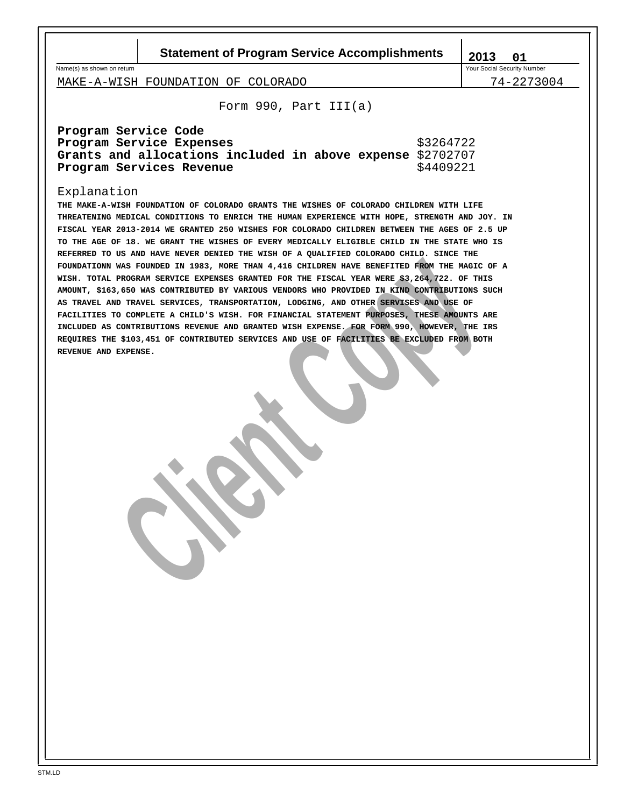**Statement of Program Service Accomplishments** | 2013

Name(s) as shown on return variable to the state of the state of the state of the state of the Social Security Number

**01**

MAKE-A-WISH FOUNDATION OF COLORADO 74-2273004

Form 990, Part III(a)

| Program Service Code                                       |           |
|------------------------------------------------------------|-----------|
| Program Service Expenses                                   | \$3264722 |
| Grants and allocations included in above expense \$2702707 |           |
| Program Services Revenue                                   | \$4409221 |

# Explanation

N WAS POURDED IN 1983, MORE TEAM 4,416 CHILDERN HAVE ERENTED FROM THE MAGIC CHRONIC AND INCOLLED THE SOLUTION OF THE FIGORITY OF THE SINGLE CONFIDENTIAL CONDUCTION OF THE TIGAL THE SINGLE CORPORATION CONDUCTION OF THE SING **THE MAKE-A-WISH FOUNDATION OF COLORADO GRANTS THE WISHES OF COLORADO CHILDREN WITH LIFE THREATENING MEDICAL CONDITIONS TO ENRICH THE HUMAN EXPERIENCE WITH HOPE, STRENGTH AND JOY. IN FISCAL YEAR 2013-2014 WE GRANTED 250 WISHES FOR COLORADO CHILDREN BETWEEN THE AGES OF 2.5 UP TO THE AGE OF 18. WE GRANT THE WISHES OF EVERY MEDICALLY ELIGIBLE CHILD IN THE STATE WHO IS REFERRED TO US AND HAVE NEVER DENIED THE WISH OF A QUALIFIED COLORADO CHILD. SINCE THE FOUNDATIONN WAS FOUNDED IN 1983, MORE THAN 4,416 CHILDREN HAVE BENEFITED FROM THE MAGIC OF A WISH. TOTAL PROGRAM SERVICE EXPENSES GRANTED FOR THE FISCAL YEAR WERE \$3,264,722. OF THIS AMOUNT, \$163,650 WAS CONTRIBUTED BY VARIOUS VENDORS WHO PROVIDED IN KIND CONTRIBUTIONS SUCH AS TRAVEL AND TRAVEL SERVICES, TRANSPORTATION, LODGING, AND OTHER SERVISES AND USE OF FACILITIES TO COMPLETE A CHILD'S WISH. FOR FINANCIAL STATEMENT PURPOSES, THESE AMOUNTS ARE INCLUDED AS CONTRIBUTIONS REVENUE AND GRANTED WISH EXPENSE. FOR FORM 990, HOWEVER, THE IRS REQUIRES THE \$103,451 OF CONTRIBUTED SERVICES AND USE OF FACILITIES BE EXCLUDED FROM BOTH REVENUE AND EXPENSE.**